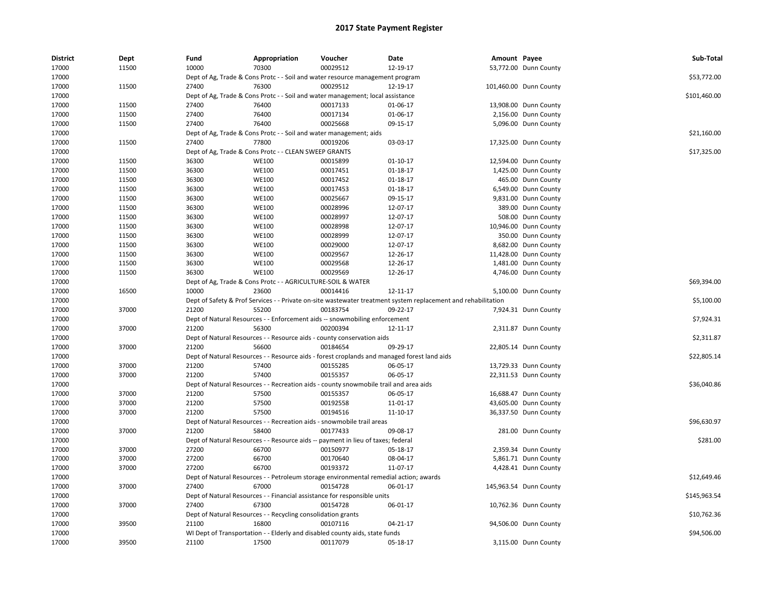| <b>District</b> | Dept  | Fund  | Appropriation                                                | Voucher                                                                                      | Date                                                                                                          | Amount Payee |                        | Sub-Total    |
|-----------------|-------|-------|--------------------------------------------------------------|----------------------------------------------------------------------------------------------|---------------------------------------------------------------------------------------------------------------|--------------|------------------------|--------------|
| 17000           | 11500 | 10000 | 70300                                                        | 00029512                                                                                     | 12-19-17                                                                                                      |              | 53,772.00 Dunn County  |              |
| 17000           |       |       |                                                              | Dept of Ag, Trade & Cons Protc - - Soil and water resource management program                |                                                                                                               |              |                        | \$53,772.00  |
| 17000           | 11500 | 27400 | 76300                                                        | 00029512                                                                                     | 12-19-17                                                                                                      |              | 101,460.00 Dunn County |              |
| 17000           |       |       |                                                              | Dept of Ag, Trade & Cons Protc - - Soil and water management; local assistance               |                                                                                                               |              |                        | \$101,460.00 |
| 17000           | 11500 | 27400 | 76400                                                        | 00017133                                                                                     | 01-06-17                                                                                                      |              | 13,908.00 Dunn County  |              |
| 17000           | 11500 | 27400 | 76400                                                        | 00017134                                                                                     | 01-06-17                                                                                                      |              | 2,156.00 Dunn County   |              |
| 17000           | 11500 | 27400 | 76400                                                        | 00025668                                                                                     | 09-15-17                                                                                                      |              | 5,096.00 Dunn County   |              |
| 17000           |       |       |                                                              | Dept of Ag, Trade & Cons Protc - - Soil and water management; aids                           |                                                                                                               |              |                        | \$21,160.00  |
| 17000           | 11500 | 27400 | 77800                                                        | 00019206                                                                                     | 03-03-17                                                                                                      |              | 17,325.00 Dunn County  |              |
| 17000           |       |       | Dept of Ag, Trade & Cons Protc - - CLEAN SWEEP GRANTS        |                                                                                              |                                                                                                               |              |                        | \$17,325.00  |
| 17000           | 11500 | 36300 | <b>WE100</b>                                                 | 00015899                                                                                     | $01-10-17$                                                                                                    |              | 12,594.00 Dunn County  |              |
| 17000           | 11500 | 36300 | <b>WE100</b>                                                 | 00017451                                                                                     | 01-18-17                                                                                                      |              | 1,425.00 Dunn County   |              |
| 17000           | 11500 | 36300 | <b>WE100</b>                                                 | 00017452                                                                                     | 01-18-17                                                                                                      |              | 465.00 Dunn County     |              |
| 17000           | 11500 | 36300 | <b>WE100</b>                                                 | 00017453                                                                                     | 01-18-17                                                                                                      |              | 6,549.00 Dunn County   |              |
| 17000           | 11500 | 36300 | <b>WE100</b>                                                 | 00025667                                                                                     | 09-15-17                                                                                                      |              | 9,831.00 Dunn County   |              |
| 17000           | 11500 | 36300 | <b>WE100</b>                                                 | 00028996                                                                                     | 12-07-17                                                                                                      |              | 389.00 Dunn County     |              |
| 17000           | 11500 | 36300 | <b>WE100</b>                                                 | 00028997                                                                                     | 12-07-17                                                                                                      |              | 508.00 Dunn County     |              |
| 17000           | 11500 | 36300 | <b>WE100</b>                                                 | 00028998                                                                                     | 12-07-17                                                                                                      |              | 10,946.00 Dunn County  |              |
| 17000           | 11500 | 36300 | <b>WE100</b>                                                 | 00028999                                                                                     | 12-07-17                                                                                                      |              | 350.00 Dunn County     |              |
| 17000           | 11500 | 36300 | <b>WE100</b>                                                 | 00029000                                                                                     | 12-07-17                                                                                                      |              | 8,682.00 Dunn County   |              |
| 17000           | 11500 | 36300 | <b>WE100</b>                                                 | 00029567                                                                                     | 12-26-17                                                                                                      |              | 11,428.00 Dunn County  |              |
| 17000           | 11500 | 36300 | <b>WE100</b>                                                 | 00029568                                                                                     | 12-26-17                                                                                                      |              | 1,481.00 Dunn County   |              |
| 17000           | 11500 | 36300 | <b>WE100</b>                                                 | 00029569                                                                                     | 12-26-17                                                                                                      |              | 4,746.00 Dunn County   |              |
| 17000           |       |       | Dept of Ag, Trade & Cons Protc - - AGRICULTURE-SOIL & WATER  |                                                                                              |                                                                                                               |              |                        | \$69,394.00  |
| 17000           | 16500 | 10000 | 23600                                                        | 00014416                                                                                     | 12-11-17                                                                                                      |              | 5,100.00 Dunn County   |              |
| 17000           |       |       |                                                              |                                                                                              | Dept of Safety & Prof Services - - Private on-site wastewater treatment system replacement and rehabilitation |              |                        | \$5,100.00   |
| 17000           | 37000 | 21200 | 55200                                                        | 00183754                                                                                     | 09-22-17                                                                                                      |              | 7,924.31 Dunn County   |              |
| 17000           |       |       |                                                              | Dept of Natural Resources - - Enforcement aids -- snowmobiling enforcement                   |                                                                                                               |              |                        | \$7,924.31   |
| 17000           | 37000 | 21200 | 56300                                                        | 00200394                                                                                     | 12-11-17                                                                                                      |              | 2,311.87 Dunn County   |              |
| 17000           |       |       |                                                              | Dept of Natural Resources - - Resource aids - county conservation aids                       |                                                                                                               |              |                        | \$2,311.87   |
| 17000           | 37000 | 21200 | 56600                                                        | 00184654                                                                                     | 09-29-17                                                                                                      |              | 22,805.14 Dunn County  |              |
| 17000           |       |       |                                                              |                                                                                              | Dept of Natural Resources - - Resource aids - forest croplands and managed forest land aids                   |              |                        | \$22,805.14  |
| 17000           | 37000 | 21200 | 57400                                                        | 00155285                                                                                     | 06-05-17                                                                                                      |              | 13,729.33 Dunn County  |              |
| 17000           | 37000 | 21200 | 57400                                                        | 00155357                                                                                     | 06-05-17                                                                                                      |              | 22,311.53 Dunn County  |              |
| 17000           |       |       |                                                              | Dept of Natural Resources - - Recreation aids - county snowmobile trail and area aids        |                                                                                                               |              |                        | \$36,040.86  |
| 17000           | 37000 | 21200 | 57500                                                        | 00155357                                                                                     | 06-05-17                                                                                                      |              | 16,688.47 Dunn County  |              |
| 17000           | 37000 | 21200 | 57500                                                        | 00192558                                                                                     | 11-01-17                                                                                                      |              | 43,605.00 Dunn County  |              |
| 17000           | 37000 | 21200 | 57500                                                        | 00194516                                                                                     | 11-10-17                                                                                                      |              | 36,337.50 Dunn County  |              |
| 17000           |       |       |                                                              | Dept of Natural Resources - - Recreation aids - snowmobile trail areas                       |                                                                                                               |              |                        | \$96,630.97  |
| 17000           | 37000 | 21200 | 58400                                                        | 00177433                                                                                     | 09-08-17                                                                                                      |              | 281.00 Dunn County     |              |
|                 |       |       |                                                              |                                                                                              |                                                                                                               |              |                        | \$281.00     |
| 17000<br>17000  | 37000 | 27200 | 66700                                                        | Dept of Natural Resources - - Resource aids -- payment in lieu of taxes; federal<br>00150977 | 05-18-17                                                                                                      |              |                        |              |
|                 |       |       |                                                              |                                                                                              |                                                                                                               |              | 2,359.34 Dunn County   |              |
| 17000           | 37000 | 27200 | 66700<br>66700                                               | 00170640<br>00193372                                                                         | 08-04-17                                                                                                      |              | 5,861.71 Dunn County   |              |
| 17000           | 37000 | 27200 |                                                              |                                                                                              | 11-07-17                                                                                                      |              | 4,428.41 Dunn County   |              |
| 17000           |       | 27400 |                                                              | Dept of Natural Resources - - Petroleum storage environmental remedial action; awards        |                                                                                                               |              |                        | \$12,649.46  |
| 17000           | 37000 |       | 67000                                                        | 00154728                                                                                     | 06-01-17                                                                                                      |              | 145,963.54 Dunn County |              |
| 17000           |       |       |                                                              | Dept of Natural Resources - - Financial assistance for responsible units                     |                                                                                                               |              |                        | \$145,963.54 |
| 17000           | 37000 | 27400 | 67300                                                        | 00154728                                                                                     | 06-01-17                                                                                                      |              | 10,762.36 Dunn County  |              |
| 17000           |       |       | Dept of Natural Resources - - Recycling consolidation grants |                                                                                              |                                                                                                               |              |                        | \$10,762.36  |
| 17000           | 39500 | 21100 | 16800                                                        | 00107116                                                                                     | 04-21-17                                                                                                      |              | 94,506.00 Dunn County  |              |
| 17000           |       |       |                                                              | WI Dept of Transportation - - Elderly and disabled county aids, state funds                  |                                                                                                               |              |                        | \$94,506.00  |
| 17000           | 39500 | 21100 | 17500                                                        | 00117079                                                                                     | 05-18-17                                                                                                      |              | 3,115.00 Dunn County   |              |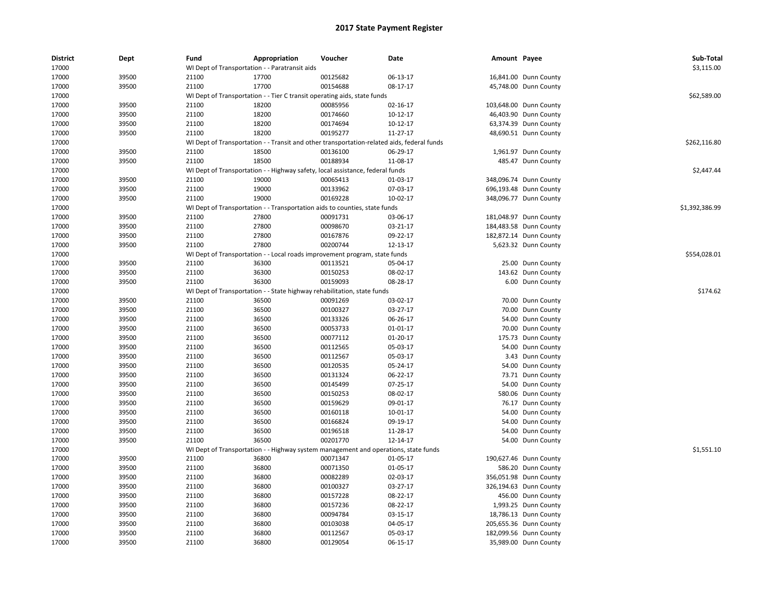| <b>District</b><br>17000 | Dept  | Fund  | Appropriation                                                                              | Voucher  | <b>Date</b>    | Amount Payee |                        | Sub-Total<br>\$3,115.00 |
|--------------------------|-------|-------|--------------------------------------------------------------------------------------------|----------|----------------|--------------|------------------------|-------------------------|
|                          |       |       | WI Dept of Transportation - - Paratransit aids                                             |          |                |              |                        |                         |
| 17000                    | 39500 | 21100 | 17700                                                                                      | 00125682 | 06-13-17       |              | 16,841.00 Dunn County  |                         |
| 17000                    | 39500 | 21100 | 17700                                                                                      | 00154688 | 08-17-17       |              | 45,748.00 Dunn County  |                         |
| 17000                    |       |       | WI Dept of Transportation - - Tier C transit operating aids, state funds                   |          |                |              |                        | \$62,589.00             |
| 17000                    | 39500 | 21100 | 18200                                                                                      | 00085956 | 02-16-17       |              | 103,648.00 Dunn County |                         |
| 17000                    | 39500 | 21100 | 18200                                                                                      | 00174660 | 10-12-17       |              | 46,403.90 Dunn County  |                         |
| 17000                    | 39500 | 21100 | 18200                                                                                      | 00174694 | 10-12-17       |              | 63,374.39 Dunn County  |                         |
| 17000                    | 39500 | 21100 | 18200                                                                                      | 00195277 | 11-27-17       |              | 48,690.51 Dunn County  |                         |
| 17000                    |       |       | WI Dept of Transportation - - Transit and other transportation-related aids, federal funds |          |                |              |                        | \$262.116.80            |
| 17000                    | 39500 | 21100 | 18500                                                                                      | 00136100 | 06-29-17       |              | 1,961.97 Dunn County   |                         |
| 17000                    | 39500 | 21100 | 18500                                                                                      | 00188934 | 11-08-17       |              | 485.47 Dunn County     |                         |
| 17000                    |       |       | WI Dept of Transportation - - Highway safety, local assistance, federal funds              |          |                |              |                        | \$2,447.44              |
| 17000                    | 39500 | 21100 | 19000                                                                                      | 00065413 | 01-03-17       |              | 348,096.74 Dunn County |                         |
| 17000                    | 39500 | 21100 | 19000                                                                                      | 00133962 | 07-03-17       |              | 696,193.48 Dunn County |                         |
| 17000                    | 39500 | 21100 | 19000                                                                                      | 00169228 | $10-02-17$     |              | 348,096.77 Dunn County |                         |
| 17000                    |       |       | WI Dept of Transportation - - Transportation aids to counties, state funds                 |          |                |              |                        | \$1,392,386.99          |
| 17000                    | 39500 | 21100 | 27800                                                                                      | 00091731 | 03-06-17       |              | 181,048.97 Dunn County |                         |
| 17000                    | 39500 | 21100 | 27800                                                                                      | 00098670 | 03-21-17       |              | 184,483.58 Dunn County |                         |
| 17000                    | 39500 | 21100 | 27800                                                                                      | 00167876 | 09-22-17       |              | 182,872.14 Dunn County |                         |
| 17000                    | 39500 | 21100 | 27800                                                                                      | 00200744 | 12-13-17       |              | 5,623.32 Dunn County   |                         |
| 17000                    |       |       | WI Dept of Transportation - - Local roads improvement program, state funds                 |          |                |              |                        | \$554,028.01            |
| 17000                    | 39500 | 21100 | 36300                                                                                      | 00113521 | 05-04-17       | 25.00        | Dunn County            |                         |
| 17000                    | 39500 | 21100 | 36300                                                                                      | 00150253 | 08-02-17       |              | 143.62 Dunn County     |                         |
| 17000                    | 39500 | 21100 | 36300                                                                                      | 00159093 | 08-28-17       |              | 6.00 Dunn County       |                         |
| 17000                    |       |       | WI Dept of Transportation - - State highway rehabilitation, state funds                    |          |                |              |                        | \$174.62                |
| 17000                    | 39500 | 21100 | 36500                                                                                      | 00091269 | 03-02-17       |              | 70.00 Dunn County      |                         |
| 17000                    | 39500 | 21100 | 36500                                                                                      | 00100327 | 03-27-17       |              | 70.00 Dunn County      |                         |
|                          |       |       |                                                                                            |          | 06-26-17       |              |                        |                         |
| 17000                    | 39500 | 21100 | 36500                                                                                      | 00133326 |                | 54.00        | Dunn County            |                         |
| 17000                    | 39500 | 21100 | 36500                                                                                      | 00053733 | $01 - 01 - 17$ | 70.00        | Dunn County            |                         |
| 17000                    | 39500 | 21100 | 36500                                                                                      | 00077112 | 01-20-17       |              | 175.73 Dunn County     |                         |
| 17000                    | 39500 | 21100 | 36500                                                                                      | 00112565 | 05-03-17       |              | 54.00 Dunn County      |                         |
| 17000                    | 39500 | 21100 | 36500                                                                                      | 00112567 | 05-03-17       |              | 3.43 Dunn County       |                         |
| 17000                    | 39500 | 21100 | 36500                                                                                      | 00120535 | 05-24-17       | 54.00        | Dunn County            |                         |
| 17000                    | 39500 | 21100 | 36500                                                                                      | 00131324 | 06-22-17       | 73.71        | Dunn County            |                         |
| 17000                    | 39500 | 21100 | 36500                                                                                      | 00145499 | 07-25-17       | 54.00        | Dunn County            |                         |
| 17000                    | 39500 | 21100 | 36500                                                                                      | 00150253 | 08-02-17       |              | 580.06 Dunn County     |                         |
| 17000                    | 39500 | 21100 | 36500                                                                                      | 00159629 | 09-01-17       |              | 76.17 Dunn County      |                         |
| 17000                    | 39500 | 21100 | 36500                                                                                      | 00160118 | 10-01-17       | 54.00        | Dunn County            |                         |
| 17000                    | 39500 | 21100 | 36500                                                                                      | 00166824 | 09-19-17       | 54.00        | Dunn County            |                         |
| 17000                    | 39500 | 21100 | 36500                                                                                      | 00196518 | 11-28-17       |              | 54.00 Dunn County      |                         |
| 17000                    | 39500 | 21100 | 36500                                                                                      | 00201770 | 12-14-17       |              | 54.00 Dunn County      |                         |
| 17000                    |       |       | WI Dept of Transportation - - Highway system management and operations, state funds        |          |                |              |                        | \$1,551.10              |
| 17000                    | 39500 | 21100 | 36800                                                                                      | 00071347 | 01-05-17       |              | 190,627.46 Dunn County |                         |
| 17000                    | 39500 | 21100 | 36800                                                                                      | 00071350 | 01-05-17       | 586.20       | Dunn County            |                         |
| 17000                    | 39500 | 21100 | 36800                                                                                      | 00082289 | 02-03-17       |              | 356,051.98 Dunn County |                         |
| 17000                    | 39500 | 21100 | 36800                                                                                      | 00100327 | 03-27-17       |              | 326,194.63 Dunn County |                         |
| 17000                    | 39500 | 21100 | 36800                                                                                      | 00157228 | 08-22-17       |              | 456.00 Dunn County     |                         |
| 17000                    | 39500 | 21100 | 36800                                                                                      | 00157236 | 08-22-17       |              | 1,993.25 Dunn County   |                         |
| 17000                    | 39500 | 21100 | 36800                                                                                      | 00094784 | 03-15-17       |              | 18,786.13 Dunn County  |                         |
| 17000                    | 39500 | 21100 | 36800                                                                                      | 00103038 | 04-05-17       |              | 205,655.36 Dunn County |                         |
| 17000                    | 39500 | 21100 | 36800                                                                                      | 00112567 | 05-03-17       |              | 182,099.56 Dunn County |                         |
| 17000                    | 39500 | 21100 | 36800                                                                                      | 00129054 | 06-15-17       |              | 35,989.00 Dunn County  |                         |
|                          |       |       |                                                                                            |          |                |              |                        |                         |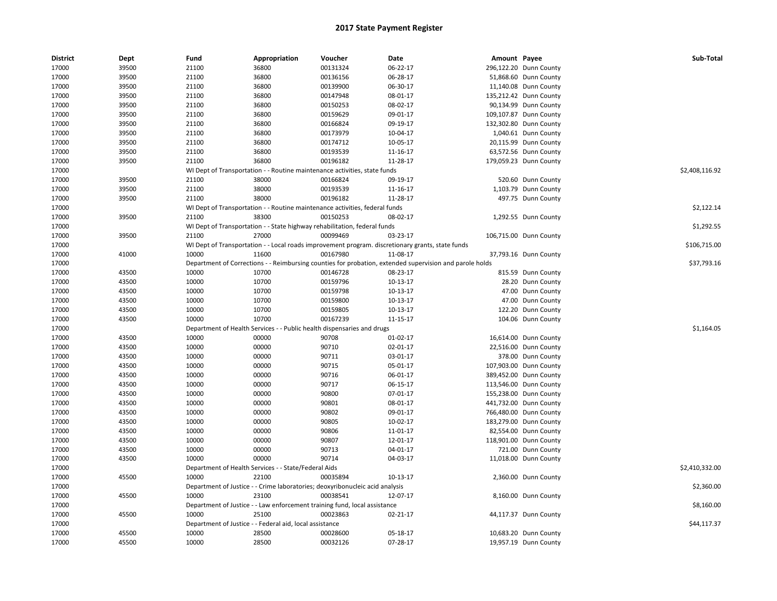| <b>District</b> | Dept  | Fund  | Appropriation                                                                | Voucher  | Date                                                                                                    | Amount Payee |                        | Sub-Total      |
|-----------------|-------|-------|------------------------------------------------------------------------------|----------|---------------------------------------------------------------------------------------------------------|--------------|------------------------|----------------|
| 17000           | 39500 | 21100 | 36800                                                                        | 00131324 | 06-22-17                                                                                                |              | 296,122.20 Dunn County |                |
| 17000           | 39500 | 21100 | 36800                                                                        | 00136156 | 06-28-17                                                                                                |              | 51,868.60 Dunn County  |                |
| 17000           | 39500 | 21100 | 36800                                                                        | 00139900 | 06-30-17                                                                                                |              | 11,140.08 Dunn County  |                |
| 17000           | 39500 | 21100 | 36800                                                                        | 00147948 | 08-01-17                                                                                                |              | 135,212.42 Dunn County |                |
| 17000           | 39500 | 21100 | 36800                                                                        | 00150253 | 08-02-17                                                                                                |              | 90,134.99 Dunn County  |                |
| 17000           | 39500 | 21100 | 36800                                                                        | 00159629 | 09-01-17                                                                                                |              | 109,107.87 Dunn County |                |
| 17000           | 39500 | 21100 | 36800                                                                        | 00166824 | 09-19-17                                                                                                |              | 132,302.80 Dunn County |                |
| 17000           | 39500 | 21100 | 36800                                                                        | 00173979 | 10-04-17                                                                                                |              | 1,040.61 Dunn County   |                |
| 17000           | 39500 | 21100 | 36800                                                                        | 00174712 | 10-05-17                                                                                                |              | 20,115.99 Dunn County  |                |
| 17000           | 39500 | 21100 | 36800                                                                        | 00193539 | 11-16-17                                                                                                |              | 63,572.56 Dunn County  |                |
| 17000           | 39500 | 21100 | 36800                                                                        | 00196182 | 11-28-17                                                                                                |              | 179,059.23 Dunn County |                |
| 17000           |       |       | WI Dept of Transportation - - Routine maintenance activities, state funds    |          |                                                                                                         |              |                        | \$2,408,116.92 |
| 17000           | 39500 | 21100 | 38000                                                                        | 00166824 | 09-19-17                                                                                                |              | 520.60 Dunn County     |                |
| 17000           | 39500 | 21100 | 38000                                                                        | 00193539 | 11-16-17                                                                                                |              | 1,103.79 Dunn County   |                |
| 17000           | 39500 | 21100 | 38000                                                                        | 00196182 | 11-28-17                                                                                                |              | 497.75 Dunn County     |                |
| 17000           |       |       | WI Dept of Transportation - - Routine maintenance activities, federal funds  |          |                                                                                                         |              |                        | \$2,122.14     |
| 17000           | 39500 | 21100 | 38300                                                                        | 00150253 | 08-02-17                                                                                                |              | 1,292.55 Dunn County   |                |
| 17000           |       |       | WI Dept of Transportation - - State highway rehabilitation, federal funds    |          |                                                                                                         |              |                        | \$1,292.55     |
| 17000           | 39500 | 21100 | 27000                                                                        | 00099469 | 03-23-17                                                                                                |              | 106,715.00 Dunn County |                |
| 17000           |       |       |                                                                              |          | WI Dept of Transportation - - Local roads improvement program. discretionary grants, state funds        |              |                        | \$106,715.00   |
| 17000           | 41000 | 10000 | 11600                                                                        | 00167980 | 11-08-17                                                                                                |              | 37,793.16 Dunn County  |                |
| 17000           |       |       |                                                                              |          | Department of Corrections - - Reimbursing counties for probation, extended supervision and parole holds |              |                        | \$37,793.16    |
| 17000           | 43500 | 10000 | 10700                                                                        | 00146728 | 08-23-17                                                                                                |              | 815.59 Dunn County     |                |
| 17000           | 43500 | 10000 | 10700                                                                        | 00159796 | 10-13-17                                                                                                |              | 28.20 Dunn County      |                |
| 17000           | 43500 | 10000 | 10700                                                                        | 00159798 | 10-13-17                                                                                                |              | 47.00 Dunn County      |                |
| 17000           | 43500 | 10000 | 10700                                                                        | 00159800 | 10-13-17                                                                                                |              | 47.00 Dunn County      |                |
| 17000           | 43500 | 10000 | 10700                                                                        | 00159805 | 10-13-17                                                                                                |              | 122.20 Dunn County     |                |
| 17000           | 43500 | 10000 | 10700                                                                        | 00167239 | 11-15-17                                                                                                |              | 104.06 Dunn County     |                |
| 17000           |       |       | Department of Health Services - - Public health dispensaries and drugs       |          |                                                                                                         |              |                        | \$1,164.05     |
| 17000           | 43500 | 10000 | 00000                                                                        | 90708    | 01-02-17                                                                                                |              | 16,614.00 Dunn County  |                |
| 17000           | 43500 | 10000 | 00000                                                                        | 90710    | 02-01-17                                                                                                |              | 22,516.00 Dunn County  |                |
| 17000           | 43500 | 10000 | 00000                                                                        | 90711    | 03-01-17                                                                                                |              | 378.00 Dunn County     |                |
| 17000           | 43500 | 10000 | 00000                                                                        | 90715    | 05-01-17                                                                                                |              | 107,903.00 Dunn County |                |
| 17000           | 43500 | 10000 | 00000                                                                        | 90716    | 06-01-17                                                                                                |              | 389,452.00 Dunn County |                |
| 17000           | 43500 | 10000 | 00000                                                                        | 90717    | 06-15-17                                                                                                |              | 113,546.00 Dunn County |                |
| 17000           | 43500 | 10000 | 00000                                                                        | 90800    | 07-01-17                                                                                                |              | 155,238.00 Dunn County |                |
| 17000           | 43500 | 10000 | 00000                                                                        | 90801    | 08-01-17                                                                                                |              | 441,732.00 Dunn County |                |
| 17000           | 43500 | 10000 | 00000                                                                        | 90802    | 09-01-17                                                                                                |              | 766,480.00 Dunn County |                |
| 17000           | 43500 | 10000 | 00000                                                                        | 90805    | 10-02-17                                                                                                |              | 183,279.00 Dunn County |                |
| 17000           | 43500 | 10000 | 00000                                                                        | 90806    | 11-01-17                                                                                                |              | 82,554.00 Dunn County  |                |
| 17000           | 43500 | 10000 | 00000                                                                        | 90807    | 12-01-17                                                                                                |              | 118,901.00 Dunn County |                |
| 17000           | 43500 | 10000 | 00000                                                                        | 90713    | 04-01-17                                                                                                |              | 721.00 Dunn County     |                |
| 17000           | 43500 | 10000 | 00000                                                                        | 90714    | 04-03-17                                                                                                |              | 11,018.00 Dunn County  |                |
| 17000           |       |       | Department of Health Services - - State/Federal Aids                         |          |                                                                                                         |              |                        | \$2,410,332.00 |
| 17000           | 45500 | 10000 | 22100                                                                        | 00035894 | 10-13-17                                                                                                |              | 2,360.00 Dunn County   |                |
| 17000           |       |       | Department of Justice - - Crime laboratories; deoxyribonucleic acid analysis |          |                                                                                                         |              |                        | \$2,360.00     |
| 17000           | 45500 | 10000 | 23100                                                                        | 00038541 | 12-07-17                                                                                                |              | 8,160.00 Dunn County   |                |
| 17000           |       |       | Department of Justice - - Law enforcement training fund, local assistance    |          |                                                                                                         |              |                        | \$8,160.00     |
| 17000           | 45500 | 10000 | 25100                                                                        | 00023863 | $02 - 21 - 17$                                                                                          |              | 44,117.37 Dunn County  |                |
| 17000           |       |       | Department of Justice - - Federal aid, local assistance                      |          |                                                                                                         |              |                        | \$44,117.37    |
| 17000           | 45500 | 10000 | 28500                                                                        | 00028600 | 05-18-17                                                                                                |              | 10,683.20 Dunn County  |                |
| 17000           | 45500 | 10000 | 28500                                                                        | 00032126 | 07-28-17                                                                                                |              | 19,957.19 Dunn County  |                |
|                 |       |       |                                                                              |          |                                                                                                         |              |                        |                |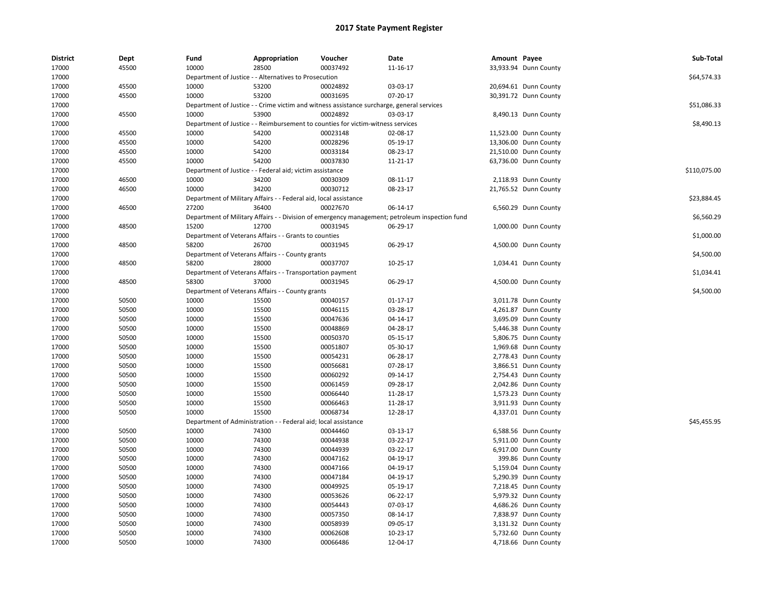| <b>District</b> | Dept  | Fund                         | Appropriation                                                    | Voucher                                                                                   | Date                                                                                           | Amount Payee |                       | Sub-Total    |
|-----------------|-------|------------------------------|------------------------------------------------------------------|-------------------------------------------------------------------------------------------|------------------------------------------------------------------------------------------------|--------------|-----------------------|--------------|
| 17000           | 45500 | 10000                        | 28500                                                            | 00037492                                                                                  | 11-16-17                                                                                       |              | 33,933.94 Dunn County |              |
| 17000           |       |                              | Department of Justice - - Alternatives to Prosecution            |                                                                                           |                                                                                                |              |                       | \$64,574.33  |
| 17000           | 45500 | 10000                        | 53200                                                            | 00024892                                                                                  | 03-03-17                                                                                       |              | 20,694.61 Dunn County |              |
| 17000           | 45500 | 10000                        | 53200                                                            | 00031695                                                                                  | 07-20-17                                                                                       |              | 30,391.72 Dunn County |              |
| 17000           |       |                              |                                                                  | Department of Justice - - Crime victim and witness assistance surcharge, general services |                                                                                                |              |                       | \$51,086.33  |
| 17000           | 45500 | 10000                        | 53900                                                            | 00024892                                                                                  | 03-03-17                                                                                       |              | 8,490.13 Dunn County  |              |
| 17000           |       |                              |                                                                  | Department of Justice - - Reimbursement to counties for victim-witness services           |                                                                                                |              |                       | \$8,490.13   |
| 17000           | 45500 | 10000                        | 54200                                                            | 00023148                                                                                  | 02-08-17                                                                                       |              | 11,523.00 Dunn County |              |
| 17000           | 45500 | 10000                        | 54200                                                            | 00028296                                                                                  | 05-19-17                                                                                       |              | 13,306.00 Dunn County |              |
| 17000           | 45500 | 10000                        | 54200                                                            | 00033184                                                                                  | 08-23-17                                                                                       |              | 21,510.00 Dunn County |              |
| 17000           | 45500 | 10000                        | 54200                                                            | 00037830                                                                                  | 11-21-17                                                                                       |              | 63,736.00 Dunn County |              |
| 17000           |       |                              | Department of Justice - - Federal aid; victim assistance         |                                                                                           |                                                                                                |              |                       | \$110,075.00 |
| 17000           | 46500 | 10000                        | 34200                                                            | 00030309                                                                                  | 08-11-17                                                                                       |              | 2,118.93 Dunn County  |              |
| 17000           | 46500 | 10000                        | 34200                                                            | 00030712                                                                                  | 08-23-17                                                                                       |              | 21,765.52 Dunn County |              |
| 17000           |       |                              | Department of Military Affairs - - Federal aid, local assistance |                                                                                           |                                                                                                |              |                       | \$23,884.45  |
| 17000           | 46500 | 27200                        | 36400                                                            | 00027670                                                                                  | 06-14-17                                                                                       |              | 6,560.29 Dunn County  |              |
| 17000           |       |                              |                                                                  |                                                                                           | Department of Military Affairs - - Division of emergency management; petroleum inspection fund |              |                       | \$6,560.29   |
| 17000           | 48500 | 15200                        | 12700                                                            | 00031945                                                                                  | 06-29-17                                                                                       |              | 1,000.00 Dunn County  |              |
| 17000           |       |                              | Department of Veterans Affairs - - Grants to counties            |                                                                                           |                                                                                                |              |                       | \$1,000.00   |
| 17000           | 48500 | 58200                        | 26700                                                            | 00031945                                                                                  | 06-29-17                                                                                       |              | 4,500.00 Dunn County  |              |
| 17000           |       |                              | Department of Veterans Affairs - - County grants                 |                                                                                           |                                                                                                |              |                       | \$4,500.00   |
| 17000           | 48500 | 58200                        | 28000                                                            | 00037707                                                                                  | 10-25-17                                                                                       |              | 1,034.41 Dunn County  |              |
| 17000           |       |                              | Department of Veterans Affairs - - Transportation payment        |                                                                                           |                                                                                                |              |                       | \$1,034.41   |
| 17000           | 48500 | 58300                        | 37000                                                            | 00031945                                                                                  | 06-29-17                                                                                       |              | 4,500.00 Dunn County  |              |
| 17000           |       |                              | Department of Veterans Affairs - - County grants                 |                                                                                           |                                                                                                |              |                       | \$4,500.00   |
| 17000           | 50500 | 10000                        | 15500                                                            | 00040157                                                                                  | $01-17-17$                                                                                     |              | 3,011.78 Dunn County  |              |
| 17000           | 50500 | 10000                        | 15500                                                            | 00046115                                                                                  | 03-28-17                                                                                       |              | 4,261.87 Dunn County  |              |
| 17000           | 50500 | 10000                        | 15500                                                            | 00047636                                                                                  | 04-14-17                                                                                       |              | 3,695.09 Dunn County  |              |
| 17000           | 50500 | 10000                        | 15500                                                            | 00048869                                                                                  | 04-28-17                                                                                       |              | 5,446.38 Dunn County  |              |
| 17000           | 50500 | 10000                        | 15500                                                            | 00050370                                                                                  | 05-15-17                                                                                       |              | 5,806.75 Dunn County  |              |
| 17000           | 50500 | 10000                        | 15500                                                            | 00051807                                                                                  | 05-30-17                                                                                       |              | 1,969.68 Dunn County  |              |
| 17000           | 50500 | 10000                        | 15500                                                            | 00054231                                                                                  | 06-28-17                                                                                       |              | 2,778.43 Dunn County  |              |
| 17000           | 50500 | 10000                        | 15500                                                            | 00056681                                                                                  | 07-28-17                                                                                       |              | 3,866.51 Dunn County  |              |
| 17000           | 50500 | 10000                        | 15500                                                            | 00060292                                                                                  | 09-14-17                                                                                       |              | 2,754.43 Dunn County  |              |
| 17000           | 50500 | 10000                        | 15500                                                            | 00061459                                                                                  | 09-28-17                                                                                       |              | 2,042.86 Dunn County  |              |
| 17000           | 50500 | 10000                        | 15500                                                            | 00066440                                                                                  | 11-28-17                                                                                       |              | 1,573.23 Dunn County  |              |
| 17000           | 50500 | 10000                        | 15500                                                            | 00066463                                                                                  | 11-28-17                                                                                       |              | 3,911.93 Dunn County  |              |
| 17000           | 50500 | 10000                        | 15500                                                            | 00068734                                                                                  | 12-28-17                                                                                       |              | 4,337.01 Dunn County  |              |
| 17000           |       | Department of Administration |                                                                  | Federal aid; local assistance                                                             |                                                                                                |              |                       | \$45,455.95  |
| 17000           | 50500 | 10000                        | 74300                                                            | 00044460                                                                                  | 03-13-17                                                                                       |              | 6,588.56 Dunn County  |              |
| 17000           | 50500 | 10000                        | 74300                                                            | 00044938                                                                                  | 03-22-17                                                                                       |              | 5,911.00 Dunn County  |              |
| 17000           | 50500 | 10000                        | 74300                                                            | 00044939                                                                                  | 03-22-17                                                                                       |              | 6,917.00 Dunn County  |              |
| 17000           | 50500 | 10000                        | 74300                                                            | 00047162                                                                                  | 04-19-17                                                                                       |              | 399.86 Dunn County    |              |
| 17000           | 50500 | 10000                        | 74300                                                            | 00047166                                                                                  | 04-19-17                                                                                       |              | 5,159.04 Dunn County  |              |
| 17000           | 50500 | 10000                        | 74300                                                            | 00047184                                                                                  | 04-19-17                                                                                       |              | 5,290.39 Dunn County  |              |
| 17000           | 50500 | 10000                        | 74300                                                            | 00049925                                                                                  | 05-19-17                                                                                       |              | 7,218.45 Dunn County  |              |
| 17000           | 50500 | 10000                        | 74300                                                            | 00053626                                                                                  | 06-22-17                                                                                       |              | 5,979.32 Dunn County  |              |
| 17000           | 50500 | 10000                        | 74300                                                            | 00054443                                                                                  | 07-03-17                                                                                       |              | 4,686.26 Dunn County  |              |
| 17000           | 50500 | 10000                        | 74300                                                            | 00057350                                                                                  | 08-14-17                                                                                       |              | 7,838.97 Dunn County  |              |
| 17000           | 50500 | 10000                        | 74300                                                            | 00058939                                                                                  | 09-05-17                                                                                       |              | 3,131.32 Dunn County  |              |
| 17000           | 50500 | 10000                        | 74300                                                            | 00062608                                                                                  | 10-23-17                                                                                       |              | 5,732.60 Dunn County  |              |
| 17000           | 50500 | 10000                        | 74300                                                            | 00066486                                                                                  | 12-04-17                                                                                       |              | 4,718.66 Dunn County  |              |
|                 |       |                              |                                                                  |                                                                                           |                                                                                                |              |                       |              |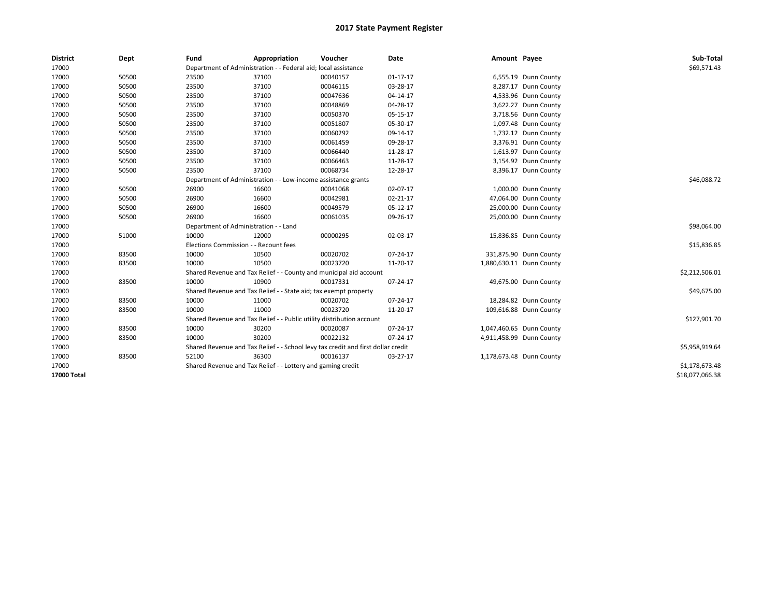| <b>District</b> | Dept  | Fund                                  | Appropriation                                                         | Voucher                                                                          | Date           | Amount Payee |                          | Sub-Total       |
|-----------------|-------|---------------------------------------|-----------------------------------------------------------------------|----------------------------------------------------------------------------------|----------------|--------------|--------------------------|-----------------|
| 17000           |       |                                       | Department of Administration - - Federal aid; local assistance        |                                                                                  |                |              |                          | \$69,571.43     |
| 17000           | 50500 | 23500                                 | 37100                                                                 | 00040157                                                                         | $01 - 17 - 17$ |              | 6,555.19 Dunn County     |                 |
| 17000           | 50500 | 23500                                 | 37100                                                                 | 00046115                                                                         | 03-28-17       |              | 8,287.17 Dunn County     |                 |
| 17000           | 50500 | 23500                                 | 37100                                                                 | 00047636                                                                         | 04-14-17       |              | 4,533.96 Dunn County     |                 |
| 17000           | 50500 | 23500                                 | 37100                                                                 | 00048869                                                                         | 04-28-17       |              | 3,622.27 Dunn County     |                 |
| 17000           | 50500 | 23500                                 | 37100                                                                 | 00050370                                                                         | 05-15-17       |              | 3,718.56 Dunn County     |                 |
| 17000           | 50500 | 23500                                 | 37100                                                                 | 00051807                                                                         | 05-30-17       |              | 1,097.48 Dunn County     |                 |
| 17000           | 50500 | 23500                                 | 37100                                                                 | 00060292                                                                         | 09-14-17       |              | 1,732.12 Dunn County     |                 |
| 17000           | 50500 | 23500                                 | 37100                                                                 | 00061459                                                                         | 09-28-17       |              | 3,376.91 Dunn County     |                 |
| 17000           | 50500 | 23500                                 | 37100                                                                 | 00066440                                                                         | 11-28-17       |              | 1,613.97 Dunn County     |                 |
| 17000           | 50500 | 23500                                 | 37100                                                                 | 00066463                                                                         | 11-28-17       |              | 3,154.92 Dunn County     |                 |
| 17000           | 50500 | 23500                                 | 37100                                                                 | 00068734                                                                         | 12-28-17       |              | 8,396.17 Dunn County     |                 |
| 17000           |       |                                       | Department of Administration - - Low-income assistance grants         |                                                                                  |                |              |                          | \$46,088.72     |
| 17000           | 50500 | 26900                                 | 16600                                                                 | 00041068                                                                         | 02-07-17       |              | 1,000.00 Dunn County     |                 |
| 17000           | 50500 | 26900                                 | 16600                                                                 | 00042981                                                                         | $02 - 21 - 17$ |              | 47,064.00 Dunn County    |                 |
| 17000           | 50500 | 26900                                 | 16600                                                                 | 00049579                                                                         | 05-12-17       |              | 25,000.00 Dunn County    |                 |
| 17000           | 50500 | 26900                                 | 16600                                                                 | 00061035                                                                         | 09-26-17       |              | 25,000.00 Dunn County    |                 |
| 17000           |       | Department of Administration - - Land |                                                                       |                                                                                  |                |              |                          | \$98,064.00     |
| 17000           | 51000 | 10000                                 | 12000                                                                 | 00000295                                                                         | 02-03-17       |              | 15,836.85 Dunn County    |                 |
| 17000           |       | Elections Commission - - Recount fees |                                                                       |                                                                                  |                |              |                          | \$15,836.85     |
| 17000           | 83500 | 10000                                 | 10500                                                                 | 00020702                                                                         | 07-24-17       |              | 331,875.90 Dunn County   |                 |
| 17000           | 83500 | 10000                                 | 10500                                                                 | 00023720                                                                         | 11-20-17       |              | 1,880,630.11 Dunn County |                 |
| 17000           |       |                                       | Shared Revenue and Tax Relief - - County and municipal aid account    |                                                                                  |                |              |                          | \$2,212,506.01  |
| 17000           | 83500 | 10000                                 | 10900                                                                 | 00017331                                                                         | 07-24-17       |              | 49,675.00 Dunn County    |                 |
| 17000           |       |                                       | Shared Revenue and Tax Relief - - State aid; tax exempt property      |                                                                                  |                |              |                          | \$49,675.00     |
| 17000           | 83500 | 10000                                 | 11000                                                                 | 00020702                                                                         | 07-24-17       |              | 18,284.82 Dunn County    |                 |
| 17000           | 83500 | 10000                                 | 11000                                                                 | 00023720                                                                         | 11-20-17       |              | 109,616.88 Dunn County   |                 |
| 17000           |       |                                       | Shared Revenue and Tax Relief - - Public utility distribution account |                                                                                  |                |              |                          | \$127,901.70    |
| 17000           | 83500 | 10000                                 | 30200                                                                 | 00020087                                                                         | 07-24-17       |              | 1,047,460.65 Dunn County |                 |
| 17000           | 83500 | 10000                                 | 30200                                                                 | 00022132                                                                         | 07-24-17       |              | 4,911,458.99 Dunn County |                 |
| 17000           |       |                                       |                                                                       | Shared Revenue and Tax Relief - - School levy tax credit and first dollar credit |                |              |                          | \$5,958,919.64  |
| 17000           | 83500 | 52100                                 | 36300                                                                 | 00016137                                                                         | 03-27-17       |              | 1,178,673.48 Dunn County |                 |
| 17000           |       |                                       | Shared Revenue and Tax Relief - - Lottery and gaming credit           |                                                                                  |                |              |                          | \$1,178,673.48  |
| 17000 Total     |       |                                       |                                                                       |                                                                                  |                |              |                          | \$18,077,066.38 |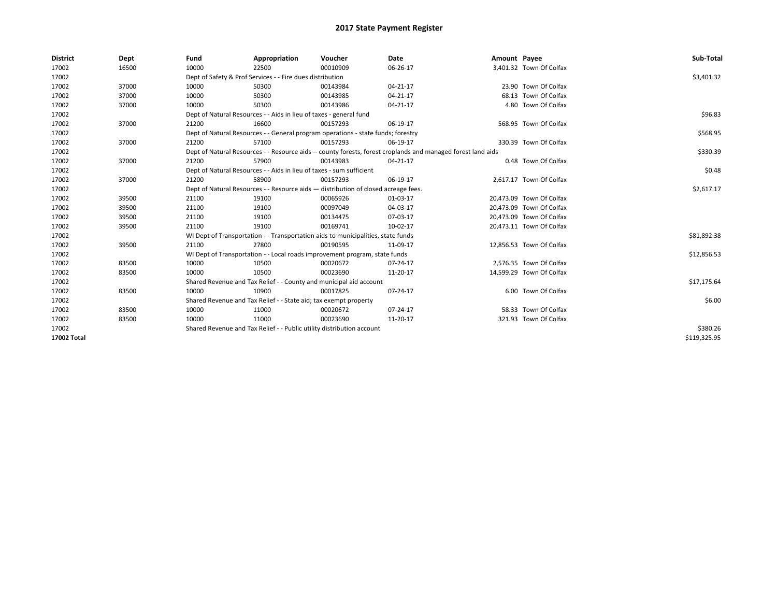| <b>District</b> | Dept  | Fund                                                                               | Appropriation                                                                    | Voucher    | Date                                                                                                         | Amount Payee |                          | Sub-Total    |
|-----------------|-------|------------------------------------------------------------------------------------|----------------------------------------------------------------------------------|------------|--------------------------------------------------------------------------------------------------------------|--------------|--------------------------|--------------|
| 17002           | 16500 | 10000                                                                              | 22500                                                                            | 00010909   | 06-26-17                                                                                                     |              | 3,401.32 Town Of Colfax  |              |
| 17002           |       |                                                                                    | Dept of Safety & Prof Services - - Fire dues distribution                        |            |                                                                                                              |              |                          | \$3,401.32   |
| 17002           | 37000 | 10000                                                                              | 50300                                                                            | 00143984   | 04-21-17                                                                                                     |              | 23.90 Town Of Colfax     |              |
| 17002           | 37000 | 10000                                                                              | 50300                                                                            | 00143985   | 04-21-17                                                                                                     |              | 68.13 Town Of Colfax     |              |
| 17002           | 37000 | 10000                                                                              | 50300                                                                            | 00143986   | $04 - 21 - 17$                                                                                               |              | 4.80 Town Of Colfax      |              |
| 17002           |       |                                                                                    | Dept of Natural Resources - - Aids in lieu of taxes - general fund               |            |                                                                                                              |              |                          | \$96.83      |
| 17002           | 37000 | 21200                                                                              | 16600                                                                            | 00157293   | 06-19-17                                                                                                     |              | 568.95 Town Of Colfax    |              |
| 17002           |       |                                                                                    | Dept of Natural Resources - - General program operations - state funds; forestry |            |                                                                                                              |              |                          | \$568.95     |
| 17002           | 37000 | 21200                                                                              | 57100                                                                            | 00157293   | 06-19-17                                                                                                     |              | 330.39 Town Of Colfax    |              |
| 17002           |       |                                                                                    |                                                                                  |            | Dept of Natural Resources - - Resource aids -- county forests, forest croplands and managed forest land aids |              |                          | \$330.39     |
| 17002           | 37000 | 21200                                                                              | 57900                                                                            | 00143983   | 04-21-17                                                                                                     |              | 0.48 Town Of Colfax      |              |
| 17002           |       |                                                                                    | Dept of Natural Resources - - Aids in lieu of taxes - sum sufficient             |            |                                                                                                              |              |                          | \$0.48       |
| 17002           | 37000 | 21200                                                                              | 58900                                                                            | 00157293   | 06-19-17                                                                                                     |              | 2,617.17 Town Of Colfax  |              |
| 17002           |       | Dept of Natural Resources - - Resource aids - distribution of closed acreage fees. |                                                                                  | \$2,617.17 |                                                                                                              |              |                          |              |
| 17002           | 39500 | 21100                                                                              | 19100                                                                            | 00065926   | 01-03-17                                                                                                     |              | 20,473.09 Town Of Colfax |              |
| 17002           | 39500 | 21100                                                                              | 19100                                                                            | 00097049   | 04-03-17                                                                                                     |              | 20,473.09 Town Of Colfax |              |
| 17002           | 39500 | 21100                                                                              | 19100                                                                            | 00134475   | 07-03-17                                                                                                     |              | 20,473.09 Town Of Colfax |              |
| 17002           | 39500 | 21100                                                                              | 19100                                                                            | 00169741   | 10-02-17                                                                                                     |              | 20,473.11 Town Of Colfax |              |
| 17002           |       |                                                                                    | WI Dept of Transportation - - Transportation aids to municipalities, state funds |            |                                                                                                              |              |                          | \$81,892.38  |
| 17002           | 39500 | 21100                                                                              | 27800                                                                            | 00190595   | 11-09-17                                                                                                     |              | 12,856.53 Town Of Colfax |              |
| 17002           |       |                                                                                    | WI Dept of Transportation - - Local roads improvement program, state funds       |            |                                                                                                              |              |                          | \$12,856.53  |
| 17002           | 83500 | 10000                                                                              | 10500                                                                            | 00020672   | 07-24-17                                                                                                     |              | 2,576.35 Town Of Colfax  |              |
| 17002           | 83500 | 10000                                                                              | 10500                                                                            | 00023690   | 11-20-17                                                                                                     |              | 14,599.29 Town Of Colfax |              |
| 17002           |       |                                                                                    | Shared Revenue and Tax Relief - - County and municipal aid account               |            |                                                                                                              |              |                          | \$17,175.64  |
| 17002           | 83500 | 10000                                                                              | 10900                                                                            | 00017825   | 07-24-17                                                                                                     |              | 6.00 Town Of Colfax      |              |
| 17002           |       |                                                                                    | Shared Revenue and Tax Relief - - State aid; tax exempt property                 |            |                                                                                                              |              |                          | \$6.00       |
| 17002           | 83500 | 10000                                                                              | 11000                                                                            | 00020672   | $07 - 24 - 17$                                                                                               |              | 58.33 Town Of Colfax     |              |
| 17002           | 83500 | 10000                                                                              | 11000                                                                            | 00023690   | 11-20-17                                                                                                     |              | 321.93 Town Of Colfax    |              |
| 17002           |       | Shared Revenue and Tax Relief - - Public utility distribution account              |                                                                                  | \$380.26   |                                                                                                              |              |                          |              |
| 17002 Total     |       |                                                                                    |                                                                                  |            |                                                                                                              |              |                          | \$119,325.95 |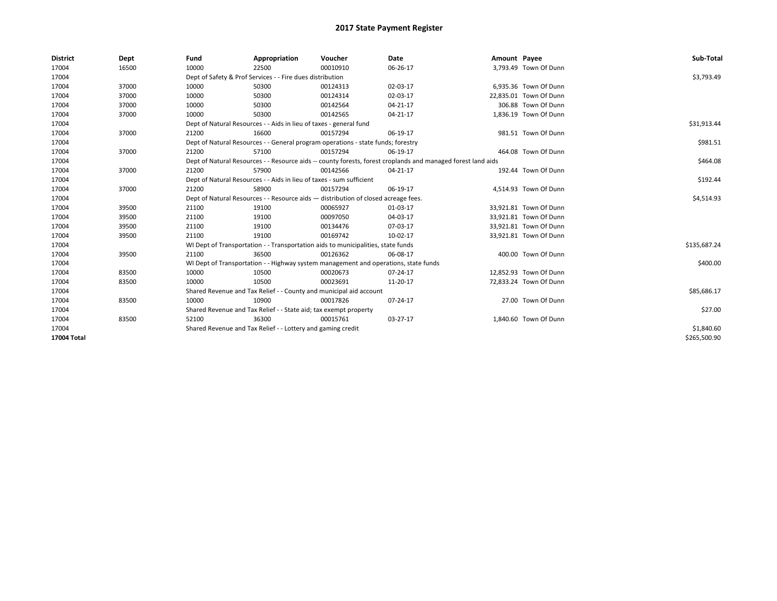| <b>District</b> | Dept  | Fund                                                               | Appropriation                                                                       | Voucher     | Date                                                                                                         | Amount Payee |                        | Sub-Total    |
|-----------------|-------|--------------------------------------------------------------------|-------------------------------------------------------------------------------------|-------------|--------------------------------------------------------------------------------------------------------------|--------------|------------------------|--------------|
| 17004           | 16500 | 10000                                                              | 22500                                                                               | 00010910    | 06-26-17                                                                                                     |              | 3,793.49 Town Of Dunn  |              |
| 17004           |       |                                                                    | Dept of Safety & Prof Services - - Fire dues distribution                           |             |                                                                                                              |              |                        | \$3,793.49   |
| 17004           | 37000 | 10000                                                              | 50300                                                                               | 00124313    | 02-03-17                                                                                                     |              | 6,935.36 Town Of Dunn  |              |
| 17004           | 37000 | 10000                                                              | 50300                                                                               | 00124314    | 02-03-17                                                                                                     |              | 22,835.01 Town Of Dunn |              |
| 17004           | 37000 | 10000                                                              | 50300                                                                               | 00142564    | $04 - 21 - 17$                                                                                               |              | 306.88 Town Of Dunn    |              |
| 17004           | 37000 | 10000                                                              | 50300                                                                               | 00142565    | $04 - 21 - 17$                                                                                               |              | 1,836.19 Town Of Dunn  |              |
| 17004           |       | Dept of Natural Resources - - Aids in lieu of taxes - general fund |                                                                                     | \$31,913.44 |                                                                                                              |              |                        |              |
| 17004           | 37000 | 21200                                                              | 16600                                                                               | 00157294    | 06-19-17                                                                                                     |              | 981.51 Town Of Dunn    |              |
| 17004           |       |                                                                    | Dept of Natural Resources - - General program operations - state funds; forestry    |             |                                                                                                              |              |                        | \$981.51     |
| 17004           | 37000 | 21200                                                              | 57100                                                                               | 00157294    | 06-19-17                                                                                                     |              | 464.08 Town Of Dunn    |              |
| 17004           |       |                                                                    |                                                                                     |             | Dept of Natural Resources - - Resource aids -- county forests, forest croplands and managed forest land aids |              |                        | \$464.08     |
| 17004           | 37000 | 21200                                                              | 57900                                                                               | 00142566    | $04 - 21 - 17$                                                                                               |              | 192.44 Town Of Dunn    |              |
| 17004           |       |                                                                    | Dept of Natural Resources - - Aids in lieu of taxes - sum sufficient                |             |                                                                                                              |              |                        | \$192.44     |
| 17004           | 37000 | 21200                                                              | 58900                                                                               | 00157294    | 06-19-17                                                                                                     |              | 4,514.93 Town Of Dunn  |              |
| 17004           |       |                                                                    | Dept of Natural Resources - - Resource aids - distribution of closed acreage fees.  |             |                                                                                                              |              |                        | \$4,514.93   |
| 17004           | 39500 | 21100                                                              | 19100                                                                               | 00065927    | 01-03-17                                                                                                     |              | 33,921.81 Town Of Dunn |              |
| 17004           | 39500 | 21100                                                              | 19100                                                                               | 00097050    | 04-03-17                                                                                                     |              | 33,921.81 Town Of Dunn |              |
| 17004           | 39500 | 21100                                                              | 19100                                                                               | 00134476    | 07-03-17                                                                                                     |              | 33,921.81 Town Of Dunn |              |
| 17004           | 39500 | 21100                                                              | 19100                                                                               | 00169742    | 10-02-17                                                                                                     |              | 33,921.81 Town Of Dunn |              |
| 17004           |       |                                                                    | WI Dept of Transportation - - Transportation aids to municipalities, state funds    |             |                                                                                                              |              |                        | \$135,687.24 |
| 17004           | 39500 | 21100                                                              | 36500                                                                               | 00126362    | 06-08-17                                                                                                     |              | 400.00 Town Of Dunn    |              |
| 17004           |       |                                                                    | WI Dept of Transportation - - Highway system management and operations, state funds |             |                                                                                                              |              |                        | \$400.00     |
| 17004           | 83500 | 10000                                                              | 10500                                                                               | 00020673    | $07 - 24 - 17$                                                                                               |              | 12,852.93 Town Of Dunn |              |
| 17004           | 83500 | 10000                                                              | 10500                                                                               | 00023691    | 11-20-17                                                                                                     |              | 72,833.24 Town Of Dunn |              |
| 17004           |       |                                                                    | Shared Revenue and Tax Relief - - County and municipal aid account                  |             |                                                                                                              |              |                        | \$85,686.17  |
| 17004           | 83500 | 10000                                                              | 10900                                                                               | 00017826    | 07-24-17                                                                                                     |              | 27.00 Town Of Dunn     |              |
| 17004           |       |                                                                    | Shared Revenue and Tax Relief - - State aid; tax exempt property                    |             |                                                                                                              |              |                        | \$27.00      |
| 17004           | 83500 | 52100                                                              | 36300                                                                               | 00015761    | 03-27-17                                                                                                     |              | 1,840.60 Town Of Dunn  |              |
| 17004           |       |                                                                    | Shared Revenue and Tax Relief - - Lottery and gaming credit                         |             |                                                                                                              |              |                        | \$1,840.60   |
| 17004 Total     |       |                                                                    |                                                                                     |             |                                                                                                              |              |                        | \$265,500.90 |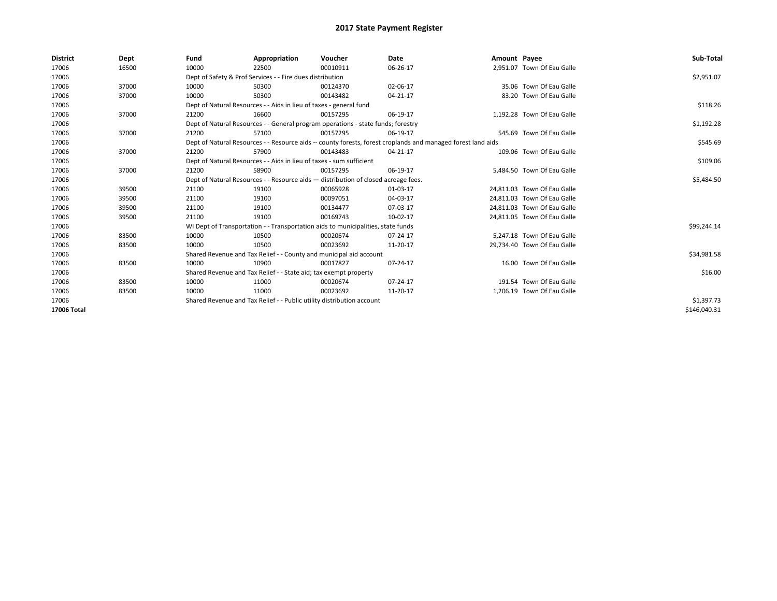| <b>District</b> | Dept  | Fund                                                                                                         | Appropriation                                                                    | Voucher    | Date     | Amount Payee |                             | Sub-Total    |
|-----------------|-------|--------------------------------------------------------------------------------------------------------------|----------------------------------------------------------------------------------|------------|----------|--------------|-----------------------------|--------------|
| 17006           | 16500 | 10000                                                                                                        | 22500                                                                            | 00010911   | 06-26-17 |              | 2.951.07 Town Of Eau Galle  |              |
| 17006           |       |                                                                                                              | Dept of Safety & Prof Services - - Fire dues distribution                        |            |          |              |                             | \$2,951.07   |
| 17006           | 37000 | 10000                                                                                                        | 50300                                                                            | 00124370   | 02-06-17 |              | 35.06 Town Of Eau Galle     |              |
| 17006           | 37000 | 10000                                                                                                        | 50300                                                                            | 00143482   | 04-21-17 |              | 83.20 Town Of Eau Galle     |              |
| 17006           |       | Dept of Natural Resources - - Aids in lieu of taxes - general fund                                           |                                                                                  | \$118.26   |          |              |                             |              |
| 17006           | 37000 | 21200                                                                                                        | 16600                                                                            | 00157295   | 06-19-17 |              | 1.192.28 Town Of Eau Galle  |              |
| 17006           |       | Dept of Natural Resources - - General program operations - state funds; forestry                             |                                                                                  | \$1,192.28 |          |              |                             |              |
| 17006           | 37000 | 21200                                                                                                        | 57100                                                                            | 00157295   | 06-19-17 |              | 545.69 Town Of Eau Galle    |              |
| 17006           |       | Dept of Natural Resources - - Resource aids -- county forests, forest croplands and managed forest land aids |                                                                                  | \$545.69   |          |              |                             |              |
| 17006           | 37000 | 21200                                                                                                        | 57900                                                                            | 00143483   | 04-21-17 |              | 109.06 Town Of Eau Galle    |              |
| 17006           |       | Dept of Natural Resources - - Aids in lieu of taxes - sum sufficient                                         |                                                                                  | \$109.06   |          |              |                             |              |
| 17006           | 37000 | 21200                                                                                                        | 58900                                                                            | 00157295   | 06-19-17 |              | 5,484.50 Town Of Eau Galle  |              |
| 17006           |       | Dept of Natural Resources - - Resource aids - distribution of closed acreage fees.                           |                                                                                  | \$5,484.50 |          |              |                             |              |
| 17006           | 39500 | 21100                                                                                                        | 19100                                                                            | 00065928   | 01-03-17 |              | 24.811.03 Town Of Eau Galle |              |
| 17006           | 39500 | 21100                                                                                                        | 19100                                                                            | 00097051   | 04-03-17 |              | 24,811.03 Town Of Eau Galle |              |
| 17006           | 39500 | 21100                                                                                                        | 19100                                                                            | 00134477   | 07-03-17 |              | 24.811.03 Town Of Eau Galle |              |
| 17006           | 39500 | 21100                                                                                                        | 19100                                                                            | 00169743   | 10-02-17 |              | 24,811.05 Town Of Eau Galle |              |
| 17006           |       |                                                                                                              | WI Dept of Transportation - - Transportation aids to municipalities, state funds |            |          |              |                             | \$99,244.14  |
| 17006           | 83500 | 10000                                                                                                        | 10500                                                                            | 00020674   | 07-24-17 |              | 5.247.18 Town Of Eau Galle  |              |
| 17006           | 83500 | 10000                                                                                                        | 10500                                                                            | 00023692   | 11-20-17 |              | 29,734.40 Town Of Eau Galle |              |
| 17006           |       |                                                                                                              | Shared Revenue and Tax Relief - - County and municipal aid account               |            |          |              |                             | \$34,981.58  |
| 17006           | 83500 | 10000                                                                                                        | 10900                                                                            | 00017827   | 07-24-17 |              | 16.00 Town Of Eau Galle     |              |
| 17006           |       |                                                                                                              | Shared Revenue and Tax Relief - - State aid; tax exempt property                 |            |          |              |                             | \$16.00      |
| 17006           | 83500 | 10000                                                                                                        | 11000                                                                            | 00020674   | 07-24-17 |              | 191.54 Town Of Eau Galle    |              |
| 17006           | 83500 | 10000                                                                                                        | 11000                                                                            | 00023692   | 11-20-17 |              | 1,206.19 Town Of Eau Galle  |              |
| 17006           |       | Shared Revenue and Tax Relief - - Public utility distribution account                                        |                                                                                  | \$1,397.73 |          |              |                             |              |
| 17006 Total     |       |                                                                                                              |                                                                                  |            |          |              |                             | \$146,040.31 |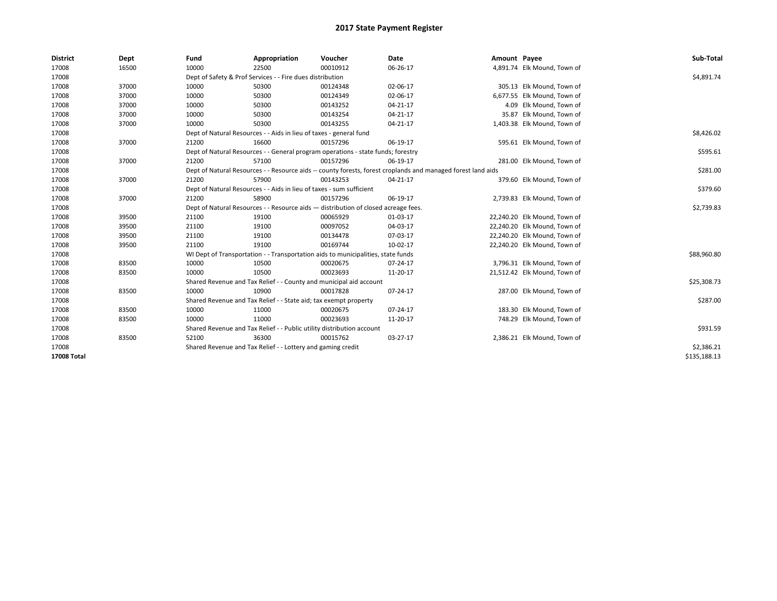| <b>District</b>    | Dept  | Fund  | Appropriation                                                                                                | Voucher  | Date     | Amount Payee |                              | Sub-Total    |  |  |
|--------------------|-------|-------|--------------------------------------------------------------------------------------------------------------|----------|----------|--------------|------------------------------|--------------|--|--|
| 17008              | 16500 | 10000 | 22500                                                                                                        | 00010912 | 06-26-17 |              | 4,891.74 Elk Mound, Town of  |              |  |  |
| 17008              |       |       | Dept of Safety & Prof Services - - Fire dues distribution                                                    |          |          |              |                              | \$4,891.74   |  |  |
| 17008              | 37000 | 10000 | 50300                                                                                                        | 00124348 | 02-06-17 |              | 305.13 Elk Mound, Town of    |              |  |  |
| 17008              | 37000 | 10000 | 50300                                                                                                        | 00124349 | 02-06-17 |              | 6,677.55 Elk Mound, Town of  |              |  |  |
| 17008              | 37000 | 10000 | 50300                                                                                                        | 00143252 | 04-21-17 |              | 4.09 Elk Mound, Town of      |              |  |  |
| 17008              | 37000 | 10000 | 50300                                                                                                        | 00143254 | 04-21-17 |              | 35.87 Elk Mound, Town of     |              |  |  |
| 17008              | 37000 | 10000 | 50300                                                                                                        | 00143255 | 04-21-17 |              | 1,403.38 Elk Mound, Town of  |              |  |  |
| 17008              |       |       | Dept of Natural Resources - - Aids in lieu of taxes - general fund                                           |          |          |              |                              |              |  |  |
| 17008              | 37000 | 21200 | 16600                                                                                                        | 00157296 | 06-19-17 |              | 595.61 Elk Mound, Town of    |              |  |  |
| 17008              |       |       | Dept of Natural Resources - - General program operations - state funds; forestry                             |          |          |              |                              | \$595.61     |  |  |
| 17008              | 37000 | 21200 | 57100                                                                                                        | 00157296 | 06-19-17 |              | 281.00 Elk Mound, Town of    |              |  |  |
| 17008              |       |       | Dept of Natural Resources - - Resource aids -- county forests, forest croplands and managed forest land aids |          |          |              |                              | \$281.00     |  |  |
| 17008              | 37000 | 21200 | 57900                                                                                                        | 00143253 | 04-21-17 |              | 379.60 Elk Mound, Town of    |              |  |  |
| 17008              |       |       | Dept of Natural Resources - - Aids in lieu of taxes - sum sufficient                                         |          |          |              |                              |              |  |  |
| 17008              | 37000 | 21200 | 58900                                                                                                        | 00157296 | 06-19-17 |              | 2,739.83 Elk Mound, Town of  |              |  |  |
| 17008              |       |       | Dept of Natural Resources - - Resource aids - distribution of closed acreage fees.                           |          |          |              |                              | \$2,739.83   |  |  |
| 17008              | 39500 | 21100 | 19100                                                                                                        | 00065929 | 01-03-17 |              | 22,240.20 Elk Mound, Town of |              |  |  |
| 17008              | 39500 | 21100 | 19100                                                                                                        | 00097052 | 04-03-17 |              | 22,240.20 Elk Mound, Town of |              |  |  |
| 17008              | 39500 | 21100 | 19100                                                                                                        | 00134478 | 07-03-17 |              | 22,240.20 Elk Mound, Town of |              |  |  |
| 17008              | 39500 | 21100 | 19100                                                                                                        | 00169744 | 10-02-17 |              | 22,240.20 Elk Mound, Town of |              |  |  |
| 17008              |       |       | WI Dept of Transportation - - Transportation aids to municipalities, state funds                             |          |          |              |                              | \$88,960.80  |  |  |
| 17008              | 83500 | 10000 | 10500                                                                                                        | 00020675 | 07-24-17 |              | 3,796.31 Elk Mound, Town of  |              |  |  |
| 17008              | 83500 | 10000 | 10500                                                                                                        | 00023693 | 11-20-17 |              | 21,512.42 Elk Mound, Town of |              |  |  |
| 17008              |       |       | Shared Revenue and Tax Relief - - County and municipal aid account                                           |          |          |              |                              | \$25,308.73  |  |  |
| 17008              | 83500 | 10000 | 10900                                                                                                        | 00017828 | 07-24-17 |              | 287.00 Elk Mound, Town of    |              |  |  |
| 17008              |       |       | Shared Revenue and Tax Relief - - State aid; tax exempt property                                             |          |          |              |                              | \$287.00     |  |  |
| 17008              | 83500 | 10000 | 11000                                                                                                        | 00020675 | 07-24-17 |              | 183.30 Elk Mound, Town of    |              |  |  |
| 17008              | 83500 | 10000 | 11000                                                                                                        | 00023693 | 11-20-17 |              | 748.29 Elk Mound, Town of    |              |  |  |
| 17008              |       |       | Shared Revenue and Tax Relief - - Public utility distribution account                                        |          |          |              |                              | \$931.59     |  |  |
| 17008              | 83500 | 52100 | 36300                                                                                                        | 00015762 | 03-27-17 |              | 2,386.21 Elk Mound, Town of  |              |  |  |
| 17008              |       |       | Shared Revenue and Tax Relief - - Lottery and gaming credit                                                  |          |          |              |                              | \$2,386.21   |  |  |
| <b>17008 Total</b> |       |       |                                                                                                              |          |          |              |                              | \$135,188.13 |  |  |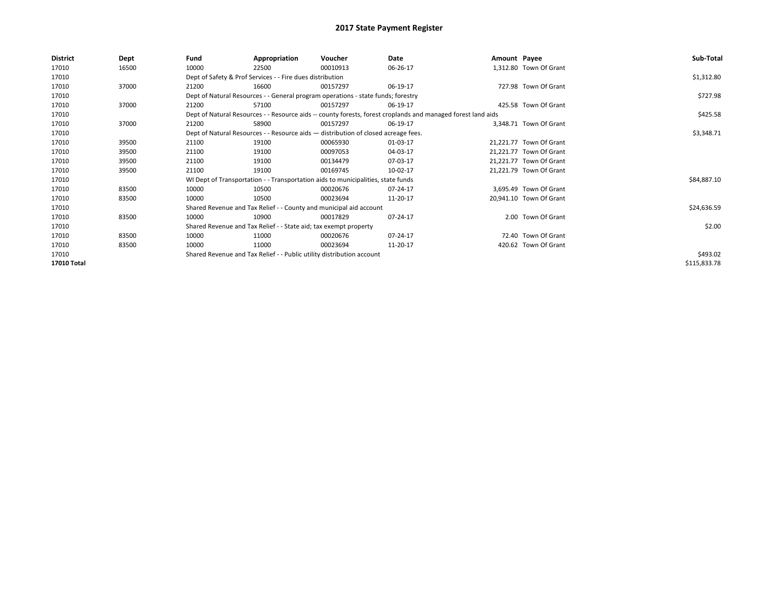| District    | Dept  | Fund  | Appropriation                                                                      | Voucher  | Date                                                                                                         | Amount Payee |                         | Sub-Total    |
|-------------|-------|-------|------------------------------------------------------------------------------------|----------|--------------------------------------------------------------------------------------------------------------|--------------|-------------------------|--------------|
| 17010       | 16500 | 10000 | 22500                                                                              | 00010913 | 06-26-17                                                                                                     |              | 1,312.80 Town Of Grant  |              |
| 17010       |       |       | Dept of Safety & Prof Services - - Fire dues distribution                          |          |                                                                                                              |              |                         | \$1,312.80   |
| 17010       | 37000 | 21200 | 16600                                                                              | 00157297 | 06-19-17                                                                                                     |              | 727.98 Town Of Grant    |              |
| 17010       |       |       | Dept of Natural Resources - - General program operations - state funds; forestry   |          |                                                                                                              |              |                         | \$727.98     |
| 17010       | 37000 | 21200 | 57100                                                                              | 00157297 | 06-19-17                                                                                                     |              | 425.58 Town Of Grant    |              |
| 17010       |       |       |                                                                                    |          | Dept of Natural Resources - - Resource aids -- county forests, forest croplands and managed forest land aids |              |                         | \$425.58     |
| 17010       | 37000 | 21200 | 58900                                                                              | 00157297 | 06-19-17                                                                                                     |              | 3,348.71 Town Of Grant  |              |
| 17010       |       |       | Dept of Natural Resources - - Resource aids - distribution of closed acreage fees. |          | \$3,348.71                                                                                                   |              |                         |              |
| 17010       | 39500 | 21100 | 19100                                                                              | 00065930 | 01-03-17                                                                                                     |              | 21,221.77 Town Of Grant |              |
| 17010       | 39500 | 21100 | 19100                                                                              | 00097053 | 04-03-17                                                                                                     |              | 21,221.77 Town Of Grant |              |
| 17010       | 39500 | 21100 | 19100                                                                              | 00134479 | 07-03-17                                                                                                     |              | 21,221.77 Town Of Grant |              |
| 17010       | 39500 | 21100 | 19100                                                                              | 00169745 | 10-02-17                                                                                                     |              | 21,221.79 Town Of Grant |              |
| 17010       |       |       | WI Dept of Transportation - - Transportation aids to municipalities, state funds   |          |                                                                                                              |              |                         | \$84,887.10  |
| 17010       | 83500 | 10000 | 10500                                                                              | 00020676 | 07-24-17                                                                                                     |              | 3,695.49 Town Of Grant  |              |
| 17010       | 83500 | 10000 | 10500                                                                              | 00023694 | 11-20-17                                                                                                     |              | 20,941.10 Town Of Grant |              |
| 17010       |       |       | Shared Revenue and Tax Relief - - County and municipal aid account                 |          |                                                                                                              |              |                         | \$24,636.59  |
| 17010       | 83500 | 10000 | 10900                                                                              | 00017829 | 07-24-17                                                                                                     |              | 2.00 Town Of Grant      |              |
| 17010       |       |       | Shared Revenue and Tax Relief - - State aid; tax exempt property                   |          |                                                                                                              |              |                         | \$2.00       |
| 17010       | 83500 | 10000 | 11000                                                                              | 00020676 | 07-24-17                                                                                                     |              | 72.40 Town Of Grant     |              |
| 17010       | 83500 | 10000 | 11000                                                                              | 00023694 | 11-20-17                                                                                                     |              | 420.62 Town Of Grant    |              |
| 17010       |       |       | Shared Revenue and Tax Relief - - Public utility distribution account              |          |                                                                                                              |              |                         | \$493.02     |
| 17010 Total |       |       |                                                                                    |          |                                                                                                              |              |                         | \$115,833.78 |
|             |       |       |                                                                                    |          |                                                                                                              |              |                         |              |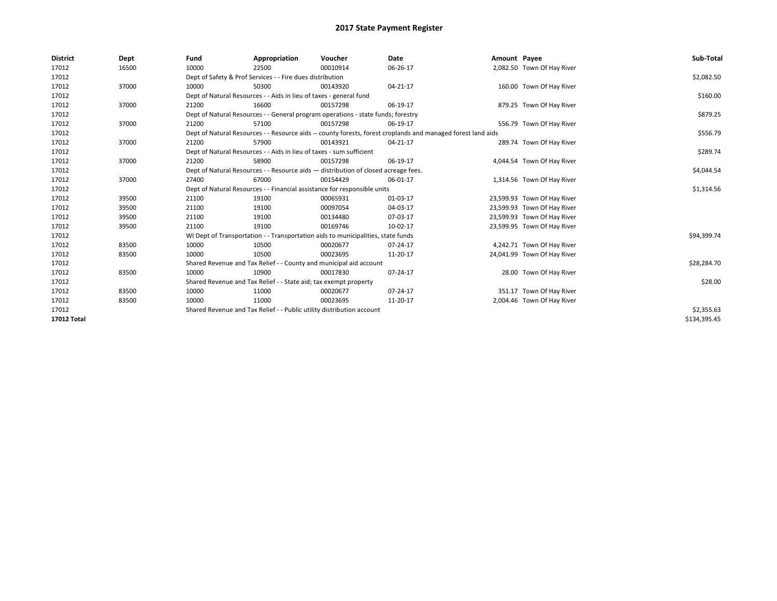| <b>District</b>    | Dept  | Fund  | Appropriation                                                                                                | Voucher  | Date     | Amount Payee |                             | Sub-Total    |  |  |  |
|--------------------|-------|-------|--------------------------------------------------------------------------------------------------------------|----------|----------|--------------|-----------------------------|--------------|--|--|--|
| 17012              | 16500 | 10000 | 22500                                                                                                        | 00010914 | 06-26-17 |              | 2,082.50 Town Of Hay River  |              |  |  |  |
| 17012              |       |       | Dept of Safety & Prof Services - - Fire dues distribution                                                    |          |          |              |                             | \$2,082.50   |  |  |  |
| 17012              | 37000 | 10000 | 50300                                                                                                        | 00143920 | 04-21-17 |              | 160.00 Town Of Hay River    |              |  |  |  |
| 17012              |       |       | Dept of Natural Resources - - Aids in lieu of taxes - general fund                                           |          |          |              |                             | \$160.00     |  |  |  |
| 17012              | 37000 | 21200 | 16600                                                                                                        | 00157298 | 06-19-17 |              | 879.25 Town Of Hay River    |              |  |  |  |
| 17012              |       |       | Dept of Natural Resources - - General program operations - state funds; forestry                             |          |          |              |                             | \$879.25     |  |  |  |
| 17012              | 37000 | 21200 | 57100                                                                                                        | 00157298 | 06-19-17 |              | 556.79 Town Of Hay River    |              |  |  |  |
| 17012              |       |       | Dept of Natural Resources - - Resource aids -- county forests, forest croplands and managed forest land aids |          |          |              |                             |              |  |  |  |
| 17012              | 37000 | 21200 | 57900                                                                                                        | 00143921 | 04-21-17 |              | 289.74 Town Of Hay River    |              |  |  |  |
| 17012              |       |       | Dept of Natural Resources - - Aids in lieu of taxes - sum sufficient                                         |          |          |              |                             | \$289.74     |  |  |  |
| 17012              | 37000 | 21200 | 58900                                                                                                        | 00157298 | 06-19-17 |              | 4,044.54 Town Of Hay River  |              |  |  |  |
| 17012              |       |       | Dept of Natural Resources - - Resource aids - distribution of closed acreage fees.                           |          |          |              |                             | \$4,044.54   |  |  |  |
| 17012              | 37000 | 27400 | 67000                                                                                                        | 00154429 | 06-01-17 |              | 1,314.56 Town Of Hay River  |              |  |  |  |
| 17012              |       |       | Dept of Natural Resources - - Financial assistance for responsible units                                     |          |          |              |                             | \$1,314.56   |  |  |  |
| 17012              | 39500 | 21100 | 19100                                                                                                        | 00065931 | 01-03-17 |              | 23,599.93 Town Of Hay River |              |  |  |  |
| 17012              | 39500 | 21100 | 19100                                                                                                        | 00097054 | 04-03-17 |              | 23,599.93 Town Of Hay River |              |  |  |  |
| 17012              | 39500 | 21100 | 19100                                                                                                        | 00134480 | 07-03-17 |              | 23,599.93 Town Of Hay River |              |  |  |  |
| 17012              | 39500 | 21100 | 19100                                                                                                        | 00169746 | 10-02-17 |              | 23,599.95 Town Of Hay River |              |  |  |  |
| 17012              |       |       | WI Dept of Transportation - - Transportation aids to municipalities, state funds                             |          |          |              |                             | \$94,399.74  |  |  |  |
| 17012              | 83500 | 10000 | 10500                                                                                                        | 00020677 | 07-24-17 |              | 4,242.71 Town Of Hay River  |              |  |  |  |
| 17012              | 83500 | 10000 | 10500                                                                                                        | 00023695 | 11-20-17 |              | 24,041.99 Town Of Hay River |              |  |  |  |
| 17012              |       |       | Shared Revenue and Tax Relief - - County and municipal aid account                                           |          |          |              |                             | \$28,284.70  |  |  |  |
| 17012              | 83500 | 10000 | 10900                                                                                                        | 00017830 | 07-24-17 |              | 28.00 Town Of Hay River     |              |  |  |  |
| 17012              |       |       | Shared Revenue and Tax Relief - - State aid; tax exempt property                                             |          |          |              |                             | \$28.00      |  |  |  |
| 17012              | 83500 | 10000 | 11000                                                                                                        | 00020677 | 07-24-17 |              | 351.17 Town Of Hay River    |              |  |  |  |
| 17012              | 83500 | 10000 | 11000                                                                                                        | 00023695 | 11-20-17 |              | 2,004.46 Town Of Hay River  |              |  |  |  |
| 17012              |       |       | Shared Revenue and Tax Relief - - Public utility distribution account                                        |          |          |              |                             |              |  |  |  |
| <b>17012 Total</b> |       |       |                                                                                                              |          |          |              |                             | \$134.395.45 |  |  |  |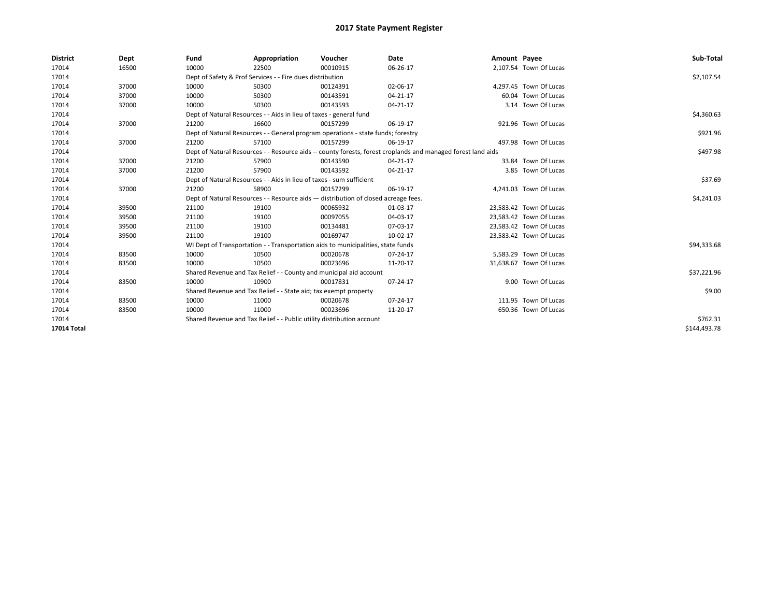| <b>District</b>    | Dept  | Fund                                                                             | Appropriation                                                                                                | Voucher    | Date     | Amount Payee |                         | Sub-Total    |
|--------------------|-------|----------------------------------------------------------------------------------|--------------------------------------------------------------------------------------------------------------|------------|----------|--------------|-------------------------|--------------|
| 17014              | 16500 | 10000                                                                            | 22500                                                                                                        | 00010915   | 06-26-17 |              | 2,107.54 Town Of Lucas  |              |
| 17014              |       |                                                                                  | Dept of Safety & Prof Services - - Fire dues distribution                                                    |            |          |              |                         | \$2,107.54   |
| 17014              | 37000 | 10000                                                                            | 50300                                                                                                        | 00124391   | 02-06-17 |              | 4,297.45 Town Of Lucas  |              |
| 17014              | 37000 | 10000                                                                            | 50300                                                                                                        | 00143591   | 04-21-17 |              | 60.04 Town Of Lucas     |              |
| 17014              | 37000 | 10000                                                                            | 50300                                                                                                        | 00143593   | 04-21-17 |              | 3.14 Town Of Lucas      |              |
| 17014              |       | Dept of Natural Resources - - Aids in lieu of taxes - general fund               |                                                                                                              | \$4,360.63 |          |              |                         |              |
| 17014              | 37000 | 21200                                                                            | 16600                                                                                                        | 00157299   | 06-19-17 |              | 921.96 Town Of Lucas    |              |
| 17014              |       | Dept of Natural Resources - - General program operations - state funds; forestry |                                                                                                              | \$921.96   |          |              |                         |              |
| 17014              | 37000 | 21200                                                                            | 57100                                                                                                        | 00157299   | 06-19-17 |              | 497.98 Town Of Lucas    |              |
| 17014              |       |                                                                                  | Dept of Natural Resources - - Resource aids -- county forests, forest croplands and managed forest land aids |            | \$497.98 |              |                         |              |
| 17014              | 37000 | 21200                                                                            | 57900                                                                                                        | 00143590   | 04-21-17 |              | 33.84 Town Of Lucas     |              |
| 17014              | 37000 | 21200                                                                            | 57900                                                                                                        | 00143592   | 04-21-17 |              | 3.85 Town Of Lucas      |              |
| 17014              |       | Dept of Natural Resources - - Aids in lieu of taxes - sum sufficient             |                                                                                                              | \$37.69    |          |              |                         |              |
| 17014              | 37000 | 21200                                                                            | 58900                                                                                                        | 00157299   | 06-19-17 |              | 4,241.03 Town Of Lucas  |              |
| 17014              |       |                                                                                  | Dept of Natural Resources - - Resource aids - distribution of closed acreage fees.                           |            |          |              |                         | \$4,241.03   |
| 17014              | 39500 | 21100                                                                            | 19100                                                                                                        | 00065932   | 01-03-17 |              | 23,583.42 Town Of Lucas |              |
| 17014              | 39500 | 21100                                                                            | 19100                                                                                                        | 00097055   | 04-03-17 |              | 23,583.42 Town Of Lucas |              |
| 17014              | 39500 | 21100                                                                            | 19100                                                                                                        | 00134481   | 07-03-17 |              | 23,583.42 Town Of Lucas |              |
| 17014              | 39500 | 21100                                                                            | 19100                                                                                                        | 00169747   | 10-02-17 |              | 23,583.42 Town Of Lucas |              |
| 17014              |       |                                                                                  | WI Dept of Transportation - - Transportation aids to municipalities, state funds                             |            |          |              |                         | \$94,333.68  |
| 17014              | 83500 | 10000                                                                            | 10500                                                                                                        | 00020678   | 07-24-17 |              | 5,583.29 Town Of Lucas  |              |
| 17014              | 83500 | 10000                                                                            | 10500                                                                                                        | 00023696   | 11-20-17 |              | 31,638.67 Town Of Lucas |              |
| 17014              |       |                                                                                  | Shared Revenue and Tax Relief - - County and municipal aid account                                           |            |          |              |                         | \$37,221.96  |
| 17014              | 83500 | 10000                                                                            | 10900                                                                                                        | 00017831   | 07-24-17 |              | 9.00 Town Of Lucas      |              |
| 17014              |       |                                                                                  | Shared Revenue and Tax Relief - - State aid; tax exempt property                                             |            |          |              |                         | \$9.00       |
| 17014              | 83500 | 10000                                                                            | 11000                                                                                                        | 00020678   | 07-24-17 |              | 111.95 Town Of Lucas    |              |
| 17014              | 83500 | 10000                                                                            | 11000                                                                                                        | 00023696   | 11-20-17 |              | 650.36 Town Of Lucas    |              |
| 17014              |       | Shared Revenue and Tax Relief - - Public utility distribution account            |                                                                                                              | \$762.31   |          |              |                         |              |
| <b>17014 Total</b> |       |                                                                                  |                                                                                                              |            |          |              |                         | \$144.493.78 |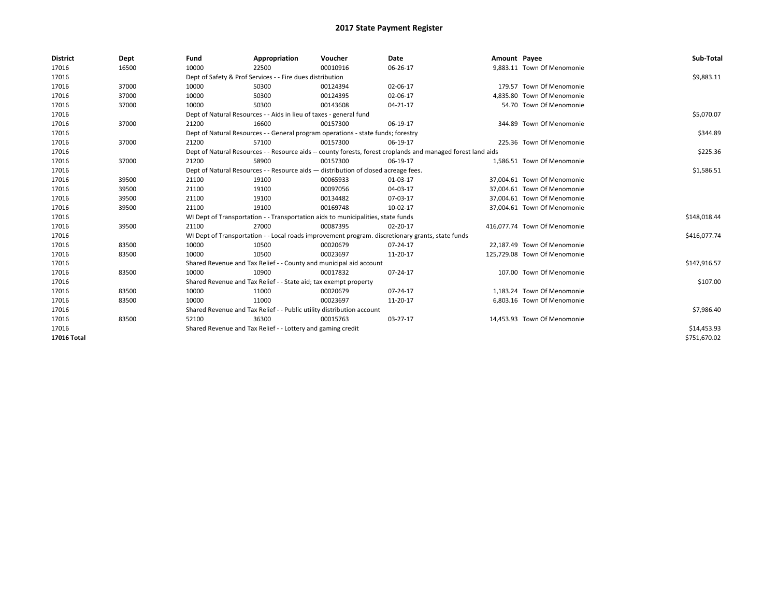| <b>District</b>    | Dept  | Fund                                                                                                         | Appropriation                                                                      | Voucher     | <b>Date</b>                                                                                      | Amount Payee |                              | Sub-Total    |
|--------------------|-------|--------------------------------------------------------------------------------------------------------------|------------------------------------------------------------------------------------|-------------|--------------------------------------------------------------------------------------------------|--------------|------------------------------|--------------|
| 17016              | 16500 | 10000                                                                                                        | 22500                                                                              | 00010916    | 06-26-17                                                                                         |              | 9,883.11 Town Of Menomonie   |              |
| 17016              |       |                                                                                                              | Dept of Safety & Prof Services - - Fire dues distribution                          |             |                                                                                                  |              |                              | \$9,883.11   |
| 17016              | 37000 | 10000                                                                                                        | 50300                                                                              | 00124394    | 02-06-17                                                                                         |              | 179.57 Town Of Menomonie     |              |
| 17016              | 37000 | 10000                                                                                                        | 50300                                                                              | 00124395    | 02-06-17                                                                                         |              | 4.835.80 Town Of Menomonie   |              |
| 17016              | 37000 | 10000                                                                                                        | 50300                                                                              | 00143608    | 04-21-17                                                                                         |              | 54.70 Town Of Menomonie      |              |
| 17016              |       | Dept of Natural Resources - - Aids in lieu of taxes - general fund                                           |                                                                                    | \$5,070.07  |                                                                                                  |              |                              |              |
| 17016              | 37000 | 21200                                                                                                        | 16600                                                                              | 00157300    | 06-19-17                                                                                         |              | 344.89 Town Of Menomonie     |              |
| 17016              |       |                                                                                                              | Dept of Natural Resources - - General program operations - state funds; forestry   |             |                                                                                                  |              |                              | \$344.89     |
| 17016              | 37000 | 21200                                                                                                        | 57100                                                                              | 00157300    | 06-19-17                                                                                         |              | 225.36 Town Of Menomonie     |              |
| 17016              |       | Dept of Natural Resources - - Resource aids -- county forests, forest croplands and managed forest land aids |                                                                                    | \$225.36    |                                                                                                  |              |                              |              |
| 17016              | 37000 | 21200                                                                                                        | 58900                                                                              | 00157300    | 06-19-17                                                                                         |              | 1.586.51 Town Of Menomonie   |              |
| 17016              |       |                                                                                                              | Dept of Natural Resources - - Resource aids - distribution of closed acreage fees. |             |                                                                                                  |              |                              | \$1,586.51   |
| 17016              | 39500 | 21100                                                                                                        | 19100                                                                              | 00065933    | 01-03-17                                                                                         |              | 37.004.61 Town Of Menomonie  |              |
| 17016              | 39500 | 21100                                                                                                        | 19100                                                                              | 00097056    | 04-03-17                                                                                         |              | 37.004.61 Town Of Menomonie  |              |
| 17016              | 39500 | 21100                                                                                                        | 19100                                                                              | 00134482    | 07-03-17                                                                                         |              | 37,004.61 Town Of Menomonie  |              |
| 17016              | 39500 | 21100                                                                                                        | 19100                                                                              | 00169748    | 10-02-17                                                                                         |              | 37,004.61 Town Of Menomonie  |              |
| 17016              |       |                                                                                                              | WI Dept of Transportation - - Transportation aids to municipalities, state funds   |             |                                                                                                  |              |                              | \$148,018.44 |
| 17016              | 39500 | 21100                                                                                                        | 27000                                                                              | 00087395    | 02-20-17                                                                                         |              | 416.077.74 Town Of Menomonie |              |
| 17016              |       |                                                                                                              |                                                                                    |             | WI Dept of Transportation - - Local roads improvement program. discretionary grants, state funds |              |                              | \$416,077.74 |
| 17016              | 83500 | 10000                                                                                                        | 10500                                                                              | 00020679    | 07-24-17                                                                                         |              | 22,187.49 Town Of Menomonie  |              |
| 17016              | 83500 | 10000                                                                                                        | 10500                                                                              | 00023697    | 11-20-17                                                                                         |              | 125,729.08 Town Of Menomonie |              |
| 17016              |       |                                                                                                              | Shared Revenue and Tax Relief - - County and municipal aid account                 |             |                                                                                                  |              |                              | \$147,916.57 |
| 17016              | 83500 | 10000                                                                                                        | 10900                                                                              | 00017832    | 07-24-17                                                                                         |              | 107.00 Town Of Menomonie     |              |
| 17016              |       |                                                                                                              | Shared Revenue and Tax Relief - - State aid; tax exempt property                   |             |                                                                                                  |              |                              | \$107.00     |
| 17016              | 83500 | 10000                                                                                                        | 11000                                                                              | 00020679    | 07-24-17                                                                                         |              | 1.183.24 Town Of Menomonie   |              |
| 17016              | 83500 | 10000                                                                                                        | 11000                                                                              | 00023697    | 11-20-17                                                                                         |              | 6.803.16 Town Of Menomonie   |              |
| 17016              |       |                                                                                                              | Shared Revenue and Tax Relief - - Public utility distribution account              |             |                                                                                                  |              |                              | \$7,986.40   |
| 17016              | 83500 | 52100                                                                                                        | 36300                                                                              | 00015763    | 03-27-17                                                                                         |              | 14,453.93 Town Of Menomonie  |              |
| 17016              |       | Shared Revenue and Tax Relief - - Lottery and gaming credit                                                  |                                                                                    | \$14,453.93 |                                                                                                  |              |                              |              |
| <b>17016 Total</b> |       |                                                                                                              |                                                                                    |             |                                                                                                  |              |                              | \$751,670.02 |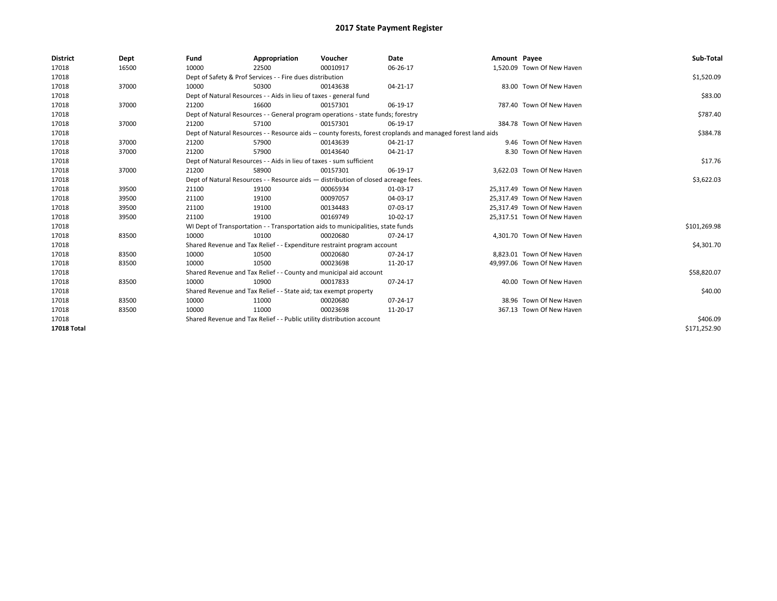| <b>District</b>    | Dept  | Fund                                                                               | Appropriation                                                        | Voucher                                                                          | Date                                                                                                         | Amount Payee |                             | Sub-Total    |
|--------------------|-------|------------------------------------------------------------------------------------|----------------------------------------------------------------------|----------------------------------------------------------------------------------|--------------------------------------------------------------------------------------------------------------|--------------|-----------------------------|--------------|
| 17018              | 16500 | 10000                                                                              | 22500                                                                | 00010917                                                                         | 06-26-17                                                                                                     |              | 1,520.09 Town Of New Haven  |              |
| 17018              |       |                                                                                    | Dept of Safety & Prof Services - - Fire dues distribution            |                                                                                  |                                                                                                              |              |                             | \$1,520.09   |
| 17018              | 37000 | 10000                                                                              | 50300                                                                | 00143638                                                                         | 04-21-17                                                                                                     |              | 83.00 Town Of New Haven     |              |
| 17018              |       | Dept of Natural Resources - - Aids in lieu of taxes - general fund                 |                                                                      | \$83.00                                                                          |                                                                                                              |              |                             |              |
| 17018              | 37000 | 21200                                                                              | 16600                                                                | 00157301                                                                         | 06-19-17                                                                                                     |              | 787.40 Town Of New Haven    |              |
| 17018              |       |                                                                                    |                                                                      | Dept of Natural Resources - - General program operations - state funds; forestry |                                                                                                              |              |                             | \$787.40     |
| 17018              | 37000 | 21200                                                                              | 57100                                                                | 00157301                                                                         | 06-19-17                                                                                                     |              | 384.78 Town Of New Haven    |              |
| 17018              |       |                                                                                    |                                                                      |                                                                                  | Dept of Natural Resources - - Resource aids -- county forests, forest croplands and managed forest land aids |              |                             | \$384.78     |
| 17018              | 37000 | 21200                                                                              | 57900                                                                | 00143639                                                                         | 04-21-17                                                                                                     |              | 9.46 Town Of New Haven      |              |
| 17018              | 37000 | 21200                                                                              | 57900                                                                | 00143640                                                                         | 04-21-17                                                                                                     |              | 8.30 Town Of New Haven      |              |
| 17018              |       |                                                                                    | Dept of Natural Resources - - Aids in lieu of taxes - sum sufficient |                                                                                  |                                                                                                              |              |                             | \$17.76      |
| 17018              | 37000 | 21200                                                                              | 58900                                                                | 00157301                                                                         | 06-19-17                                                                                                     |              | 3,622.03 Town Of New Haven  |              |
| 17018              |       | Dept of Natural Resources - - Resource aids - distribution of closed acreage fees. |                                                                      | \$3,622.03                                                                       |                                                                                                              |              |                             |              |
| 17018              | 39500 | 21100                                                                              | 19100                                                                | 00065934                                                                         | 01-03-17                                                                                                     |              | 25.317.49 Town Of New Haven |              |
| 17018              | 39500 | 21100                                                                              | 19100                                                                | 00097057                                                                         | 04-03-17                                                                                                     |              | 25,317.49 Town Of New Haven |              |
| 17018              | 39500 | 21100                                                                              | 19100                                                                | 00134483                                                                         | 07-03-17                                                                                                     |              | 25,317.49 Town Of New Haven |              |
| 17018              | 39500 | 21100                                                                              | 19100                                                                | 00169749                                                                         | 10-02-17                                                                                                     |              | 25,317.51 Town Of New Haven |              |
| 17018              |       |                                                                                    |                                                                      | WI Dept of Transportation - - Transportation aids to municipalities, state funds |                                                                                                              |              |                             | \$101,269.98 |
| 17018              | 83500 | 10000                                                                              | 10100                                                                | 00020680                                                                         | 07-24-17                                                                                                     |              | 4,301.70 Town Of New Haven  |              |
| 17018              |       |                                                                                    |                                                                      | Shared Revenue and Tax Relief - - Expenditure restraint program account          |                                                                                                              |              |                             | \$4,301.70   |
| 17018              | 83500 | 10000                                                                              | 10500                                                                | 00020680                                                                         | 07-24-17                                                                                                     |              | 8,823.01 Town Of New Haven  |              |
| 17018              | 83500 | 10000                                                                              | 10500                                                                | 00023698                                                                         | 11-20-17                                                                                                     |              | 49.997.06 Town Of New Haven |              |
| 17018              |       |                                                                                    |                                                                      | Shared Revenue and Tax Relief - - County and municipal aid account               |                                                                                                              |              |                             | \$58,820.07  |
| 17018              | 83500 | 10000                                                                              | 10900                                                                | 00017833                                                                         | 07-24-17                                                                                                     |              | 40.00 Town Of New Haven     |              |
| 17018              |       |                                                                                    | Shared Revenue and Tax Relief - - State aid; tax exempt property     |                                                                                  |                                                                                                              |              |                             | \$40.00      |
| 17018              | 83500 | 10000                                                                              | 11000                                                                | 00020680                                                                         | 07-24-17                                                                                                     |              | 38.96 Town Of New Haven     |              |
| 17018              | 83500 | 10000                                                                              | 11000                                                                | 00023698                                                                         | 11-20-17                                                                                                     |              | 367.13 Town Of New Haven    |              |
| 17018              |       | Shared Revenue and Tax Relief - - Public utility distribution account              |                                                                      | \$406.09                                                                         |                                                                                                              |              |                             |              |
| <b>17018 Total</b> |       |                                                                                    |                                                                      |                                                                                  |                                                                                                              |              |                             | \$171,252.90 |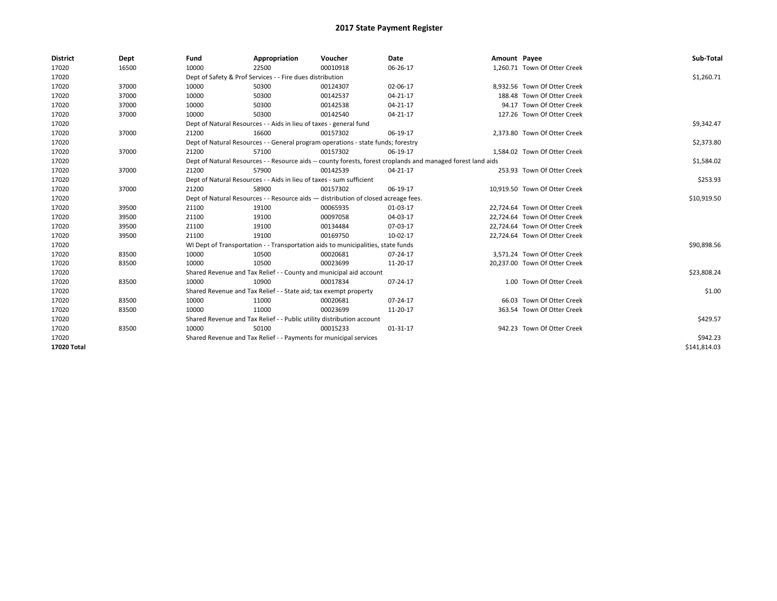| <b>District</b> | Dept  | Fund  | Appropriation                                                                                                | Voucher  | Date     | Amount Payee |                               | Sub-Total    |  |  |  |
|-----------------|-------|-------|--------------------------------------------------------------------------------------------------------------|----------|----------|--------------|-------------------------------|--------------|--|--|--|
| 17020           | 16500 | 10000 | 22500                                                                                                        | 00010918 | 06-26-17 |              | 1,260.71 Town Of Otter Creek  |              |  |  |  |
| 17020           |       |       | Dept of Safety & Prof Services - - Fire dues distribution                                                    |          |          |              |                               | \$1,260.71   |  |  |  |
| 17020           | 37000 | 10000 | 50300                                                                                                        | 00124307 | 02-06-17 |              | 8,932.56 Town Of Otter Creek  |              |  |  |  |
| 17020           | 37000 | 10000 | 50300                                                                                                        | 00142537 | 04-21-17 |              | 188.48 Town Of Otter Creek    |              |  |  |  |
| 17020           | 37000 | 10000 | 50300                                                                                                        | 00142538 | 04-21-17 |              | 94.17 Town Of Otter Creek     |              |  |  |  |
| 17020           | 37000 | 10000 | 50300                                                                                                        | 00142540 | 04-21-17 |              | 127.26 Town Of Otter Creek    |              |  |  |  |
| 17020           |       |       | Dept of Natural Resources - - Aids in lieu of taxes - general fund                                           |          |          |              |                               | \$9,342.47   |  |  |  |
| 17020           | 37000 | 21200 | 16600                                                                                                        | 00157302 | 06-19-17 |              | 2,373.80 Town Of Otter Creek  |              |  |  |  |
| 17020           |       |       | Dept of Natural Resources - - General program operations - state funds; forestry                             |          |          |              |                               | \$2,373.80   |  |  |  |
| 17020           | 37000 | 21200 | 57100                                                                                                        | 00157302 | 06-19-17 |              | 1,584.02 Town Of Otter Creek  |              |  |  |  |
| 17020           |       |       | Dept of Natural Resources - - Resource aids -- county forests, forest croplands and managed forest land aids |          |          |              |                               |              |  |  |  |
| 17020           | 37000 | 21200 | 57900                                                                                                        | 00142539 | 04-21-17 |              | 253.93 Town Of Otter Creek    |              |  |  |  |
| 17020           |       |       | Dept of Natural Resources - - Aids in lieu of taxes - sum sufficient                                         |          |          |              |                               |              |  |  |  |
| 17020           | 37000 | 21200 | 58900                                                                                                        | 00157302 | 06-19-17 |              | 10,919.50 Town Of Otter Creek |              |  |  |  |
| 17020           |       |       | Dept of Natural Resources - - Resource aids - distribution of closed acreage fees.                           |          |          |              |                               |              |  |  |  |
| 17020           | 39500 | 21100 | 19100                                                                                                        | 00065935 | 01-03-17 |              | 22.724.64 Town Of Otter Creek |              |  |  |  |
| 17020           | 39500 | 21100 | 19100                                                                                                        | 00097058 | 04-03-17 |              | 22.724.64 Town Of Otter Creek |              |  |  |  |
| 17020           | 39500 | 21100 | 19100                                                                                                        | 00134484 | 07-03-17 |              | 22,724.64 Town Of Otter Creek |              |  |  |  |
| 17020           | 39500 | 21100 | 19100                                                                                                        | 00169750 | 10-02-17 |              | 22,724.64 Town Of Otter Creek |              |  |  |  |
| 17020           |       |       | WI Dept of Transportation - - Transportation aids to municipalities, state funds                             |          |          |              |                               | \$90,898.56  |  |  |  |
| 17020           | 83500 | 10000 | 10500                                                                                                        | 00020681 | 07-24-17 |              | 3,571.24 Town Of Otter Creek  |              |  |  |  |
| 17020           | 83500 | 10000 | 10500                                                                                                        | 00023699 | 11-20-17 |              | 20,237.00 Town Of Otter Creek |              |  |  |  |
| 17020           |       |       | Shared Revenue and Tax Relief - - County and municipal aid account                                           |          |          |              |                               | \$23,808.24  |  |  |  |
| 17020           | 83500 | 10000 | 10900                                                                                                        | 00017834 | 07-24-17 |              | 1.00 Town Of Otter Creek      |              |  |  |  |
| 17020           |       |       | Shared Revenue and Tax Relief - - State aid; tax exempt property                                             |          |          |              |                               | \$1.00       |  |  |  |
| 17020           | 83500 | 10000 | 11000                                                                                                        | 00020681 | 07-24-17 |              | 66.03 Town Of Otter Creek     |              |  |  |  |
| 17020           | 83500 | 10000 | 11000                                                                                                        | 00023699 | 11-20-17 |              | 363.54 Town Of Otter Creek    |              |  |  |  |
| 17020           |       |       | Shared Revenue and Tax Relief - - Public utility distribution account                                        |          |          |              |                               | \$429.57     |  |  |  |
| 17020           | 83500 | 10000 | 50100                                                                                                        | 00015233 | 01-31-17 |              | 942.23 Town Of Otter Creek    |              |  |  |  |
| 17020           |       |       | Shared Revenue and Tax Relief - - Payments for municipal services                                            |          |          |              |                               | \$942.23     |  |  |  |
| 17020 Total     |       |       |                                                                                                              |          |          |              |                               | \$141,814.03 |  |  |  |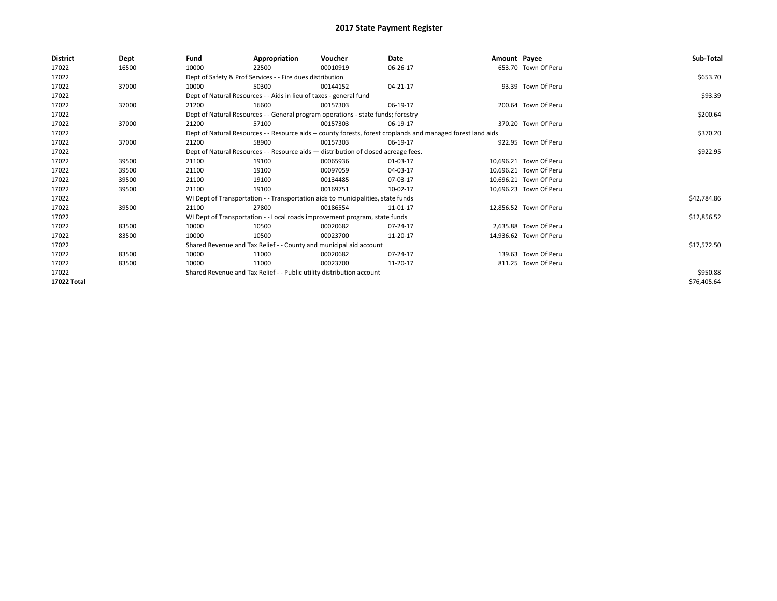| <b>District</b> | Dept  | Fund                                                                               | Appropriation                                                                    | Voucher  | Date                                                                                                         | Amount Payee |                        | Sub-Total   |
|-----------------|-------|------------------------------------------------------------------------------------|----------------------------------------------------------------------------------|----------|--------------------------------------------------------------------------------------------------------------|--------------|------------------------|-------------|
| 17022           | 16500 | 10000                                                                              | 22500                                                                            | 00010919 | 06-26-17                                                                                                     |              | 653.70 Town Of Peru    |             |
| 17022           |       |                                                                                    | Dept of Safety & Prof Services - - Fire dues distribution                        |          |                                                                                                              |              |                        | \$653.70    |
| 17022           | 37000 | 10000                                                                              | 50300                                                                            | 00144152 | 04-21-17                                                                                                     |              | 93.39 Town Of Peru     |             |
| 17022           |       |                                                                                    | Dept of Natural Resources - - Aids in lieu of taxes - general fund               |          |                                                                                                              |              |                        | \$93.39     |
| 17022           | 37000 | 21200                                                                              | 16600                                                                            | 00157303 | 06-19-17                                                                                                     |              | 200.64 Town Of Peru    |             |
| 17022           |       |                                                                                    | Dept of Natural Resources - - General program operations - state funds; forestry |          |                                                                                                              |              |                        | \$200.64    |
| 17022           | 37000 | 21200                                                                              | 57100                                                                            | 00157303 | 06-19-17                                                                                                     |              | 370.20 Town Of Peru    |             |
| 17022           |       |                                                                                    |                                                                                  |          | Dept of Natural Resources - - Resource aids -- county forests, forest croplands and managed forest land aids |              |                        | \$370.20    |
| 17022           | 37000 | 21200                                                                              | 58900                                                                            | 00157303 | 06-19-17                                                                                                     |              | 922.95 Town Of Peru    |             |
| 17022           |       | Dept of Natural Resources - - Resource aids - distribution of closed acreage fees. |                                                                                  | \$922.95 |                                                                                                              |              |                        |             |
| 17022           | 39500 | 21100                                                                              | 19100                                                                            | 00065936 | 01-03-17                                                                                                     |              | 10,696.21 Town Of Peru |             |
| 17022           | 39500 | 21100                                                                              | 19100                                                                            | 00097059 | 04-03-17                                                                                                     |              | 10,696.21 Town Of Peru |             |
| 17022           | 39500 | 21100                                                                              | 19100                                                                            | 00134485 | 07-03-17                                                                                                     |              | 10.696.21 Town Of Peru |             |
| 17022           | 39500 | 21100                                                                              | 19100                                                                            | 00169751 | 10-02-17                                                                                                     |              | 10,696.23 Town Of Peru |             |
| 17022           |       |                                                                                    | WI Dept of Transportation - - Transportation aids to municipalities, state funds |          |                                                                                                              |              |                        | \$42,784.86 |
| 17022           | 39500 | 21100                                                                              | 27800                                                                            | 00186554 | 11-01-17                                                                                                     |              | 12,856.52 Town Of Peru |             |
| 17022           |       |                                                                                    | WI Dept of Transportation - - Local roads improvement program, state funds       |          |                                                                                                              |              |                        | \$12,856.52 |
| 17022           | 83500 | 10000                                                                              | 10500                                                                            | 00020682 | 07-24-17                                                                                                     |              | 2.635.88 Town Of Peru  |             |
| 17022           | 83500 | 10000                                                                              | 10500                                                                            | 00023700 | 11-20-17                                                                                                     |              | 14,936.62 Town Of Peru |             |
| 17022           |       |                                                                                    | Shared Revenue and Tax Relief - - County and municipal aid account               |          |                                                                                                              |              |                        | \$17,572.50 |
| 17022           | 83500 | 10000                                                                              | 11000                                                                            | 00020682 | $07 - 24 - 17$                                                                                               |              | 139.63 Town Of Peru    |             |
| 17022           | 83500 | 10000                                                                              | 11000                                                                            | 00023700 | 11-20-17                                                                                                     |              | 811.25 Town Of Peru    |             |
| 17022           |       | Shared Revenue and Tax Relief - - Public utility distribution account              |                                                                                  | \$950.88 |                                                                                                              |              |                        |             |
| 17022 Total     |       |                                                                                    |                                                                                  |          |                                                                                                              |              |                        | \$76,405.64 |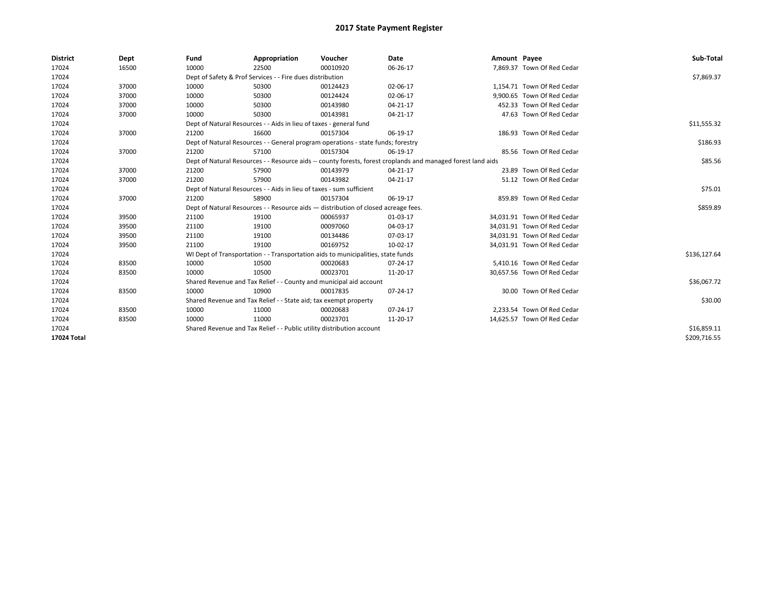| <b>District</b> | Dept  | Fund                                                                  | Appropriation                                                                      | Voucher     | Date                                                                                                         | Amount Payee |                             | Sub-Total    |
|-----------------|-------|-----------------------------------------------------------------------|------------------------------------------------------------------------------------|-------------|--------------------------------------------------------------------------------------------------------------|--------------|-----------------------------|--------------|
| 17024           | 16500 | 10000                                                                 | 22500                                                                              | 00010920    | 06-26-17                                                                                                     |              | 7,869.37 Town Of Red Cedar  |              |
| 17024           |       |                                                                       | Dept of Safety & Prof Services - - Fire dues distribution                          |             |                                                                                                              |              |                             | \$7,869.37   |
| 17024           | 37000 | 10000                                                                 | 50300                                                                              | 00124423    | 02-06-17                                                                                                     |              | 1.154.71 Town Of Red Cedar  |              |
| 17024           | 37000 | 10000                                                                 | 50300                                                                              | 00124424    | 02-06-17                                                                                                     |              | 9.900.65 Town Of Red Cedar  |              |
| 17024           | 37000 | 10000                                                                 | 50300                                                                              | 00143980    | 04-21-17                                                                                                     |              | 452.33 Town Of Red Cedar    |              |
| 17024           | 37000 | 10000                                                                 | 50300                                                                              | 00143981    | 04-21-17                                                                                                     |              | 47.63 Town Of Red Cedar     |              |
| 17024           |       | Dept of Natural Resources - - Aids in lieu of taxes - general fund    |                                                                                    | \$11,555.32 |                                                                                                              |              |                             |              |
| 17024           | 37000 | 21200                                                                 | 16600                                                                              | 00157304    | 06-19-17                                                                                                     |              | 186.93 Town Of Red Cedar    |              |
| 17024           |       |                                                                       | Dept of Natural Resources - - General program operations - state funds; forestry   |             |                                                                                                              |              |                             | \$186.93     |
| 17024           | 37000 | 21200                                                                 | 57100                                                                              | 00157304    | 06-19-17                                                                                                     |              | 85.56 Town Of Red Cedar     |              |
| 17024           |       |                                                                       |                                                                                    |             | Dept of Natural Resources - - Resource aids -- county forests, forest croplands and managed forest land aids |              |                             | \$85.56      |
| 17024           | 37000 | 21200                                                                 | 57900                                                                              | 00143979    | 04-21-17                                                                                                     |              | 23.89 Town Of Red Cedar     |              |
| 17024           | 37000 | 21200                                                                 | 57900                                                                              | 00143982    | 04-21-17                                                                                                     |              | 51.12 Town Of Red Cedar     |              |
| 17024           |       | Dept of Natural Resources - - Aids in lieu of taxes - sum sufficient  |                                                                                    | \$75.01     |                                                                                                              |              |                             |              |
| 17024           | 37000 | 21200                                                                 | 58900                                                                              | 00157304    | 06-19-17                                                                                                     |              | 859.89 Town Of Red Cedar    |              |
| 17024           |       |                                                                       | Dept of Natural Resources - - Resource aids - distribution of closed acreage fees. |             |                                                                                                              |              |                             | \$859.89     |
| 17024           | 39500 | 21100                                                                 | 19100                                                                              | 00065937    | 01-03-17                                                                                                     |              | 34,031.91 Town Of Red Cedar |              |
| 17024           | 39500 | 21100                                                                 | 19100                                                                              | 00097060    | 04-03-17                                                                                                     |              | 34,031.91 Town Of Red Cedar |              |
| 17024           | 39500 | 21100                                                                 | 19100                                                                              | 00134486    | 07-03-17                                                                                                     |              | 34,031.91 Town Of Red Cedar |              |
| 17024           | 39500 | 21100                                                                 | 19100                                                                              | 00169752    | 10-02-17                                                                                                     |              | 34,031.91 Town Of Red Cedar |              |
| 17024           |       |                                                                       | WI Dept of Transportation - - Transportation aids to municipalities, state funds   |             |                                                                                                              |              |                             | \$136,127.64 |
| 17024           | 83500 | 10000                                                                 | 10500                                                                              | 00020683    | 07-24-17                                                                                                     |              | 5,410.16 Town Of Red Cedar  |              |
| 17024           | 83500 | 10000                                                                 | 10500                                                                              | 00023701    | 11-20-17                                                                                                     |              | 30,657.56 Town Of Red Cedar |              |
| 17024           |       |                                                                       | Shared Revenue and Tax Relief - - County and municipal aid account                 |             |                                                                                                              |              |                             | \$36,067.72  |
| 17024           | 83500 | 10000                                                                 | 10900                                                                              | 00017835    | 07-24-17                                                                                                     |              | 30.00 Town Of Red Cedar     |              |
| 17024           |       | Shared Revenue and Tax Relief - - State aid; tax exempt property      |                                                                                    | \$30.00     |                                                                                                              |              |                             |              |
| 17024           | 83500 | 10000                                                                 | 11000                                                                              | 00020683    | 07-24-17                                                                                                     |              | 2,233.54 Town Of Red Cedar  |              |
| 17024           | 83500 | 10000                                                                 | 11000                                                                              | 00023701    | 11-20-17                                                                                                     |              | 14,625.57 Town Of Red Cedar |              |
| 17024           |       | Shared Revenue and Tax Relief - - Public utility distribution account |                                                                                    | \$16,859.11 |                                                                                                              |              |                             |              |
| 17024 Total     |       |                                                                       |                                                                                    |             |                                                                                                              |              |                             | \$209,716.55 |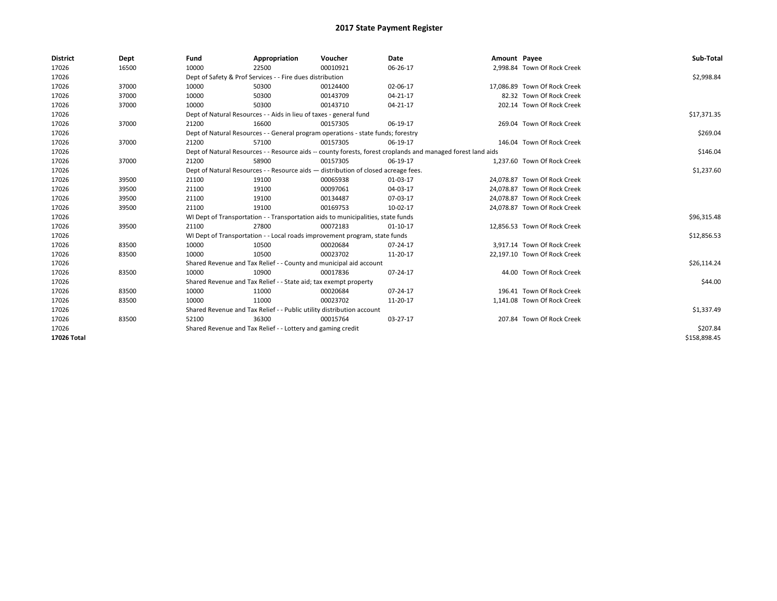| <b>District</b> | Dept  | Fund                                                               | Appropriation                                                                                                | Voucher     | Date           | Amount Payee |                              | Sub-Total    |  |  |  |
|-----------------|-------|--------------------------------------------------------------------|--------------------------------------------------------------------------------------------------------------|-------------|----------------|--------------|------------------------------|--------------|--|--|--|
| 17026           | 16500 | 10000                                                              | 22500                                                                                                        | 00010921    | 06-26-17       |              | 2,998.84 Town Of Rock Creek  |              |  |  |  |
| 17026           |       |                                                                    | Dept of Safety & Prof Services - - Fire dues distribution                                                    |             |                |              |                              | \$2,998.84   |  |  |  |
| 17026           | 37000 | 10000                                                              | 50300                                                                                                        | 00124400    | 02-06-17       |              | 17.086.89 Town Of Rock Creek |              |  |  |  |
| 17026           | 37000 | 10000                                                              | 50300                                                                                                        | 00143709    | $04 - 21 - 17$ |              | 82.32 Town Of Rock Creek     |              |  |  |  |
| 17026           | 37000 | 10000                                                              | 50300                                                                                                        | 00143710    | 04-21-17       |              | 202.14 Town Of Rock Creek    |              |  |  |  |
| 17026           |       | Dept of Natural Resources - - Aids in lieu of taxes - general fund |                                                                                                              | \$17,371.35 |                |              |                              |              |  |  |  |
| 17026           | 37000 | 21200                                                              | 16600                                                                                                        | 00157305    | 06-19-17       |              | 269.04 Town Of Rock Creek    |              |  |  |  |
| 17026           |       |                                                                    | Dept of Natural Resources - - General program operations - state funds; forestry                             |             |                |              |                              | \$269.04     |  |  |  |
| 17026           | 37000 | 21200                                                              | 57100                                                                                                        | 00157305    | 06-19-17       |              | 146.04 Town Of Rock Creek    |              |  |  |  |
| 17026           |       |                                                                    | Dept of Natural Resources - - Resource aids -- county forests, forest croplands and managed forest land aids |             | \$146.04       |              |                              |              |  |  |  |
| 17026           | 37000 | 21200                                                              | 58900                                                                                                        | 00157305    | 06-19-17       |              | 1,237.60 Town Of Rock Creek  |              |  |  |  |
| 17026           |       |                                                                    | Dept of Natural Resources - - Resource aids - distribution of closed acreage fees.                           |             |                |              |                              |              |  |  |  |
| 17026           | 39500 | 21100                                                              | 19100                                                                                                        | 00065938    | 01-03-17       |              | 24.078.87 Town Of Rock Creek |              |  |  |  |
| 17026           | 39500 | 21100                                                              | 19100                                                                                                        | 00097061    | 04-03-17       |              | 24,078.87 Town Of Rock Creek |              |  |  |  |
| 17026           | 39500 | 21100                                                              | 19100                                                                                                        | 00134487    | 07-03-17       |              | 24,078.87 Town Of Rock Creek |              |  |  |  |
| 17026           | 39500 | 21100                                                              | 19100                                                                                                        | 00169753    | 10-02-17       |              | 24,078.87 Town Of Rock Creek |              |  |  |  |
| 17026           |       |                                                                    | WI Dept of Transportation - - Transportation aids to municipalities, state funds                             |             |                |              |                              | \$96,315.48  |  |  |  |
| 17026           | 39500 | 21100                                                              | 27800                                                                                                        | 00072183    | 01-10-17       |              | 12,856.53 Town Of Rock Creek |              |  |  |  |
| 17026           |       |                                                                    | WI Dept of Transportation - - Local roads improvement program, state funds                                   |             |                |              |                              | \$12,856.53  |  |  |  |
| 17026           | 83500 | 10000                                                              | 10500                                                                                                        | 00020684    | 07-24-17       |              | 3.917.14 Town Of Rock Creek  |              |  |  |  |
| 17026           | 83500 | 10000                                                              | 10500                                                                                                        | 00023702    | 11-20-17       |              | 22,197.10 Town Of Rock Creek |              |  |  |  |
| 17026           |       |                                                                    | Shared Revenue and Tax Relief - - County and municipal aid account                                           |             |                |              |                              | \$26,114.24  |  |  |  |
| 17026           | 83500 | 10000                                                              | 10900                                                                                                        | 00017836    | 07-24-17       |              | 44.00 Town Of Rock Creek     |              |  |  |  |
| 17026           |       |                                                                    | Shared Revenue and Tax Relief - - State aid; tax exempt property                                             |             |                |              |                              | \$44.00      |  |  |  |
| 17026           | 83500 | 10000                                                              | 11000                                                                                                        | 00020684    | 07-24-17       |              | 196.41 Town Of Rock Creek    |              |  |  |  |
| 17026           | 83500 | 10000                                                              | 11000                                                                                                        | 00023702    | 11-20-17       |              | 1,141.08 Town Of Rock Creek  |              |  |  |  |
| 17026           |       |                                                                    | Shared Revenue and Tax Relief - - Public utility distribution account                                        |             |                |              |                              | \$1,337.49   |  |  |  |
| 17026           | 83500 | 52100                                                              | 36300                                                                                                        | 00015764    | 03-27-17       |              | 207.84 Town Of Rock Creek    |              |  |  |  |
| 17026           |       | Shared Revenue and Tax Relief - - Lottery and gaming credit        |                                                                                                              | \$207.84    |                |              |                              |              |  |  |  |
| 17026 Total     |       |                                                                    |                                                                                                              |             |                |              |                              | \$158,898.45 |  |  |  |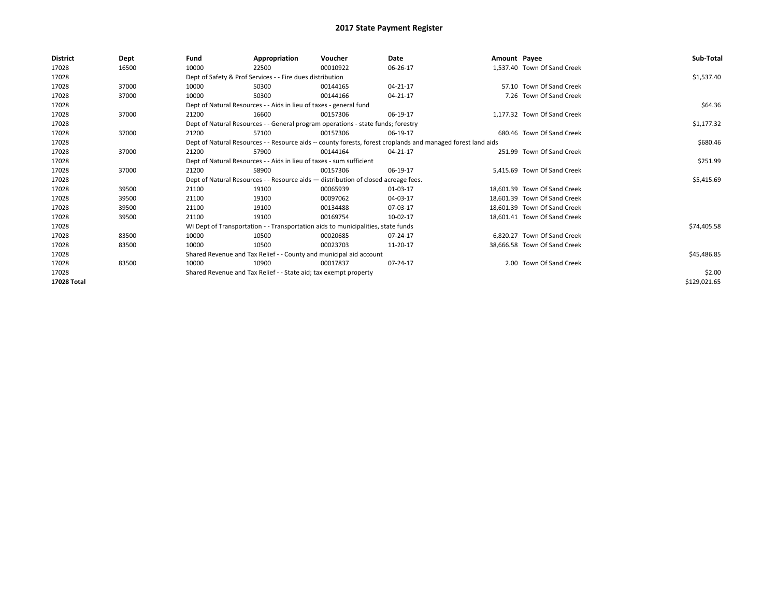| <b>District</b> | Dept  | Fund                                                                 | Appropriation                                                                                                | Voucher                                                                            | Date     | Amount Payee |                              | Sub-Total    |  |  |  |
|-----------------|-------|----------------------------------------------------------------------|--------------------------------------------------------------------------------------------------------------|------------------------------------------------------------------------------------|----------|--------------|------------------------------|--------------|--|--|--|
| 17028           | 16500 | 10000                                                                | 22500                                                                                                        | 00010922                                                                           | 06-26-17 |              | 1,537.40 Town Of Sand Creek  |              |  |  |  |
| 17028           |       |                                                                      | Dept of Safety & Prof Services - - Fire dues distribution                                                    |                                                                                    |          |              |                              | \$1,537.40   |  |  |  |
| 17028           | 37000 | 10000                                                                | 50300                                                                                                        | 00144165                                                                           | 04-21-17 |              | 57.10 Town Of Sand Creek     |              |  |  |  |
| 17028           | 37000 | 10000                                                                | 50300                                                                                                        | 00144166                                                                           | 04-21-17 |              | 7.26 Town Of Sand Creek      |              |  |  |  |
| 17028           |       |                                                                      | Dept of Natural Resources - - Aids in lieu of taxes - general fund                                           |                                                                                    |          |              |                              | \$64.36      |  |  |  |
| 17028           | 37000 | 21200                                                                | 16600                                                                                                        | 00157306                                                                           | 06-19-17 |              | 1.177.32 Town Of Sand Creek  |              |  |  |  |
| 17028           |       |                                                                      |                                                                                                              | Dept of Natural Resources - - General program operations - state funds; forestry   |          |              |                              | \$1,177.32   |  |  |  |
| 17028           | 37000 | 21200                                                                | 57100                                                                                                        | 00157306                                                                           | 06-19-17 |              | 680.46 Town Of Sand Creek    |              |  |  |  |
| 17028           |       |                                                                      | Dept of Natural Resources - - Resource aids -- county forests, forest croplands and managed forest land aids |                                                                                    |          |              |                              |              |  |  |  |
| 17028           | 37000 | 21200                                                                | 57900                                                                                                        | 00144164                                                                           | 04-21-17 |              | 251.99 Town Of Sand Creek    |              |  |  |  |
| 17028           |       | Dept of Natural Resources - - Aids in lieu of taxes - sum sufficient |                                                                                                              | \$251.99                                                                           |          |              |                              |              |  |  |  |
| 17028           | 37000 | 21200                                                                | 58900                                                                                                        | 00157306                                                                           | 06-19-17 |              | 5.415.69 Town Of Sand Creek  |              |  |  |  |
| 17028           |       |                                                                      |                                                                                                              | Dept of Natural Resources - - Resource aids - distribution of closed acreage fees. |          |              |                              | \$5,415.69   |  |  |  |
| 17028           | 39500 | 21100                                                                | 19100                                                                                                        | 00065939                                                                           | 01-03-17 |              | 18.601.39 Town Of Sand Creek |              |  |  |  |
| 17028           | 39500 | 21100                                                                | 19100                                                                                                        | 00097062                                                                           | 04-03-17 |              | 18,601.39 Town Of Sand Creek |              |  |  |  |
| 17028           | 39500 | 21100                                                                | 19100                                                                                                        | 00134488                                                                           | 07-03-17 |              | 18.601.39 Town Of Sand Creek |              |  |  |  |
| 17028           | 39500 | 21100                                                                | 19100                                                                                                        | 00169754                                                                           | 10-02-17 |              | 18,601.41 Town Of Sand Creek |              |  |  |  |
| 17028           |       |                                                                      |                                                                                                              | WI Dept of Transportation - - Transportation aids to municipalities, state funds   |          |              |                              | \$74,405.58  |  |  |  |
| 17028           | 83500 | 10000                                                                | 10500                                                                                                        | 00020685                                                                           | 07-24-17 |              | 6.820.27 Town Of Sand Creek  |              |  |  |  |
| 17028           | 83500 | 10000                                                                | 10500                                                                                                        | 00023703                                                                           | 11-20-17 |              | 38,666.58 Town Of Sand Creek |              |  |  |  |
| 17028           |       | Shared Revenue and Tax Relief - - County and municipal aid account   |                                                                                                              | \$45,486.85                                                                        |          |              |                              |              |  |  |  |
| 17028           | 83500 | 10000                                                                | 10900                                                                                                        | 00017837                                                                           | 07-24-17 |              | 2.00 Town Of Sand Creek      |              |  |  |  |
| 17028           |       | Shared Revenue and Tax Relief - - State aid; tax exempt property     |                                                                                                              | \$2.00                                                                             |          |              |                              |              |  |  |  |
| 17028 Total     |       |                                                                      |                                                                                                              |                                                                                    |          |              |                              | \$129,021.65 |  |  |  |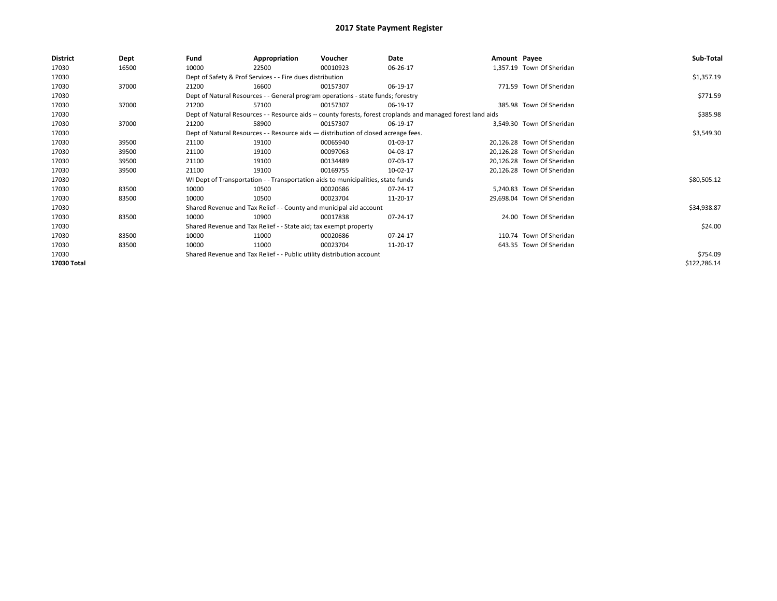| <b>District</b> | Dept  | Fund  | Appropriation                                                                      | Voucher  | Date                                                                                                         | Amount Payee |                            | Sub-Total    |
|-----------------|-------|-------|------------------------------------------------------------------------------------|----------|--------------------------------------------------------------------------------------------------------------|--------------|----------------------------|--------------|
| 17030           | 16500 | 10000 | 22500                                                                              | 00010923 | 06-26-17                                                                                                     |              | 1,357.19 Town Of Sheridan  |              |
| 17030           |       |       | Dept of Safety & Prof Services - - Fire dues distribution                          |          |                                                                                                              |              |                            | \$1,357.19   |
| 17030           | 37000 | 21200 | 16600                                                                              | 00157307 | 06-19-17                                                                                                     |              | 771.59 Town Of Sheridan    |              |
| 17030           |       |       | Dept of Natural Resources - - General program operations - state funds; forestry   |          |                                                                                                              |              |                            | \$771.59     |
| 17030           | 37000 | 21200 | 57100                                                                              | 00157307 | 06-19-17                                                                                                     |              | 385.98 Town Of Sheridan    |              |
| 17030           |       |       |                                                                                    |          | Dept of Natural Resources - - Resource aids -- county forests, forest croplands and managed forest land aids |              |                            | \$385.98     |
| 17030           | 37000 | 21200 | 58900                                                                              | 00157307 | 06-19-17                                                                                                     |              | 3,549.30 Town Of Sheridan  |              |
| 17030           |       |       | Dept of Natural Resources - - Resource aids - distribution of closed acreage fees. |          |                                                                                                              |              |                            | \$3,549.30   |
| 17030           | 39500 | 21100 | 19100                                                                              | 00065940 | 01-03-17                                                                                                     |              | 20,126.28 Town Of Sheridan |              |
| 17030           | 39500 | 21100 | 19100                                                                              | 00097063 | 04-03-17                                                                                                     |              | 20,126.28 Town Of Sheridan |              |
| 17030           | 39500 | 21100 | 19100                                                                              | 00134489 | 07-03-17                                                                                                     |              | 20,126.28 Town Of Sheridan |              |
| 17030           | 39500 | 21100 | 19100                                                                              | 00169755 | 10-02-17                                                                                                     |              | 20,126.28 Town Of Sheridan |              |
| 17030           |       |       | WI Dept of Transportation - - Transportation aids to municipalities, state funds   |          |                                                                                                              |              |                            | \$80,505.12  |
| 17030           | 83500 | 10000 | 10500                                                                              | 00020686 | 07-24-17                                                                                                     |              | 5,240.83 Town Of Sheridan  |              |
| 17030           | 83500 | 10000 | 10500                                                                              | 00023704 | 11-20-17                                                                                                     |              | 29,698.04 Town Of Sheridan |              |
| 17030           |       |       | Shared Revenue and Tax Relief - - County and municipal aid account                 |          |                                                                                                              |              |                            | \$34,938.87  |
| 17030           | 83500 | 10000 | 10900                                                                              | 00017838 | 07-24-17                                                                                                     |              | 24.00 Town Of Sheridan     |              |
| 17030           |       |       | Shared Revenue and Tax Relief - - State aid; tax exempt property                   |          |                                                                                                              |              |                            | \$24.00      |
| 17030           | 83500 | 10000 | 11000                                                                              | 00020686 | 07-24-17                                                                                                     |              | 110.74 Town Of Sheridan    |              |
| 17030           | 83500 | 10000 | 11000                                                                              | 00023704 | 11-20-17                                                                                                     |              | 643.35 Town Of Sheridan    |              |
| 17030           |       |       | Shared Revenue and Tax Relief - - Public utility distribution account              |          |                                                                                                              |              |                            | \$754.09     |
| 17030 Total     |       |       |                                                                                    |          |                                                                                                              |              |                            | \$122,286.14 |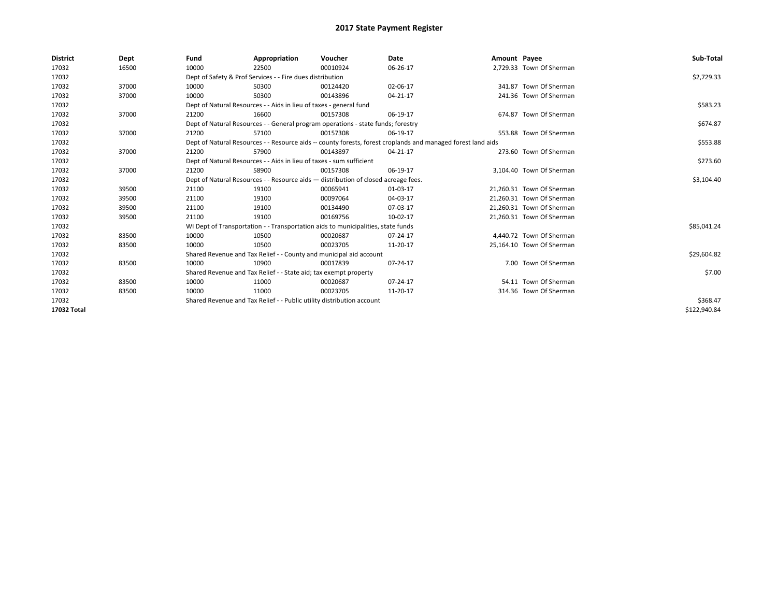| <b>District</b> | Dept  | Fund                                                                               | Appropriation                                                                    | Voucher    | Date                                                                                                         | Amount Payee |                           | Sub-Total    |
|-----------------|-------|------------------------------------------------------------------------------------|----------------------------------------------------------------------------------|------------|--------------------------------------------------------------------------------------------------------------|--------------|---------------------------|--------------|
| 17032           | 16500 | 10000                                                                              | 22500                                                                            | 00010924   | 06-26-17                                                                                                     |              | 2,729.33 Town Of Sherman  |              |
| 17032           |       |                                                                                    | Dept of Safety & Prof Services - - Fire dues distribution                        |            |                                                                                                              |              |                           | \$2,729.33   |
| 17032           | 37000 | 10000                                                                              | 50300                                                                            | 00124420   | 02-06-17                                                                                                     |              | 341.87 Town Of Sherman    |              |
| 17032           | 37000 | 10000                                                                              | 50300                                                                            | 00143896   | 04-21-17                                                                                                     |              | 241.36 Town Of Sherman    |              |
| 17032           |       | Dept of Natural Resources - - Aids in lieu of taxes - general fund                 |                                                                                  | \$583.23   |                                                                                                              |              |                           |              |
| 17032           | 37000 | 21200                                                                              | 16600                                                                            | 00157308   | 06-19-17                                                                                                     |              | 674.87 Town Of Sherman    |              |
| 17032           |       |                                                                                    | Dept of Natural Resources - - General program operations - state funds; forestry |            |                                                                                                              |              |                           | \$674.87     |
| 17032           | 37000 | 21200                                                                              | 57100                                                                            | 00157308   | 06-19-17                                                                                                     |              | 553.88 Town Of Sherman    |              |
| 17032           |       |                                                                                    |                                                                                  |            | Dept of Natural Resources - - Resource aids -- county forests, forest croplands and managed forest land aids |              |                           | \$553.88     |
| 17032           | 37000 | 21200                                                                              | 57900                                                                            | 00143897   | 04-21-17                                                                                                     |              | 273.60 Town Of Sherman    |              |
| 17032           |       | Dept of Natural Resources - - Aids in lieu of taxes - sum sufficient               |                                                                                  | \$273.60   |                                                                                                              |              |                           |              |
| 17032           | 37000 | 21200                                                                              | 58900                                                                            | 00157308   | 06-19-17                                                                                                     |              | 3,104.40 Town Of Sherman  |              |
| 17032           |       | Dept of Natural Resources - - Resource aids - distribution of closed acreage fees. |                                                                                  | \$3,104.40 |                                                                                                              |              |                           |              |
| 17032           | 39500 | 21100                                                                              | 19100                                                                            | 00065941   | 01-03-17                                                                                                     |              | 21,260.31 Town Of Sherman |              |
| 17032           | 39500 | 21100                                                                              | 19100                                                                            | 00097064   | 04-03-17                                                                                                     |              | 21,260.31 Town Of Sherman |              |
| 17032           | 39500 | 21100                                                                              | 19100                                                                            | 00134490   | 07-03-17                                                                                                     |              | 21,260.31 Town Of Sherman |              |
| 17032           | 39500 | 21100                                                                              | 19100                                                                            | 00169756   | 10-02-17                                                                                                     |              | 21,260.31 Town Of Sherman |              |
| 17032           |       |                                                                                    | WI Dept of Transportation - - Transportation aids to municipalities, state funds |            |                                                                                                              |              |                           | \$85,041.24  |
| 17032           | 83500 | 10000                                                                              | 10500                                                                            | 00020687   | 07-24-17                                                                                                     |              | 4,440.72 Town Of Sherman  |              |
| 17032           | 83500 | 10000                                                                              | 10500                                                                            | 00023705   | 11-20-17                                                                                                     |              | 25,164.10 Town Of Sherman |              |
| 17032           |       |                                                                                    | Shared Revenue and Tax Relief - - County and municipal aid account               |            |                                                                                                              |              |                           | \$29,604.82  |
| 17032           | 83500 | 10000                                                                              | 10900                                                                            | 00017839   | 07-24-17                                                                                                     |              | 7.00 Town Of Sherman      |              |
| 17032           |       |                                                                                    | Shared Revenue and Tax Relief - - State aid; tax exempt property                 |            |                                                                                                              |              |                           | \$7.00       |
| 17032           | 83500 | 10000                                                                              | 11000                                                                            | 00020687   | 07-24-17                                                                                                     |              | 54.11 Town Of Sherman     |              |
| 17032           | 83500 | 10000                                                                              | 11000                                                                            | 00023705   | 11-20-17                                                                                                     |              | 314.36 Town Of Sherman    |              |
| 17032           |       | Shared Revenue and Tax Relief - - Public utility distribution account              |                                                                                  | \$368.47   |                                                                                                              |              |                           |              |
| 17032 Total     |       |                                                                                    |                                                                                  |            |                                                                                                              |              |                           | \$122,940.84 |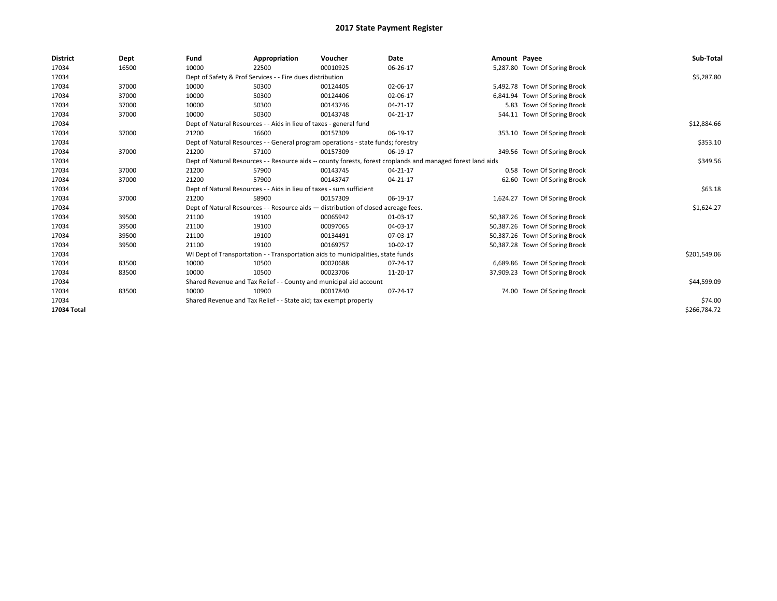| <b>District</b> | Dept  | Fund                                                             | Appropriation                                                                                                | Voucher  | Date     | Amount Payee |                                | Sub-Total    |  |  |  |
|-----------------|-------|------------------------------------------------------------------|--------------------------------------------------------------------------------------------------------------|----------|----------|--------------|--------------------------------|--------------|--|--|--|
| 17034           | 16500 | 10000                                                            | 22500                                                                                                        | 00010925 | 06-26-17 |              | 5,287.80 Town Of Spring Brook  |              |  |  |  |
| 17034           |       |                                                                  | Dept of Safety & Prof Services - - Fire dues distribution                                                    |          |          |              |                                | \$5,287.80   |  |  |  |
| 17034           | 37000 | 10000                                                            | 50300                                                                                                        | 00124405 | 02-06-17 |              | 5,492.78 Town Of Spring Brook  |              |  |  |  |
| 17034           | 37000 | 10000                                                            | 50300                                                                                                        | 00124406 | 02-06-17 |              | 6,841.94 Town Of Spring Brook  |              |  |  |  |
| 17034           | 37000 | 10000                                                            | 50300                                                                                                        | 00143746 | 04-21-17 |              | 5.83 Town Of Spring Brook      |              |  |  |  |
| 17034           | 37000 | 10000                                                            | 50300                                                                                                        | 00143748 | 04-21-17 |              | 544.11 Town Of Spring Brook    |              |  |  |  |
| 17034           |       |                                                                  | Dept of Natural Resources - - Aids in lieu of taxes - general fund                                           |          |          |              |                                | \$12,884.66  |  |  |  |
| 17034           | 37000 | 21200                                                            | 16600                                                                                                        | 00157309 | 06-19-17 |              | 353.10 Town Of Spring Brook    |              |  |  |  |
| 17034           |       |                                                                  | Dept of Natural Resources - - General program operations - state funds; forestry                             |          |          |              |                                | \$353.10     |  |  |  |
| 17034           | 37000 | 21200                                                            | 57100                                                                                                        | 00157309 | 06-19-17 |              | 349.56 Town Of Spring Brook    |              |  |  |  |
| 17034           |       |                                                                  | Dept of Natural Resources - - Resource aids -- county forests, forest croplands and managed forest land aids |          |          |              |                                |              |  |  |  |
| 17034           | 37000 | 21200                                                            | 57900                                                                                                        | 00143745 | 04-21-17 |              | 0.58 Town Of Spring Brook      |              |  |  |  |
| 17034           | 37000 | 21200                                                            | 57900                                                                                                        | 00143747 | 04-21-17 |              | 62.60 Town Of Spring Brook     |              |  |  |  |
| 17034           |       |                                                                  | Dept of Natural Resources - - Aids in lieu of taxes - sum sufficient                                         |          |          |              |                                | \$63.18      |  |  |  |
| 17034           | 37000 | 21200                                                            | 58900                                                                                                        | 00157309 | 06-19-17 |              | 1,624.27 Town Of Spring Brook  |              |  |  |  |
| 17034           |       |                                                                  | Dept of Natural Resources - - Resource aids - distribution of closed acreage fees.                           |          |          |              |                                | \$1,624.27   |  |  |  |
| 17034           | 39500 | 21100                                                            | 19100                                                                                                        | 00065942 | 01-03-17 |              | 50,387.26 Town Of Spring Brook |              |  |  |  |
| 17034           | 39500 | 21100                                                            | 19100                                                                                                        | 00097065 | 04-03-17 |              | 50,387.26 Town Of Spring Brook |              |  |  |  |
| 17034           | 39500 | 21100                                                            | 19100                                                                                                        | 00134491 | 07-03-17 |              | 50,387.26 Town Of Spring Brook |              |  |  |  |
| 17034           | 39500 | 21100                                                            | 19100                                                                                                        | 00169757 | 10-02-17 |              | 50,387.28 Town Of Spring Brook |              |  |  |  |
| 17034           |       |                                                                  | WI Dept of Transportation - - Transportation aids to municipalities, state funds                             |          |          |              |                                | \$201,549.06 |  |  |  |
| 17034           | 83500 | 10000                                                            | 10500                                                                                                        | 00020688 | 07-24-17 |              | 6,689.86 Town Of Spring Brook  |              |  |  |  |
| 17034           | 83500 | 10000                                                            | 10500                                                                                                        | 00023706 | 11-20-17 |              | 37,909.23 Town Of Spring Brook |              |  |  |  |
| 17034           |       |                                                                  | Shared Revenue and Tax Relief - - County and municipal aid account                                           |          |          |              |                                | \$44,599.09  |  |  |  |
| 17034           | 83500 | 10000                                                            | 10900                                                                                                        | 00017840 | 07-24-17 |              | 74.00 Town Of Spring Brook     |              |  |  |  |
| 17034           |       | Shared Revenue and Tax Relief - - State aid; tax exempt property |                                                                                                              | \$74.00  |          |              |                                |              |  |  |  |
| 17034 Total     |       |                                                                  |                                                                                                              |          |          |              |                                | \$266,784.72 |  |  |  |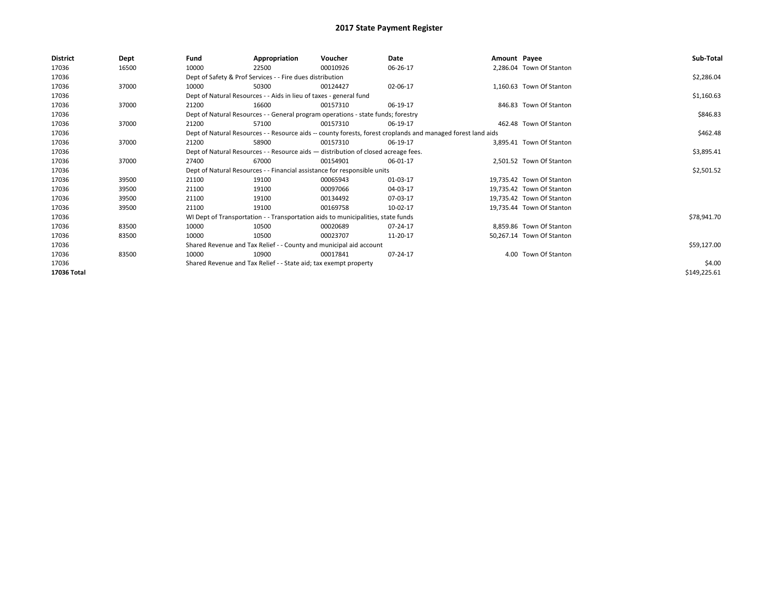| <b>District</b> | <b>Dept</b> | Fund  | Appropriation                                                                      | Voucher  | Date                                                                                                         | Amount Payee |                           | Sub-Total    |  |  |  |
|-----------------|-------------|-------|------------------------------------------------------------------------------------|----------|--------------------------------------------------------------------------------------------------------------|--------------|---------------------------|--------------|--|--|--|
| 17036           | 16500       | 10000 | 22500                                                                              | 00010926 | 06-26-17                                                                                                     |              | 2,286.04 Town Of Stanton  |              |  |  |  |
| 17036           |             |       | Dept of Safety & Prof Services - - Fire dues distribution                          |          |                                                                                                              |              |                           | \$2,286.04   |  |  |  |
| 17036           | 37000       | 10000 | 50300                                                                              | 00124427 | 02-06-17                                                                                                     |              | 1.160.63 Town Of Stanton  |              |  |  |  |
| 17036           |             |       | Dept of Natural Resources - - Aids in lieu of taxes - general fund                 |          |                                                                                                              |              |                           | \$1,160.63   |  |  |  |
| 17036           | 37000       | 21200 | 16600                                                                              | 00157310 | 06-19-17                                                                                                     |              | 846.83 Town Of Stanton    |              |  |  |  |
| 17036           |             |       | Dept of Natural Resources - - General program operations - state funds; forestry   |          |                                                                                                              |              |                           | \$846.83     |  |  |  |
| 17036           | 37000       | 21200 | 57100                                                                              | 00157310 | 06-19-17                                                                                                     |              | 462.48 Town Of Stanton    |              |  |  |  |
| 17036           |             |       |                                                                                    |          | Dept of Natural Resources - - Resource aids -- county forests, forest croplands and managed forest land aids |              |                           | \$462.48     |  |  |  |
| 17036           | 37000       | 21200 | 58900                                                                              | 00157310 | 06-19-17                                                                                                     |              | 3.895.41 Town Of Stanton  |              |  |  |  |
| 17036           |             |       | Dept of Natural Resources - - Resource aids - distribution of closed acreage fees. |          |                                                                                                              |              |                           |              |  |  |  |
| 17036           | 37000       | 27400 | 67000                                                                              | 00154901 | 06-01-17                                                                                                     |              | 2.501.52 Town Of Stanton  |              |  |  |  |
| 17036           |             |       | Dept of Natural Resources - - Financial assistance for responsible units           |          |                                                                                                              |              |                           | \$2,501.52   |  |  |  |
| 17036           | 39500       | 21100 | 19100                                                                              | 00065943 | 01-03-17                                                                                                     |              | 19.735.42 Town Of Stanton |              |  |  |  |
| 17036           | 39500       | 21100 | 19100                                                                              | 00097066 | 04-03-17                                                                                                     |              | 19,735.42 Town Of Stanton |              |  |  |  |
| 17036           | 39500       | 21100 | 19100                                                                              | 00134492 | 07-03-17                                                                                                     |              | 19.735.42 Town Of Stanton |              |  |  |  |
| 17036           | 39500       | 21100 | 19100                                                                              | 00169758 | 10-02-17                                                                                                     |              | 19.735.44 Town Of Stanton |              |  |  |  |
| 17036           |             |       | WI Dept of Transportation - - Transportation aids to municipalities, state funds   |          |                                                                                                              |              |                           | \$78,941.70  |  |  |  |
| 17036           | 83500       | 10000 | 10500                                                                              | 00020689 | 07-24-17                                                                                                     |              | 8,859.86 Town Of Stanton  |              |  |  |  |
| 17036           | 83500       | 10000 | 10500                                                                              | 00023707 | 11-20-17                                                                                                     |              | 50,267.14 Town Of Stanton |              |  |  |  |
| 17036           |             |       | Shared Revenue and Tax Relief - - County and municipal aid account                 |          |                                                                                                              |              |                           | \$59,127.00  |  |  |  |
| 17036           | 83500       | 10000 | 10900                                                                              | 00017841 | 07-24-17                                                                                                     |              | 4.00 Town Of Stanton      |              |  |  |  |
| 17036           |             |       | Shared Revenue and Tax Relief - - State aid; tax exempt property                   |          |                                                                                                              |              |                           | \$4.00       |  |  |  |
| 17036 Total     |             |       |                                                                                    |          |                                                                                                              |              |                           | \$149,225.61 |  |  |  |
|                 |             |       |                                                                                    |          |                                                                                                              |              |                           |              |  |  |  |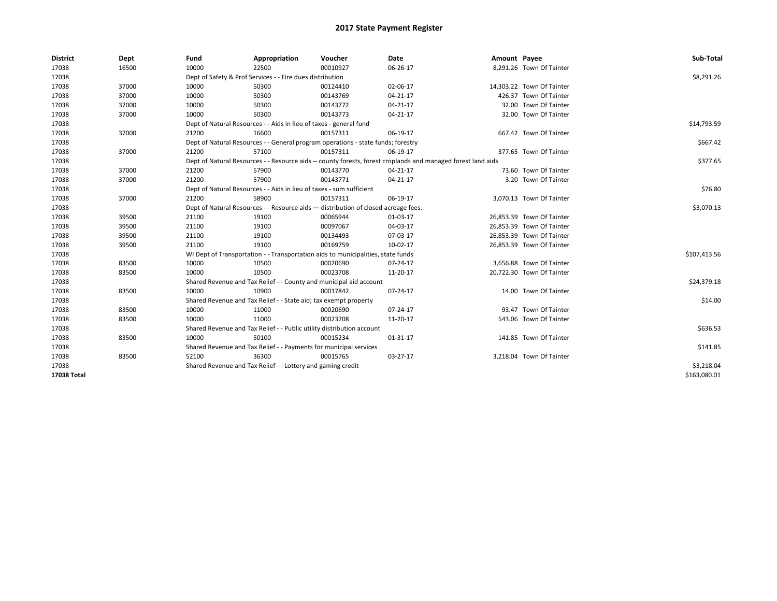| <b>District</b> | Dept  | Fund                                                                                                         | Appropriation                                                                    | Voucher     | Date     | Amount Payee |                           | Sub-Total    |
|-----------------|-------|--------------------------------------------------------------------------------------------------------------|----------------------------------------------------------------------------------|-------------|----------|--------------|---------------------------|--------------|
| 17038           | 16500 | 10000                                                                                                        | 22500                                                                            | 00010927    | 06-26-17 |              | 8,291.26 Town Of Tainter  |              |
| 17038           |       |                                                                                                              | Dept of Safety & Prof Services - - Fire dues distribution                        |             |          |              |                           | \$8,291.26   |
| 17038           | 37000 | 10000                                                                                                        | 50300                                                                            | 00124410    | 02-06-17 |              | 14,303.22 Town Of Tainter |              |
| 17038           | 37000 | 10000                                                                                                        | 50300                                                                            | 00143769    | 04-21-17 |              | 426.37 Town Of Tainter    |              |
| 17038           | 37000 | 10000                                                                                                        | 50300                                                                            | 00143772    | 04-21-17 |              | 32.00 Town Of Tainter     |              |
| 17038           | 37000 | 10000                                                                                                        | 50300                                                                            | 00143773    | 04-21-17 |              | 32.00 Town Of Tainter     |              |
| 17038           |       | Dept of Natural Resources - - Aids in lieu of taxes - general fund                                           |                                                                                  | \$14,793.59 |          |              |                           |              |
| 17038           | 37000 | 21200                                                                                                        | 16600                                                                            | 00157311    | 06-19-17 |              | 667.42 Town Of Tainter    |              |
| 17038           |       |                                                                                                              | Dept of Natural Resources - - General program operations - state funds; forestry |             |          |              |                           | \$667.42     |
| 17038           | 37000 | 21200                                                                                                        | 57100                                                                            | 00157311    | 06-19-17 |              | 377.65 Town Of Tainter    |              |
| 17038           |       | Dept of Natural Resources - - Resource aids -- county forests, forest croplands and managed forest land aids |                                                                                  | \$377.65    |          |              |                           |              |
| 17038           | 37000 | 21200                                                                                                        | 57900                                                                            | 00143770    | 04-21-17 |              | 73.60 Town Of Tainter     |              |
| 17038           | 37000 | 21200                                                                                                        | 57900                                                                            | 00143771    | 04-21-17 |              | 3.20 Town Of Tainter      |              |
| 17038           |       | Dept of Natural Resources - - Aids in lieu of taxes - sum sufficient                                         | \$76.80                                                                          |             |          |              |                           |              |
| 17038           | 37000 | 21200                                                                                                        | 58900                                                                            | 00157311    | 06-19-17 |              | 3,070.13 Town Of Tainter  |              |
| 17038           |       | Dept of Natural Resources - - Resource aids - distribution of closed acreage fees.                           |                                                                                  | \$3,070.13  |          |              |                           |              |
| 17038           | 39500 | 21100                                                                                                        | 19100                                                                            | 00065944    | 01-03-17 |              | 26,853.39 Town Of Tainter |              |
| 17038           | 39500 | 21100                                                                                                        | 19100                                                                            | 00097067    | 04-03-17 |              | 26,853.39 Town Of Tainter |              |
| 17038           | 39500 | 21100                                                                                                        | 19100                                                                            | 00134493    | 07-03-17 |              | 26,853.39 Town Of Tainter |              |
| 17038           | 39500 | 21100                                                                                                        | 19100                                                                            | 00169759    | 10-02-17 |              | 26,853.39 Town Of Tainter |              |
| 17038           |       |                                                                                                              | WI Dept of Transportation - - Transportation aids to municipalities, state funds |             |          |              |                           | \$107,413.56 |
| 17038           | 83500 | 10000                                                                                                        | 10500                                                                            | 00020690    | 07-24-17 |              | 3,656.88 Town Of Tainter  |              |
| 17038           | 83500 | 10000                                                                                                        | 10500                                                                            | 00023708    | 11-20-17 |              | 20,722.30 Town Of Tainter |              |
| 17038           |       |                                                                                                              | Shared Revenue and Tax Relief - - County and municipal aid account               |             |          |              |                           | \$24,379.18  |
| 17038           | 83500 | 10000                                                                                                        | 10900                                                                            | 00017842    | 07-24-17 |              | 14.00 Town Of Tainter     |              |
| 17038           |       |                                                                                                              | Shared Revenue and Tax Relief - - State aid; tax exempt property                 |             |          |              |                           | \$14.00      |
| 17038           | 83500 | 10000                                                                                                        | 11000                                                                            | 00020690    | 07-24-17 |              | 93.47 Town Of Tainter     |              |
| 17038           | 83500 | 10000                                                                                                        | 11000                                                                            | 00023708    | 11-20-17 |              | 543.06 Town Of Tainter    |              |
| 17038           |       |                                                                                                              | Shared Revenue and Tax Relief - - Public utility distribution account            |             |          |              |                           | \$636.53     |
| 17038           | 83500 | 10000                                                                                                        | 50100                                                                            | 00015234    | 01-31-17 |              | 141.85 Town Of Tainter    |              |
| 17038           |       | Shared Revenue and Tax Relief - - Payments for municipal services                                            |                                                                                  | \$141.85    |          |              |                           |              |
| 17038           | 83500 | 52100                                                                                                        | 36300                                                                            | 00015765    | 03-27-17 |              | 3,218.04 Town Of Tainter  |              |
| 17038           |       |                                                                                                              | Shared Revenue and Tax Relief - - Lottery and gaming credit                      |             |          |              |                           | \$3,218.04   |
| 17038 Total     |       |                                                                                                              |                                                                                  |             |          |              |                           | \$163,080.01 |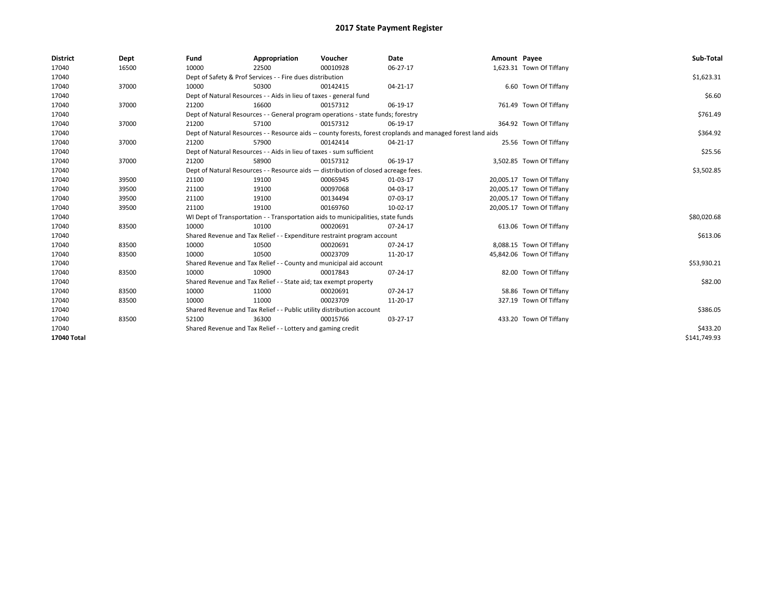| <b>District</b> | Dept  | Fund  | Appropriation                                                                      | Voucher  | Date                                                                                                         | Amount Payee |                           | Sub-Total    |
|-----------------|-------|-------|------------------------------------------------------------------------------------|----------|--------------------------------------------------------------------------------------------------------------|--------------|---------------------------|--------------|
| 17040           | 16500 | 10000 | 22500                                                                              | 00010928 | 06-27-17                                                                                                     |              | 1,623.31 Town Of Tiffany  |              |
| 17040           |       |       | Dept of Safety & Prof Services - - Fire dues distribution                          |          |                                                                                                              |              |                           | \$1,623.31   |
| 17040           | 37000 | 10000 | 50300                                                                              | 00142415 | 04-21-17                                                                                                     |              | 6.60 Town Of Tiffany      |              |
| 17040           |       |       | Dept of Natural Resources - - Aids in lieu of taxes - general fund                 |          |                                                                                                              |              |                           | \$6.60       |
| 17040           | 37000 | 21200 | 16600                                                                              | 00157312 | 06-19-17                                                                                                     |              | 761.49 Town Of Tiffany    |              |
| 17040           |       |       | Dept of Natural Resources - - General program operations - state funds; forestry   |          |                                                                                                              |              |                           | \$761.49     |
| 17040           | 37000 | 21200 | 57100                                                                              | 00157312 | 06-19-17                                                                                                     |              | 364.92 Town Of Tiffany    |              |
| 17040           |       |       |                                                                                    |          | Dept of Natural Resources - - Resource aids -- county forests, forest croplands and managed forest land aids |              |                           | \$364.92     |
| 17040           | 37000 | 21200 | 57900                                                                              | 00142414 | 04-21-17                                                                                                     |              | 25.56 Town Of Tiffany     |              |
| 17040           |       |       | Dept of Natural Resources - - Aids in lieu of taxes - sum sufficient               |          |                                                                                                              |              |                           | \$25.56      |
| 17040           | 37000 | 21200 | 58900                                                                              | 00157312 | 06-19-17                                                                                                     |              | 3,502.85 Town Of Tiffany  |              |
| 17040           |       |       | Dept of Natural Resources - - Resource aids - distribution of closed acreage fees. |          |                                                                                                              |              |                           | \$3,502.85   |
| 17040           | 39500 | 21100 | 19100                                                                              | 00065945 | 01-03-17                                                                                                     |              | 20,005.17 Town Of Tiffany |              |
| 17040           | 39500 | 21100 | 19100                                                                              | 00097068 | 04-03-17                                                                                                     |              | 20,005.17 Town Of Tiffany |              |
| 17040           | 39500 | 21100 | 19100                                                                              | 00134494 | 07-03-17                                                                                                     |              | 20,005.17 Town Of Tiffany |              |
| 17040           | 39500 | 21100 | 19100                                                                              | 00169760 | 10-02-17                                                                                                     |              | 20,005.17 Town Of Tiffany |              |
| 17040           |       |       | WI Dept of Transportation - - Transportation aids to municipalities, state funds   |          |                                                                                                              |              |                           | \$80,020.68  |
| 17040           | 83500 | 10000 | 10100                                                                              | 00020691 | 07-24-17                                                                                                     |              | 613.06 Town Of Tiffany    |              |
| 17040           |       |       | Shared Revenue and Tax Relief - - Expenditure restraint program account            |          |                                                                                                              |              |                           | \$613.06     |
| 17040           | 83500 | 10000 | 10500                                                                              | 00020691 | 07-24-17                                                                                                     |              | 8,088.15 Town Of Tiffany  |              |
| 17040           | 83500 | 10000 | 10500                                                                              | 00023709 | 11-20-17                                                                                                     |              | 45,842.06 Town Of Tiffany |              |
| 17040           |       |       | Shared Revenue and Tax Relief - - County and municipal aid account                 |          |                                                                                                              |              |                           | \$53,930.21  |
| 17040           | 83500 | 10000 | 10900                                                                              | 00017843 | 07-24-17                                                                                                     |              | 82.00 Town Of Tiffany     |              |
| 17040           |       |       | Shared Revenue and Tax Relief - - State aid; tax exempt property                   |          |                                                                                                              |              |                           | \$82.00      |
| 17040           | 83500 | 10000 | 11000                                                                              | 00020691 | 07-24-17                                                                                                     |              | 58.86 Town Of Tiffany     |              |
| 17040           | 83500 | 10000 | 11000                                                                              | 00023709 | 11-20-17                                                                                                     |              | 327.19 Town Of Tiffany    |              |
| 17040           |       |       | Shared Revenue and Tax Relief - - Public utility distribution account              |          |                                                                                                              |              |                           | \$386.05     |
| 17040           | 83500 | 52100 | 36300                                                                              | 00015766 | 03-27-17                                                                                                     |              | 433.20 Town Of Tiffany    |              |
| 17040           |       |       | Shared Revenue and Tax Relief - - Lottery and gaming credit                        |          |                                                                                                              |              |                           | \$433.20     |
| 17040 Total     |       |       |                                                                                    |          |                                                                                                              |              |                           | \$141,749.93 |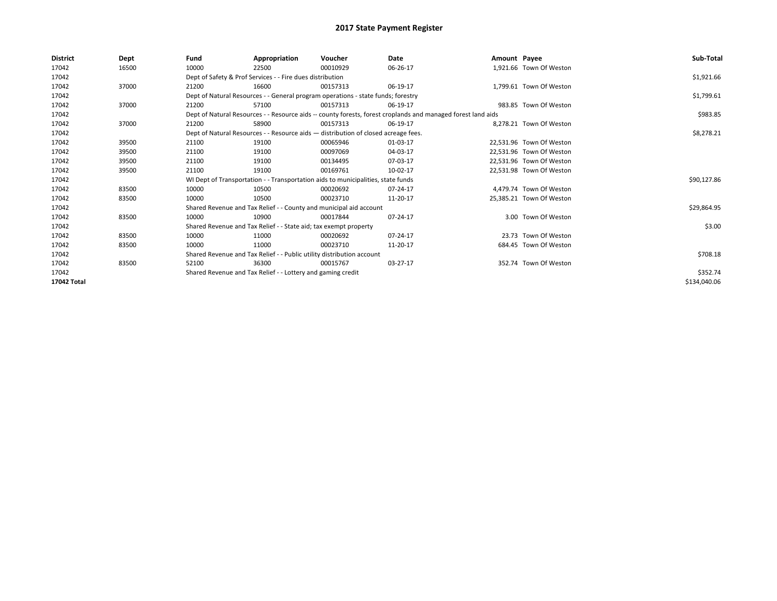| <b>District</b> | <b>Dept</b> | Fund  | Appropriation                                                                      | Voucher  | Date                                                                                                         | Amount Payee |                          | Sub-Total    |
|-----------------|-------------|-------|------------------------------------------------------------------------------------|----------|--------------------------------------------------------------------------------------------------------------|--------------|--------------------------|--------------|
| 17042           | 16500       | 10000 | 22500                                                                              | 00010929 | 06-26-17                                                                                                     |              | 1,921.66 Town Of Weston  |              |
| 17042           |             |       | Dept of Safety & Prof Services - - Fire dues distribution                          |          |                                                                                                              |              |                          | \$1,921.66   |
| 17042           | 37000       | 21200 | 16600                                                                              | 00157313 | 06-19-17                                                                                                     |              | 1,799.61 Town Of Weston  |              |
| 17042           |             |       | Dept of Natural Resources - - General program operations - state funds; forestry   |          |                                                                                                              |              |                          | \$1,799.61   |
| 17042           | 37000       | 21200 | 57100                                                                              | 00157313 | 06-19-17                                                                                                     |              | 983.85 Town Of Weston    |              |
| 17042           |             |       |                                                                                    |          | Dept of Natural Resources - - Resource aids -- county forests, forest croplands and managed forest land aids |              |                          | \$983.85     |
| 17042           | 37000       | 21200 | 58900                                                                              | 00157313 | 06-19-17                                                                                                     |              | 8.278.21 Town Of Weston  |              |
| 17042           |             |       | Dept of Natural Resources - - Resource aids - distribution of closed acreage fees. |          |                                                                                                              |              |                          | \$8,278.21   |
| 17042           | 39500       | 21100 | 19100                                                                              | 00065946 | 01-03-17                                                                                                     |              | 22.531.96 Town Of Weston |              |
| 17042           | 39500       | 21100 | 19100                                                                              | 00097069 | 04-03-17                                                                                                     |              | 22.531.96 Town Of Weston |              |
| 17042           | 39500       | 21100 | 19100                                                                              | 00134495 | 07-03-17                                                                                                     |              | 22.531.96 Town Of Weston |              |
| 17042           | 39500       | 21100 | 19100                                                                              | 00169761 | 10-02-17                                                                                                     |              | 22,531.98 Town Of Weston |              |
| 17042           |             |       | WI Dept of Transportation - - Transportation aids to municipalities, state funds   |          |                                                                                                              |              |                          | \$90,127.86  |
| 17042           | 83500       | 10000 | 10500                                                                              | 00020692 | 07-24-17                                                                                                     |              | 4.479.74 Town Of Weston  |              |
| 17042           | 83500       | 10000 | 10500                                                                              | 00023710 | 11-20-17                                                                                                     |              | 25,385.21 Town Of Weston |              |
| 17042           |             |       | Shared Revenue and Tax Relief - - County and municipal aid account                 |          |                                                                                                              |              |                          | \$29,864.95  |
| 17042           | 83500       | 10000 | 10900                                                                              | 00017844 | 07-24-17                                                                                                     |              | 3.00 Town Of Weston      |              |
| 17042           |             |       | Shared Revenue and Tax Relief - - State aid; tax exempt property                   |          |                                                                                                              |              |                          | \$3.00       |
| 17042           | 83500       | 10000 | 11000                                                                              | 00020692 | 07-24-17                                                                                                     |              | 23.73 Town Of Weston     |              |
| 17042           | 83500       | 10000 | 11000                                                                              | 00023710 | 11-20-17                                                                                                     |              | 684.45 Town Of Weston    |              |
| 17042           |             |       | Shared Revenue and Tax Relief - - Public utility distribution account              |          |                                                                                                              |              |                          | \$708.18     |
| 17042           | 83500       | 52100 | 36300                                                                              | 00015767 | 03-27-17                                                                                                     |              | 352.74 Town Of Weston    |              |
| 17042           |             |       | Shared Revenue and Tax Relief - - Lottery and gaming credit                        |          |                                                                                                              |              |                          | \$352.74     |
| 17042 Total     |             |       |                                                                                    |          |                                                                                                              |              |                          | \$134,040.06 |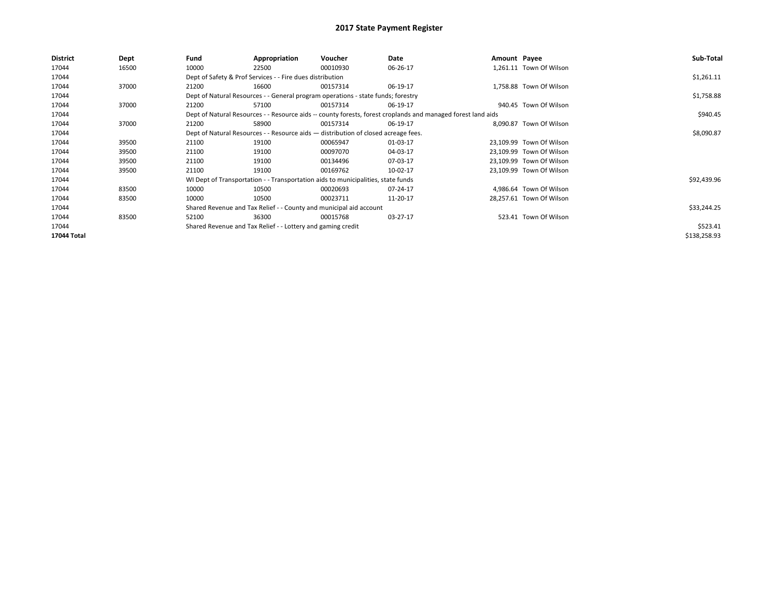| District    | Dept  | Fund  | Appropriation                                                                      | Voucher  | Date                                                                                                         | Amount Payee |                          | Sub-Total    |
|-------------|-------|-------|------------------------------------------------------------------------------------|----------|--------------------------------------------------------------------------------------------------------------|--------------|--------------------------|--------------|
| 17044       | 16500 | 10000 | 22500                                                                              | 00010930 | 06-26-17                                                                                                     |              | 1.261.11 Town Of Wilson  |              |
| 17044       |       |       | Dept of Safety & Prof Services - - Fire dues distribution                          |          |                                                                                                              |              |                          | \$1,261.11   |
| 17044       | 37000 | 21200 | 16600                                                                              | 00157314 | 06-19-17                                                                                                     |              | 1,758.88 Town Of Wilson  |              |
| 17044       |       |       | Dept of Natural Resources - - General program operations - state funds; forestry   |          |                                                                                                              |              |                          | \$1,758.88   |
| 17044       | 37000 | 21200 | 57100                                                                              | 00157314 | 06-19-17                                                                                                     |              | 940.45 Town Of Wilson    |              |
| 17044       |       |       |                                                                                    |          | Dept of Natural Resources - - Resource aids -- county forests, forest croplands and managed forest land aids |              |                          | \$940.45     |
| 17044       | 37000 | 21200 | 58900                                                                              | 00157314 | 06-19-17                                                                                                     |              | 8,090.87 Town Of Wilson  |              |
| 17044       |       |       | Dept of Natural Resources - - Resource aids - distribution of closed acreage fees. |          |                                                                                                              |              |                          | \$8,090.87   |
| 17044       | 39500 | 21100 | 19100                                                                              | 00065947 | 01-03-17                                                                                                     |              | 23,109.99 Town Of Wilson |              |
| 17044       | 39500 | 21100 | 19100                                                                              | 00097070 | 04-03-17                                                                                                     |              | 23,109.99 Town Of Wilson |              |
| 17044       | 39500 | 21100 | 19100                                                                              | 00134496 | 07-03-17                                                                                                     |              | 23,109.99 Town Of Wilson |              |
| 17044       | 39500 | 21100 | 19100                                                                              | 00169762 | 10-02-17                                                                                                     |              | 23,109.99 Town Of Wilson |              |
| 17044       |       |       | WI Dept of Transportation - - Transportation aids to municipalities, state funds   |          |                                                                                                              |              |                          | \$92,439.96  |
| 17044       | 83500 | 10000 | 10500                                                                              | 00020693 | 07-24-17                                                                                                     |              | 4.986.64 Town Of Wilson  |              |
| 17044       | 83500 | 10000 | 10500                                                                              | 00023711 | 11-20-17                                                                                                     |              | 28,257.61 Town Of Wilson |              |
| 17044       |       |       | Shared Revenue and Tax Relief - - County and municipal aid account                 |          |                                                                                                              |              |                          | \$33,244.25  |
| 17044       | 83500 | 52100 | 36300                                                                              | 00015768 | 03-27-17                                                                                                     |              | 523.41 Town Of Wilson    |              |
| 17044       |       |       | Shared Revenue and Tax Relief - - Lottery and gaming credit                        |          |                                                                                                              |              |                          | \$523.41     |
| 17044 Total |       |       |                                                                                    |          |                                                                                                              |              |                          | \$138,258.93 |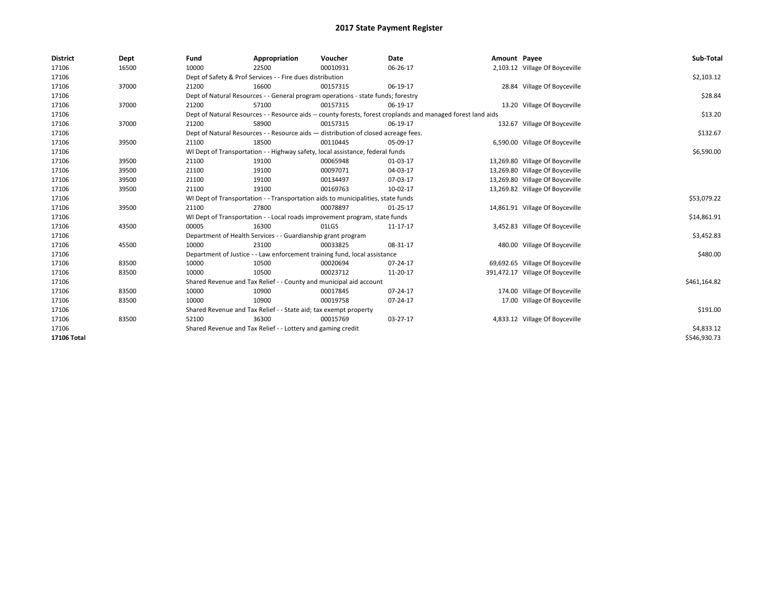| <b>District</b> | Dept  | Fund  | Appropriation                                                                      | Voucher  | Date                                                                                                         | Amount Payee |                                  | Sub-Total    |
|-----------------|-------|-------|------------------------------------------------------------------------------------|----------|--------------------------------------------------------------------------------------------------------------|--------------|----------------------------------|--------------|
| 17106           | 16500 | 10000 | 22500                                                                              | 00010931 | 06-26-17                                                                                                     |              | 2,103.12 Village Of Boyceville   |              |
| 17106           |       |       | Dept of Safety & Prof Services - - Fire dues distribution                          |          |                                                                                                              |              |                                  | \$2,103.12   |
| 17106           | 37000 | 21200 | 16600                                                                              | 00157315 | 06-19-17                                                                                                     |              | 28.84 Village Of Boyceville      |              |
| 17106           |       |       | Dept of Natural Resources - - General program operations - state funds; forestry   |          |                                                                                                              |              |                                  | \$28.84      |
| 17106           | 37000 | 21200 | 57100                                                                              | 00157315 | 06-19-17                                                                                                     |              | 13.20 Village Of Boyceville      |              |
| 17106           |       |       |                                                                                    |          | Dept of Natural Resources - - Resource aids -- county forests, forest croplands and managed forest land aids |              |                                  | \$13.20      |
| 17106           | 37000 | 21200 | 58900                                                                              | 00157315 | 06-19-17                                                                                                     |              | 132.67 Village Of Boyceville     |              |
| 17106           |       |       | Dept of Natural Resources - - Resource aids - distribution of closed acreage fees. |          |                                                                                                              |              |                                  | \$132.67     |
| 17106           | 39500 | 21100 | 18500                                                                              | 00110445 | 05-09-17                                                                                                     |              | 6,590.00 Village Of Boyceville   |              |
| 17106           |       |       | WI Dept of Transportation - - Highway safety, local assistance, federal funds      |          |                                                                                                              |              |                                  | \$6,590.00   |
| 17106           | 39500 | 21100 | 19100                                                                              | 00065948 | 01-03-17                                                                                                     |              | 13,269.80 Village Of Boyceville  |              |
| 17106           | 39500 | 21100 | 19100                                                                              | 00097071 | 04-03-17                                                                                                     |              | 13,269.80 Village Of Boyceville  |              |
| 17106           | 39500 | 21100 | 19100                                                                              | 00134497 | 07-03-17                                                                                                     |              | 13,269.80 Village Of Boyceville  |              |
| 17106           | 39500 | 21100 | 19100                                                                              | 00169763 | $10-02-17$                                                                                                   |              | 13,269.82 Village Of Boyceville  |              |
| 17106           |       |       | WI Dept of Transportation - - Transportation aids to municipalities, state funds   |          |                                                                                                              |              |                                  | \$53,079.22  |
| 17106           | 39500 | 21100 | 27800                                                                              | 00078897 | $01 - 25 - 17$                                                                                               |              | 14,861.91 Village Of Boyceville  |              |
| 17106           |       |       | WI Dept of Transportation - - Local roads improvement program, state funds         |          |                                                                                                              |              |                                  | \$14,861.91  |
| 17106           | 43500 | 00005 | 16300                                                                              | 01LGS    | 11-17-17                                                                                                     |              | 3,452.83 Village Of Boyceville   |              |
| 17106           |       |       | Department of Health Services - - Guardianship grant program                       |          |                                                                                                              |              |                                  | \$3,452.83   |
| 17106           | 45500 | 10000 | 23100                                                                              | 00033825 | 08-31-17                                                                                                     |              | 480.00 Village Of Boyceville     |              |
| 17106           |       |       | Department of Justice - - Law enforcement training fund, local assistance          |          |                                                                                                              |              |                                  | \$480.00     |
| 17106           | 83500 | 10000 | 10500                                                                              | 00020694 | 07-24-17                                                                                                     |              | 69,692.65 Village Of Boyceville  |              |
| 17106           | 83500 | 10000 | 10500                                                                              | 00023712 | 11-20-17                                                                                                     |              | 391,472.17 Village Of Boyceville |              |
| 17106           |       |       | Shared Revenue and Tax Relief - - County and municipal aid account                 |          |                                                                                                              |              |                                  | \$461,164.82 |
| 17106           | 83500 | 10000 | 10900                                                                              | 00017845 | 07-24-17                                                                                                     |              | 174.00 Village Of Boyceville     |              |
| 17106           | 83500 | 10000 | 10900                                                                              | 00019758 | 07-24-17                                                                                                     |              | 17.00 Village Of Boyceville      |              |
| 17106           |       |       | Shared Revenue and Tax Relief - - State aid; tax exempt property                   |          |                                                                                                              |              |                                  | \$191.00     |
| 17106           | 83500 | 52100 | 36300                                                                              | 00015769 | 03-27-17                                                                                                     |              | 4,833.12 Village Of Boyceville   |              |
| 17106           |       |       | Shared Revenue and Tax Relief - - Lottery and gaming credit                        |          |                                                                                                              |              |                                  | \$4,833.12   |
| 17106 Total     |       |       |                                                                                    |          |                                                                                                              |              |                                  | \$546,930.73 |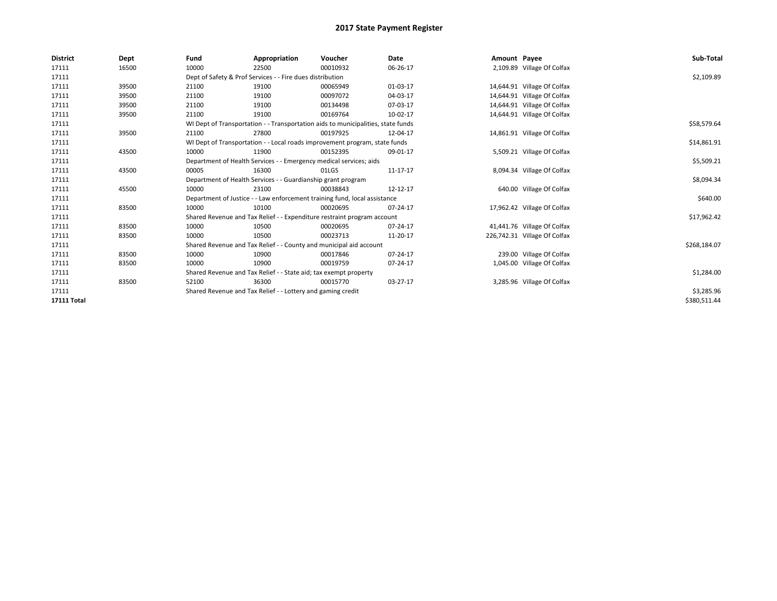| <b>District</b> | Dept  | Fund                                                             | Appropriation                                                      | Voucher                                                                          | Date       | Amount Payee |                              | Sub-Total    |
|-----------------|-------|------------------------------------------------------------------|--------------------------------------------------------------------|----------------------------------------------------------------------------------|------------|--------------|------------------------------|--------------|
| 17111           | 16500 | 10000                                                            | 22500                                                              | 00010932                                                                         | 06-26-17   |              | 2,109.89 Village Of Colfax   |              |
| 17111           |       |                                                                  | Dept of Safety & Prof Services - - Fire dues distribution          |                                                                                  |            |              |                              | \$2,109.89   |
| 17111           | 39500 | 21100                                                            | 19100                                                              | 00065949                                                                         | 01-03-17   |              | 14,644.91 Village Of Colfax  |              |
| 17111           | 39500 | 21100                                                            | 19100                                                              | 00097072                                                                         | 04-03-17   |              | 14,644.91 Village Of Colfax  |              |
| 17111           | 39500 | 21100                                                            | 19100                                                              | 00134498                                                                         | 07-03-17   |              | 14,644.91 Village Of Colfax  |              |
| 17111           | 39500 | 21100                                                            | 19100                                                              | 00169764                                                                         | 10-02-17   |              | 14,644.91 Village Of Colfax  |              |
| 17111           |       |                                                                  |                                                                    | WI Dept of Transportation - - Transportation aids to municipalities, state funds |            |              |                              | \$58,579.64  |
| 17111           | 39500 | 21100                                                            | 27800                                                              | 00197925                                                                         | 12-04-17   |              | 14,861.91 Village Of Colfax  |              |
| 17111           |       |                                                                  |                                                                    | WI Dept of Transportation - - Local roads improvement program, state funds       |            |              |                              | \$14,861.91  |
| 17111           | 43500 | 10000                                                            | 11900                                                              | 00152395                                                                         | 09-01-17   |              | 5,509.21 Village Of Colfax   |              |
| 17111           |       |                                                                  | Department of Health Services - - Emergency medical services; aids |                                                                                  |            |              |                              | \$5,509.21   |
| 17111           | 43500 | 00005                                                            | 16300                                                              | 01LGS                                                                            | 11-17-17   |              | 8,094.34 Village Of Colfax   |              |
| 17111           |       |                                                                  | Department of Health Services - - Guardianship grant program       |                                                                                  |            |              |                              | \$8,094.34   |
| 17111           | 45500 | 10000                                                            | 23100                                                              | 00038843                                                                         | 12-12-17   |              | 640.00 Village Of Colfax     |              |
| 17111           |       |                                                                  |                                                                    | Department of Justice - - Law enforcement training fund, local assistance        |            |              |                              | \$640.00     |
| 17111           | 83500 | 10000                                                            | 10100                                                              | 00020695                                                                         | 07-24-17   |              | 17,962.42 Village Of Colfax  |              |
| 17111           |       |                                                                  |                                                                    | Shared Revenue and Tax Relief - - Expenditure restraint program account          |            |              |                              | \$17,962.42  |
| 17111           | 83500 | 10000                                                            | 10500                                                              | 00020695                                                                         | 07-24-17   |              | 41,441.76 Village Of Colfax  |              |
| 17111           | 83500 | 10000                                                            | 10500                                                              | 00023713                                                                         | 11-20-17   |              | 226,742.31 Village Of Colfax |              |
| 17111           |       |                                                                  | Shared Revenue and Tax Relief - - County and municipal aid account |                                                                                  |            |              |                              | \$268,184.07 |
| 17111           | 83500 | 10000                                                            | 10900                                                              | 00017846                                                                         | 07-24-17   |              | 239.00 Village Of Colfax     |              |
| 17111           | 83500 | 10000                                                            | 10900                                                              | 00019759                                                                         | 07-24-17   |              | 1,045.00 Village Of Colfax   |              |
| 17111           |       | Shared Revenue and Tax Relief - - State aid; tax exempt property |                                                                    | \$1,284.00                                                                       |            |              |                              |              |
| 17111           | 83500 | 52100                                                            | 36300                                                              | 00015770                                                                         | $03-27-17$ |              | 3,285.96 Village Of Colfax   |              |
| 17111           |       |                                                                  | Shared Revenue and Tax Relief - - Lottery and gaming credit        |                                                                                  |            |              |                              | \$3,285.96   |
| 17111 Total     |       |                                                                  |                                                                    |                                                                                  |            |              |                              | \$380,511.44 |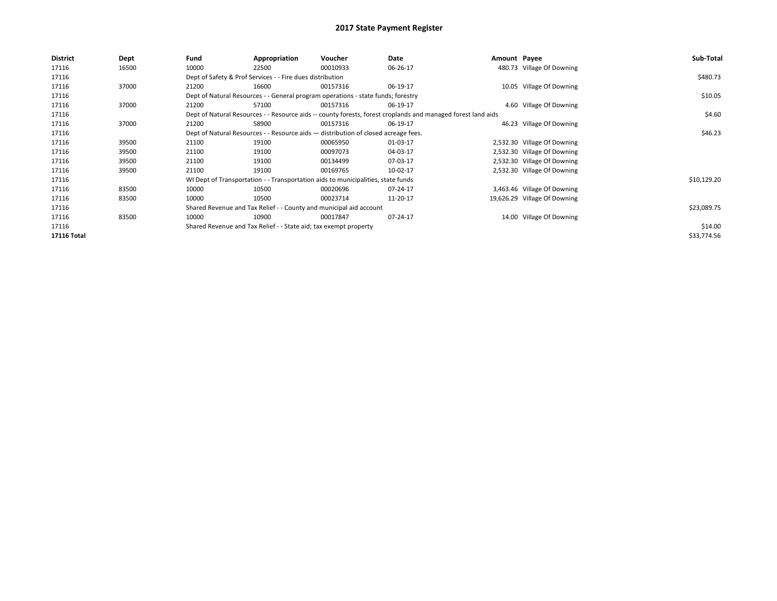| <b>District</b> | Dept  | Fund  | Appropriation                                                                      | Voucher  | Date                                                                                                         | Amount Payee |                              | Sub-Total   |
|-----------------|-------|-------|------------------------------------------------------------------------------------|----------|--------------------------------------------------------------------------------------------------------------|--------------|------------------------------|-------------|
| 17116           | 16500 | 10000 | 22500                                                                              | 00010933 | 06-26-17                                                                                                     |              | 480.73 Village Of Downing    |             |
| 17116           |       |       | Dept of Safety & Prof Services - - Fire dues distribution                          |          |                                                                                                              |              |                              | \$480.73    |
| 17116           | 37000 | 21200 | 16600                                                                              | 00157316 | 06-19-17                                                                                                     |              | 10.05 Village Of Downing     |             |
| 17116           |       |       | Dept of Natural Resources - - General program operations - state funds; forestry   |          |                                                                                                              |              |                              | \$10.05     |
| 17116           | 37000 | 21200 | 57100                                                                              | 00157316 | 06-19-17                                                                                                     |              | 4.60 Village Of Downing      |             |
| 17116           |       |       |                                                                                    |          | Dept of Natural Resources - - Resource aids -- county forests, forest croplands and managed forest land aids |              |                              | \$4.60      |
| 17116           | 37000 | 21200 | 58900                                                                              | 00157316 | 06-19-17                                                                                                     |              | 46.23 Village Of Downing     |             |
| 17116           |       |       | Dept of Natural Resources - - Resource aids - distribution of closed acreage fees. |          |                                                                                                              |              |                              | \$46.23     |
| 17116           | 39500 | 21100 | 19100                                                                              | 00065950 | 01-03-17                                                                                                     |              | 2,532.30 Village Of Downing  |             |
| 17116           | 39500 | 21100 | 19100                                                                              | 00097073 | 04-03-17                                                                                                     |              | 2,532.30 Village Of Downing  |             |
| 17116           | 39500 | 21100 | 19100                                                                              | 00134499 | 07-03-17                                                                                                     |              | 2,532.30 Village Of Downing  |             |
| 17116           | 39500 | 21100 | 19100                                                                              | 00169765 | 10-02-17                                                                                                     |              | 2,532.30 Village Of Downing  |             |
| 17116           |       |       | WI Dept of Transportation - - Transportation aids to municipalities, state funds   |          |                                                                                                              |              |                              | \$10,129.20 |
| 17116           | 83500 | 10000 | 10500                                                                              | 00020696 | 07-24-17                                                                                                     |              | 3,463.46 Village Of Downing  |             |
| 17116           | 83500 | 10000 | 10500                                                                              | 00023714 | 11-20-17                                                                                                     |              | 19,626.29 Village Of Downing |             |
| 17116           |       |       | Shared Revenue and Tax Relief - - County and municipal aid account                 |          |                                                                                                              |              |                              | \$23,089.75 |
| 17116           | 83500 | 10000 | 10900                                                                              | 00017847 | 07-24-17                                                                                                     |              | 14.00 Village Of Downing     |             |
| 17116           |       |       | Shared Revenue and Tax Relief - - State aid; tax exempt property                   |          |                                                                                                              |              |                              | \$14.00     |
| 17116 Total     |       |       |                                                                                    |          |                                                                                                              |              |                              | \$33,774.56 |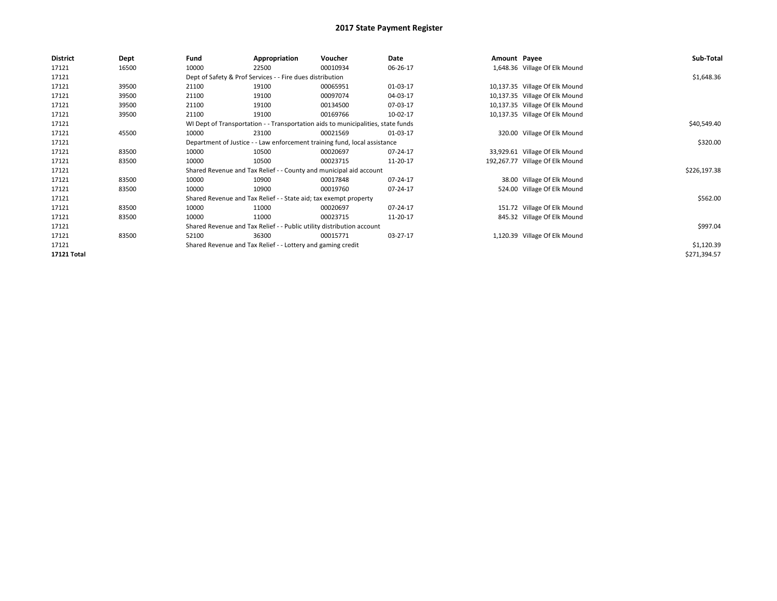| <b>District</b> | Dept  | Fund  | Appropriation                                                                    | Voucher  | Date     | Amount Payee |                                 | Sub-Total    |
|-----------------|-------|-------|----------------------------------------------------------------------------------|----------|----------|--------------|---------------------------------|--------------|
| 17121           | 16500 | 10000 | 22500                                                                            | 00010934 | 06-26-17 |              | 1,648.36 Village Of Elk Mound   |              |
| 17121           |       |       | Dept of Safety & Prof Services - - Fire dues distribution                        |          |          |              |                                 | \$1,648.36   |
| 17121           | 39500 | 21100 | 19100                                                                            | 00065951 | 01-03-17 |              | 10,137.35 Village Of Elk Mound  |              |
| 17121           | 39500 | 21100 | 19100                                                                            | 00097074 | 04-03-17 |              | 10,137.35 Village Of Elk Mound  |              |
| 17121           | 39500 | 21100 | 19100                                                                            | 00134500 | 07-03-17 |              | 10,137.35 Village Of Elk Mound  |              |
| 17121           | 39500 | 21100 | 19100                                                                            | 00169766 | 10-02-17 |              | 10,137.35 Village Of Elk Mound  |              |
| 17121           |       |       | WI Dept of Transportation - - Transportation aids to municipalities, state funds |          |          |              |                                 | \$40,549.40  |
| 17121           | 45500 | 10000 | 23100                                                                            | 00021569 | 01-03-17 |              | 320.00 Village Of Elk Mound     |              |
| 17121           |       |       | Department of Justice - - Law enforcement training fund, local assistance        |          |          |              |                                 | \$320.00     |
| 17121           | 83500 | 10000 | 10500                                                                            | 00020697 | 07-24-17 |              | 33,929.61 Village Of Elk Mound  |              |
| 17121           | 83500 | 10000 | 10500                                                                            | 00023715 | 11-20-17 |              | 192,267.77 Village Of Elk Mound |              |
| 17121           |       |       | Shared Revenue and Tax Relief - - County and municipal aid account               |          |          |              |                                 | \$226,197.38 |
| 17121           | 83500 | 10000 | 10900                                                                            | 00017848 | 07-24-17 |              | 38.00 Village Of Elk Mound      |              |
| 17121           | 83500 | 10000 | 10900                                                                            | 00019760 | 07-24-17 |              | 524.00 Village Of Elk Mound     |              |
| 17121           |       |       | Shared Revenue and Tax Relief - - State aid; tax exempt property                 |          |          |              |                                 | \$562.00     |
| 17121           | 83500 | 10000 | 11000                                                                            | 00020697 | 07-24-17 |              | 151.72 Village Of Elk Mound     |              |
| 17121           | 83500 | 10000 | 11000                                                                            | 00023715 | 11-20-17 |              | 845.32 Village Of Elk Mound     |              |
| 17121           |       |       | Shared Revenue and Tax Relief - - Public utility distribution account            |          |          |              |                                 | \$997.04     |
| 17121           | 83500 | 52100 | 36300                                                                            | 00015771 | 03-27-17 |              | 1,120.39 Village Of Elk Mound   |              |
| 17121           |       |       | Shared Revenue and Tax Relief - - Lottery and gaming credit                      |          |          |              |                                 | \$1,120.39   |
| 17121 Total     |       |       |                                                                                  |          |          |              |                                 | \$271,394.57 |
|                 |       |       |                                                                                  |          |          |              |                                 |              |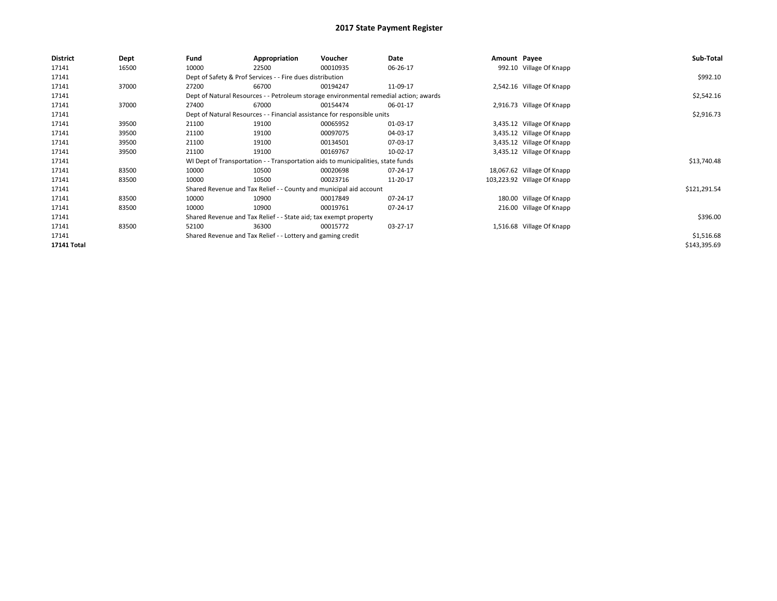| <b>District</b> | Dept  | Fund  | Appropriation                                                                         | Voucher  | Date     | Amount Payee |                             | Sub-Total    |
|-----------------|-------|-------|---------------------------------------------------------------------------------------|----------|----------|--------------|-----------------------------|--------------|
| 17141           | 16500 | 10000 | 22500                                                                                 | 00010935 | 06-26-17 |              | 992.10 Village Of Knapp     |              |
| 17141           |       |       | Dept of Safety & Prof Services - - Fire dues distribution                             |          |          |              |                             | \$992.10     |
| 17141           | 37000 | 27200 | 66700                                                                                 | 00194247 | 11-09-17 |              | 2,542.16 Village Of Knapp   |              |
| 17141           |       |       | Dept of Natural Resources - - Petroleum storage environmental remedial action; awards |          |          |              |                             | \$2,542.16   |
| 17141           | 37000 | 27400 | 67000                                                                                 | 00154474 | 06-01-17 |              | 2,916.73 Village Of Knapp   |              |
| 17141           |       |       | Dept of Natural Resources - - Financial assistance for responsible units              |          |          |              |                             | \$2,916.73   |
| 17141           | 39500 | 21100 | 19100                                                                                 | 00065952 | 01-03-17 |              | 3,435.12 Village Of Knapp   |              |
| 17141           | 39500 | 21100 | 19100                                                                                 | 00097075 | 04-03-17 |              | 3,435.12 Village Of Knapp   |              |
| 17141           | 39500 | 21100 | 19100                                                                                 | 00134501 | 07-03-17 |              | 3,435.12 Village Of Knapp   |              |
| 17141           | 39500 | 21100 | 19100                                                                                 | 00169767 | 10-02-17 |              | 3,435.12 Village Of Knapp   |              |
| 17141           |       |       | WI Dept of Transportation - - Transportation aids to municipalities, state funds      |          |          |              |                             | \$13,740.48  |
| 17141           | 83500 | 10000 | 10500                                                                                 | 00020698 | 07-24-17 |              | 18,067.62 Village Of Knapp  |              |
| 17141           | 83500 | 10000 | 10500                                                                                 | 00023716 | 11-20-17 |              | 103,223.92 Village Of Knapp |              |
| 17141           |       |       | Shared Revenue and Tax Relief - - County and municipal aid account                    |          |          |              |                             | \$121,291.54 |
| 17141           | 83500 | 10000 | 10900                                                                                 | 00017849 | 07-24-17 |              | 180.00 Village Of Knapp     |              |
| 17141           | 83500 | 10000 | 10900                                                                                 | 00019761 | 07-24-17 |              | 216.00 Village Of Knapp     |              |
| 17141           |       |       | Shared Revenue and Tax Relief - - State aid; tax exempt property                      |          |          |              |                             | \$396.00     |
| 17141           | 83500 | 52100 | 36300                                                                                 | 00015772 | 03-27-17 |              | 1,516.68 Village Of Knapp   |              |
| 17141           |       |       | Shared Revenue and Tax Relief - - Lottery and gaming credit                           |          |          |              |                             | \$1,516.68   |
| 17141 Total     |       |       |                                                                                       |          |          |              |                             | \$143,395.69 |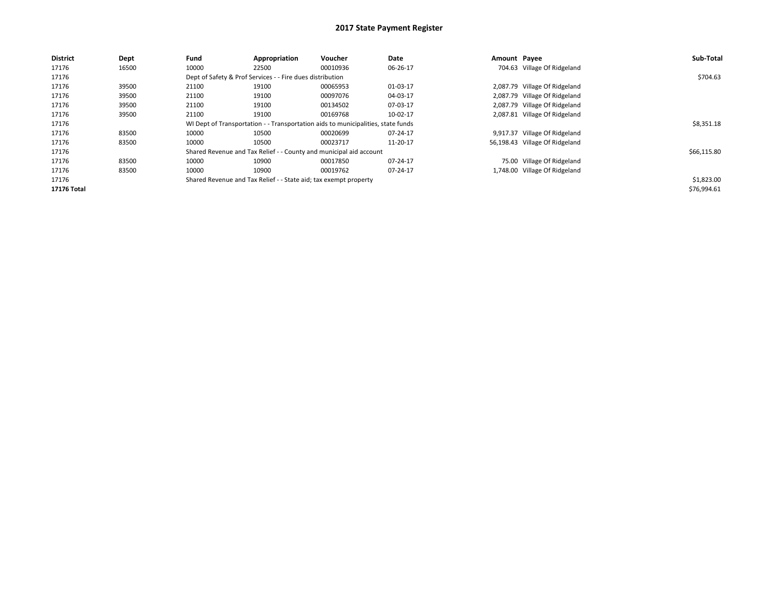| <b>District</b> | Dept  | Fund  | Appropriation                                                                    | Voucher  | Date     | Amount Payee |                                | Sub-Total   |
|-----------------|-------|-------|----------------------------------------------------------------------------------|----------|----------|--------------|--------------------------------|-------------|
| 17176           | 16500 | 10000 | 22500                                                                            | 00010936 | 06-26-17 |              | 704.63 Village Of Ridgeland    |             |
| 17176           |       |       | Dept of Safety & Prof Services - - Fire dues distribution                        |          |          |              |                                | \$704.63    |
| 17176           | 39500 | 21100 | 19100                                                                            | 00065953 | 01-03-17 |              | 2,087.79 Village Of Ridgeland  |             |
| 17176           | 39500 | 21100 | 19100                                                                            | 00097076 | 04-03-17 |              | 2,087.79 Village Of Ridgeland  |             |
| 17176           | 39500 | 21100 | 19100                                                                            | 00134502 | 07-03-17 |              | 2,087.79 Village Of Ridgeland  |             |
| 17176           | 39500 | 21100 | 19100                                                                            | 00169768 | 10-02-17 |              | 2,087.81 Village Of Ridgeland  |             |
| 17176           |       |       | WI Dept of Transportation - - Transportation aids to municipalities, state funds |          |          |              |                                | \$8,351.18  |
| 17176           | 83500 | 10000 | 10500                                                                            | 00020699 | 07-24-17 |              | 9,917.37 Village Of Ridgeland  |             |
| 17176           | 83500 | 10000 | 10500                                                                            | 00023717 | 11-20-17 |              | 56,198.43 Village Of Ridgeland |             |
| 17176           |       |       | Shared Revenue and Tax Relief - - County and municipal aid account               |          |          |              |                                | \$66,115.80 |
| 17176           | 83500 | 10000 | 10900                                                                            | 00017850 | 07-24-17 |              | 75.00 Village Of Ridgeland     |             |
| 17176           | 83500 | 10000 | 10900                                                                            | 00019762 | 07-24-17 |              | 1,748.00 Village Of Ridgeland  |             |
| 17176           |       |       | Shared Revenue and Tax Relief - - State aid; tax exempt property                 |          |          |              |                                | \$1,823.00  |
| 17176 Total     |       |       |                                                                                  |          |          |              |                                | \$76,994.61 |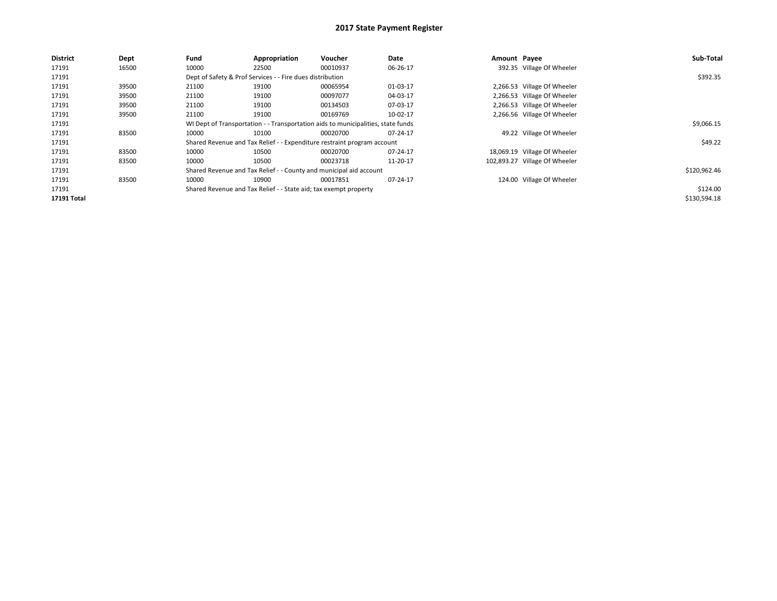| <b>District</b> | Dept  | Fund  | Appropriation                                                    | Voucher                                                                          | Date     | Amount Payee |                               | Sub-Total    |
|-----------------|-------|-------|------------------------------------------------------------------|----------------------------------------------------------------------------------|----------|--------------|-------------------------------|--------------|
| 17191           | 16500 | 10000 | 22500                                                            | 00010937                                                                         | 06-26-17 |              | 392.35 Village Of Wheeler     |              |
| 17191           |       |       | Dept of Safety & Prof Services - - Fire dues distribution        |                                                                                  |          |              |                               | \$392.35     |
| 17191           | 39500 | 21100 | 19100                                                            | 00065954                                                                         | 01-03-17 |              | 2,266.53 Village Of Wheeler   |              |
| 17191           | 39500 | 21100 | 19100                                                            | 00097077                                                                         | 04-03-17 |              | 2,266.53 Village Of Wheeler   |              |
| 17191           | 39500 | 21100 | 19100                                                            | 00134503                                                                         | 07-03-17 |              | 2,266.53 Village Of Wheeler   |              |
| 17191           | 39500 | 21100 | 19100                                                            | 00169769                                                                         | 10-02-17 |              | 2,266.56 Village Of Wheeler   |              |
| 17191           |       |       |                                                                  | WI Dept of Transportation - - Transportation aids to municipalities, state funds |          |              |                               | \$9,066.15   |
| 17191           | 83500 | 10000 | 10100                                                            | 00020700                                                                         | 07-24-17 |              | 49.22 Village Of Wheeler      |              |
| 17191           |       |       |                                                                  | Shared Revenue and Tax Relief - - Expenditure restraint program account          |          |              |                               | \$49.22      |
| 17191           | 83500 | 10000 | 10500                                                            | 00020700                                                                         | 07-24-17 |              | 18,069.19 Village Of Wheeler  |              |
| 17191           | 83500 | 10000 | 10500                                                            | 00023718                                                                         | 11-20-17 |              | 102,893.27 Village Of Wheeler |              |
| 17191           |       |       |                                                                  | Shared Revenue and Tax Relief - - County and municipal aid account               |          |              |                               | \$120,962.46 |
| 17191           | 83500 | 10000 | 10900                                                            | 00017851                                                                         | 07-24-17 |              | 124.00 Village Of Wheeler     |              |
| 17191           |       |       | Shared Revenue and Tax Relief - - State aid; tax exempt property |                                                                                  |          |              |                               | \$124.00     |
| 17191 Total     |       |       |                                                                  |                                                                                  |          |              |                               | \$130,594.18 |